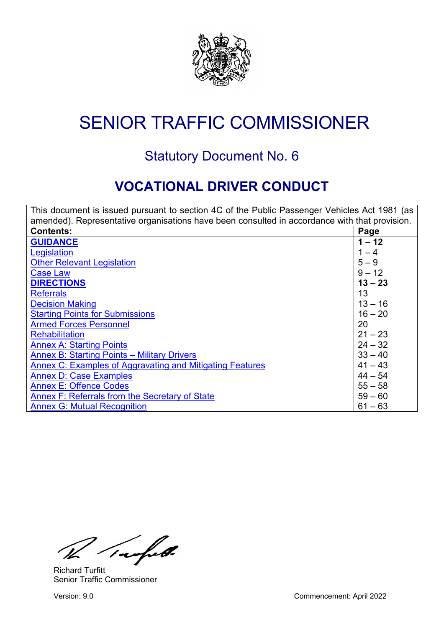

# <span id="page-0-1"></span>SENIOR TRAFFIC COMMISSIONER

# Statutory Document No. 6

# **VOCATIONAL DRIVER CONDUCT**

<span id="page-0-0"></span>

| This document is issued pursuant to section 4C of the Public Passenger Vehicles Act 1981 (as  |           |  |  |  |
|-----------------------------------------------------------------------------------------------|-----------|--|--|--|
| amended). Representative organisations have been consulted in accordance with that provision. |           |  |  |  |
| <b>Contents:</b>                                                                              | Page      |  |  |  |
| <b>GUIDANCE</b>                                                                               | $1 - 12$  |  |  |  |
| Legislation                                                                                   | $1 - 4$   |  |  |  |
| <b>Other Relevant Legislation</b>                                                             | $5 - 9$   |  |  |  |
| <b>Case Law</b>                                                                               | $9 - 12$  |  |  |  |
| <b>DIRECTIONS</b>                                                                             | $13 - 23$ |  |  |  |
| <b>Referrals</b>                                                                              | 13        |  |  |  |
| <b>Decision Making</b>                                                                        | $13 - 16$ |  |  |  |
| <b>Starting Points for Submissions</b>                                                        | $16 - 20$ |  |  |  |
| <b>Armed Forces Personnel</b>                                                                 | 20        |  |  |  |
| <b>Rehabilitation</b>                                                                         | $21 - 23$ |  |  |  |
| <b>Annex A: Starting Points</b>                                                               | $24 - 32$ |  |  |  |
| <b>Annex B: Starting Points - Military Drivers</b>                                            | $33 - 40$ |  |  |  |
| Annex C: Examples of Aggravating and Mitigating Features                                      | $41 - 43$ |  |  |  |
| <b>Annex D: Case Examples</b>                                                                 | $44 - 54$ |  |  |  |
| <b>Annex E: Offence Codes</b>                                                                 | $55 - 58$ |  |  |  |
| Annex F: Referrals from the Secretary of State                                                | $59 - 60$ |  |  |  |
| <b>Annex G: Mutual Recognition</b>                                                            | $61 - 63$ |  |  |  |

Inafell.

Richard Turfitt Senior Traffic Commissioner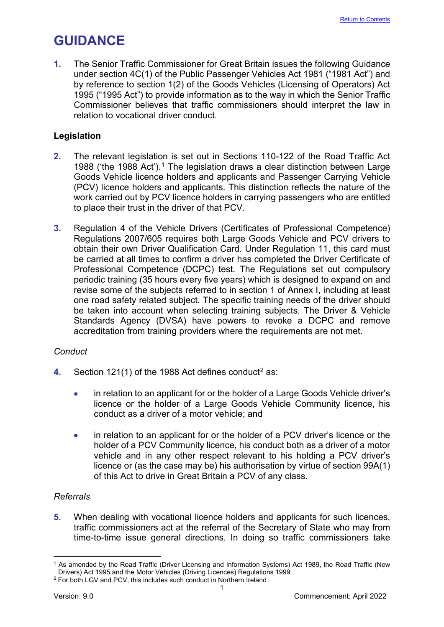# <span id="page-1-0"></span>**GUIDANCE**

**1.** The Senior Traffic Commissioner for Great Britain issues the following Guidance under section 4C(1) of the Public Passenger Vehicles Act 1981 ("1981 Act") and by reference to section 1(2) of the Goods Vehicles (Licensing of Operators) Act 1995 ("1995 Act") to provide information as to the way in which the Senior Traffic Commissioner believes that traffic commissioners should interpret the law in relation to vocational driver conduct.

# <span id="page-1-1"></span>**Legislation**

- **2.** The relevant legislation is set out in Sections 110-122 of the Road Traffic Act 1988 ('the 1988 Act'). [1](#page-1-2) The legislation draws a clear distinction between Large Goods Vehicle licence holders and applicants and Passenger Carrying Vehicle (PCV) licence holders and applicants. This distinction reflects the nature of the work carried out by PCV licence holders in carrying passengers who are entitled to place their trust in the driver of that PCV.
- **3.** Regulation 4 of the Vehicle Drivers (Certificates of Professional Competence) Regulations 2007/605 requires both Large Goods Vehicle and PCV drivers to obtain their own Driver Qualification Card. Under Regulation 11, this card must be carried at all times to confirm a driver has completed the Driver Certificate of Professional Competence (DCPC) test. The Regulations set out compulsory periodic training (35 hours every five years) which is designed to expand on and revise some of the subjects referred to in section 1 of Annex I, including at least one road safety related subject. The specific training needs of the driver should be taken into account when selecting training subjects. The Driver & Vehicle Standards Agency (DVSA) have powers to revoke a DCPC and remove accreditation from training providers where the requirements are not met.

# *Conduct*

- **4.** Section 1[2](#page-1-3)1(1) of the 1988 Act defines conduct<sup>2</sup> as:
	- in relation to an applicant for or the holder of a Large Goods Vehicle driver's licence or the holder of a Large Goods Vehicle Community licence, his conduct as a driver of a motor vehicle; and
	- in relation to an applicant for or the holder of a PCV driver's licence or the holder of a PCV Community licence, his conduct both as a driver of a motor vehicle and in any other respect relevant to his holding a PCV driver's licence or (as the case may be) his authorisation by virtue of section 99A(1) of this Act to drive in Great Britain a PCV of any class.

# *Referrals*

**5.** When dealing with vocational licence holders and applicants for such licences, traffic commissioners act at the referral of the Secretary of State who may from time-to-time issue general directions. In doing so traffic commissioners take

<span id="page-1-2"></span><sup>1</sup> As amended by the Road Traffic (Driver Licensing and Information Systems) Act 1989, the Road Traffic (New Drivers) Act 1995 and the Motor Vehicles (Driving Licences) Regulations 1999

<span id="page-1-3"></span><sup>1</sup> <sup>2</sup> For both LGV and PCV, this includes such conduct in Northern Ireland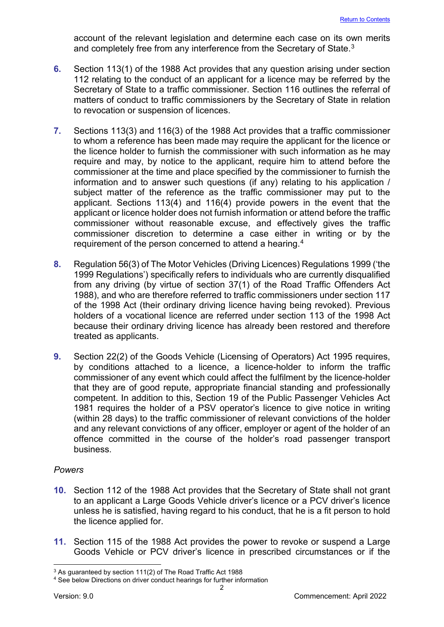account of the relevant legislation and determine each case on its own merits and completely free from any interference from the Secretary of State. [3](#page-2-0)

- **6.** Section 113(1) of the 1988 Act provides that any question arising under section 112 relating to the conduct of an applicant for a licence may be referred by the Secretary of State to a traffic commissioner. Section 116 outlines the referral of matters of conduct to traffic commissioners by the Secretary of State in relation to revocation or suspension of licences.
- **7.** Sections 113(3) and 116(3) of the 1988 Act provides that a traffic commissioner to whom a reference has been made may require the applicant for the licence or the licence holder to furnish the commissioner with such information as he may require and may, by notice to the applicant, require him to attend before the commissioner at the time and place specified by the commissioner to furnish the information and to answer such questions (if any) relating to his application / subject matter of the reference as the traffic commissioner may put to the applicant. Sections 113(4) and 116(4) provide powers in the event that the applicant or licence holder does not furnish information or attend before the traffic commissioner without reasonable excuse, and effectively gives the traffic commissioner discretion to determine a case either in writing or by the requirement of the person concerned to attend a hearing.[4](#page-2-1)
- **8.** Regulation 56(3) of The Motor Vehicles (Driving Licences) Regulations 1999 ('the 1999 Regulations') specifically refers to individuals who are currently disqualified from any driving (by virtue of section 37(1) of the Road Traffic Offenders Act 1988), and who are therefore referred to traffic commissioners under section 117 of the 1998 Act (their ordinary driving licence having being revoked). Previous holders of a vocational licence are referred under section 113 of the 1998 Act because their ordinary driving licence has already been restored and therefore treated as applicants.
- **9.** Section 22(2) of the Goods Vehicle (Licensing of Operators) Act 1995 requires, by conditions attached to a licence, a licence-holder to inform the traffic commissioner of any event which could affect the fulfilment by the licence-holder that they are of good repute, appropriate financial standing and professionally competent. In addition to this, Section 19 of the Public Passenger Vehicles Act 1981 requires the holder of a PSV operator's licence to give notice in writing (within 28 days) to the traffic commissioner of relevant convictions of the holder and any relevant convictions of any officer, employer or agent of the holder of an offence committed in the course of the holder's road passenger transport business.

# *Powers*

- **10.** Section 112 of the 1988 Act provides that the Secretary of State shall not grant to an applicant a Large Goods Vehicle driver's licence or a PCV driver's licence unless he is satisfied, having regard to his conduct, that he is a fit person to hold the licence applied for.
- **11.** Section 115 of the 1988 Act provides the power to revoke or suspend a Large Goods Vehicle or PCV driver's licence in prescribed circumstances or if the

<span id="page-2-0"></span><sup>3</sup> As guaranteed by section 111(2) of The Road Traffic Act 1988

<span id="page-2-1"></span><sup>4</sup> See below Directions on driver conduct hearings for further information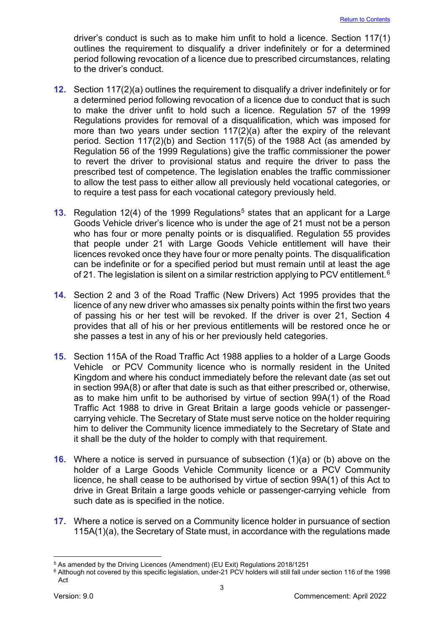driver's conduct is such as to make him unfit to hold a licence. Section 117(1) outlines the requirement to disqualify a driver indefinitely or for a determined period following revocation of a licence due to prescribed circumstances, relating to the driver's conduct.

- **12.** Section 117(2)(a) outlines the requirement to disqualify a driver indefinitely or for a determined period following revocation of a licence due to conduct that is such to make the driver unfit to hold such a licence. Regulation 57 of the 1999 Regulations provides for removal of a disqualification, which was imposed for more than two years under section 117(2)(a) after the expiry of the relevant period. Section 117(2)(b) and Section 117(5) of the 1988 Act (as amended by Regulation 56 of the 1999 Regulations) give the traffic commissioner the power to revert the driver to provisional status and require the driver to pass the prescribed test of competence. The legislation enables the traffic commissioner to allow the test pass to either allow all previously held vocational categories, or to require a test pass for each vocational category previously held.
- **13.** Regulation 12(4) of the 1999 Regulations<sup>[5](#page-3-0)</sup> states that an applicant for a Large Goods Vehicle driver's licence who is under the age of 21 must not be a person who has four or more penalty points or is disqualified. Regulation 55 provides that people under 21 with Large Goods Vehicle entitlement will have their licences revoked once they have four or more penalty points. The disqualification can be indefinite or for a specified period but must remain until at least the age of 21. The legislation is silent on a similar restriction applying to PCV entitlement.<sup>[6](#page-3-1)</sup>
- **14.** Section 2 and 3 of the Road Traffic (New Drivers) Act 1995 provides that the licence of any new driver who amasses six penalty points within the first two years of passing his or her test will be revoked. If the driver is over 21, Section 4 provides that all of his or her previous entitlements will be restored once he or she passes a test in any of his or her previously held categories.
- **15.** Section 115A of the Road Traffic Act 1988 applies to a holder of a Large Goods Vehicle or PCV Community licence who is normally resident in the United Kingdom and where his conduct immediately before the relevant date (as set out in section 99A(8) or after that date is such as that either prescribed or, otherwise, as to make him unfit to be authorised by virtue of section 99A(1) of the Road Traffic Act 1988 to drive in Great Britain a large goods vehicle or passengercarrying vehicle. The Secretary of State must serve notice on the holder requiring him to deliver the Community licence immediately to the Secretary of State and it shall be the duty of the holder to comply with that requirement.
- **16.** Where a notice is served in pursuance of subsection (1)(a) or (b) above on the holder of a Large Goods Vehicle Community licence or a PCV Community licence, he shall cease to be authorised by virtue of section 99A(1) of this Act to drive in Great Britain a large goods vehicle or passenger-carrying vehicle from such date as is specified in the notice.
- **17.** Where a notice is served on a Community licence holder in pursuance of section 115A(1)(a), the Secretary of State must, in accordance with the regulations made

<span id="page-3-0"></span><sup>5</sup> As amended by the Driving Licences (Amendment) (EU Exit) Regulations 2018/1251

<span id="page-3-1"></span><sup>6</sup> Although not covered by this specific legislation, under-21 PCV holders will still fall under section 116 of the 1998 Act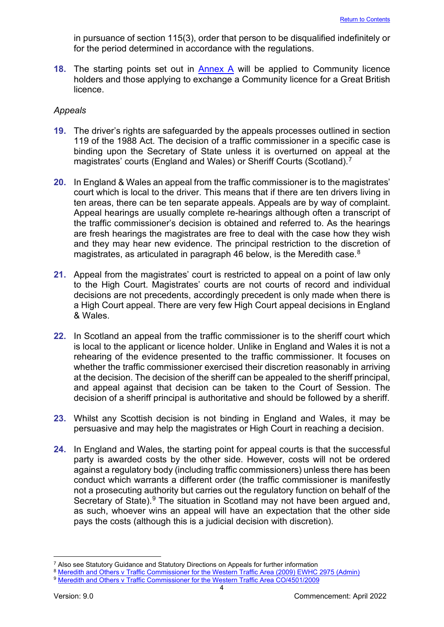in pursuance of section 115(3), order that person to be disqualified indefinitely or for the period determined in accordance with the regulations.

**18.** The starting points set out in [Annex A](#page-24-0) will be applied to Community licence holders and those applying to exchange a Community licence for a Great British licence.

#### *Appeals*

- **19.** The driver's rights are safeguarded by the appeals processes outlined in section 119 of the 1988 Act. The decision of a traffic commissioner in a specific case is binding upon the Secretary of State unless it is overturned on appeal at the magistrates' courts (England and Wales) or Sheriff Courts (Scotland). [7](#page-4-0)
- **20.** In England & Wales an appeal from the traffic commissioner is to the magistrates' court which is local to the driver. This means that if there are ten drivers living in ten areas, there can be ten separate appeals. Appeals are by way of complaint. Appeal hearings are usually complete re-hearings although often a transcript of the traffic commissioner's decision is obtained and referred to. As the hearings are fresh hearings the magistrates are free to deal with the case how they wish and they may hear new evidence. The principal restriction to the discretion of magistrates, as articulated in paragraph 46 below, is the Meredith case. $^8$  $^8$
- **21.** Appeal from the magistrates' court is restricted to appeal on a point of law only to the High Court. Magistrates' courts are not courts of record and individual decisions are not precedents, accordingly precedent is only made when there is a High Court appeal. There are very few High Court appeal decisions in England & Wales.
- **22.** In Scotland an appeal from the traffic commissioner is to the sheriff court which is local to the applicant or licence holder. Unlike in England and Wales it is not a rehearing of the evidence presented to the traffic commissioner. It focuses on whether the traffic commissioner exercised their discretion reasonably in arriving at the decision. The decision of the sheriff can be appealed to the sheriff principal, and appeal against that decision can be taken to the Court of Session. The decision of a sheriff principal is authoritative and should be followed by a sheriff.
- **23.** Whilst any Scottish decision is not binding in England and Wales, it may be persuasive and may help the magistrates or High Court in reaching a decision.
- **24.** In England and Wales, the starting point for appeal courts is that the successful party is awarded costs by the other side. However, costs will not be ordered against a regulatory body (including traffic commissioners) unless there has been conduct which warrants a different order (the traffic commissioner is manifestly not a prosecuting authority but carries out the regulatory function on behalf of the Secretary of State). $9$  The situation in Scotland may not have been argued and, as such, whoever wins an appeal will have an expectation that the other side pays the costs (although this is a judicial decision with discretion).

<span id="page-4-0"></span> $7$  Also see Statutory Guidance and Statutory Directions on Appeals for further information

<span id="page-4-2"></span><span id="page-4-1"></span><sup>8</sup> [Meredith and Others v Traffic Commissioner for the Western Traffic Area \(2009\) EWHC 2975 \(Admin\)](https://www.bailii.org/ew/cases/EWHC/Admin/2009/2975.html) 9 [Meredith and Others v Traffic Commissioner for the](https://www.bailii.org/ew/cases/EWHC/Admin/2009/2975.html) Western Traffic Area CO/4501/2009

<sup>4</sup>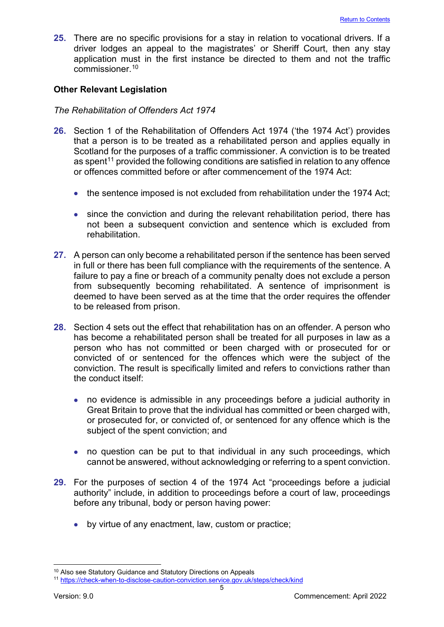**25.** There are no specific provisions for a stay in relation to vocational drivers. If a driver lodges an appeal to the magistrates' or Sheriff Court, then any stay application must in the first instance be directed to them and not the traffic commissioner. [10](#page-5-1)

# <span id="page-5-0"></span>**Other Relevant Legislation**

#### *The Rehabilitation of Offenders Act 1974*

- **26.** Section 1 of the Rehabilitation of Offenders Act 1974 ('the 1974 Act') provides that a person is to be treated as a rehabilitated person and applies equally in Scotland for the purposes of a traffic commissioner. A conviction is to be treated as spent<sup>[11](#page-5-2)</sup> provided the following conditions are satisfied in relation to any offence or offences committed before or after commencement of the 1974 Act:
	- the sentence imposed is not excluded from rehabilitation under the 1974 Act;
	- since the conviction and during the relevant rehabilitation period, there has not been a subsequent conviction and sentence which is excluded from rehabilitation.
- **27.** A person can only become a rehabilitated person if the sentence has been served in full or there has been full compliance with the requirements of the sentence. A failure to pay a fine or breach of a community penalty does not exclude a person from subsequently becoming rehabilitated. A sentence of imprisonment is deemed to have been served as at the time that the order requires the offender to be released from prison.
- **28.** Section 4 sets out the effect that rehabilitation has on an offender. A person who has become a rehabilitated person shall be treated for all purposes in law as a person who has not committed or been charged with or prosecuted for or convicted of or sentenced for the offences which were the subject of the conviction. The result is specifically limited and refers to convictions rather than the conduct itself:
	- no evidence is admissible in any proceedings before a judicial authority in Great Britain to prove that the individual has committed or been charged with, or prosecuted for, or convicted of, or sentenced for any offence which is the subject of the spent conviction; and
	- no question can be put to that individual in any such proceedings, which cannot be answered, without acknowledging or referring to a spent conviction.
- **29.** For the purposes of section 4 of the 1974 Act "proceedings before a judicial authority" include, in addition to proceedings before a court of law, proceedings before any tribunal, body or person having power:
	- by virtue of any enactment, law, custom or practice;

<span id="page-5-1"></span><sup>10</sup> Also see Statutory Guidance and Statutory Directions on Appeals

<span id="page-5-2"></span><sup>11</sup> <https://check-when-to-disclose-caution-conviction.service.gov.uk/steps/check/kind>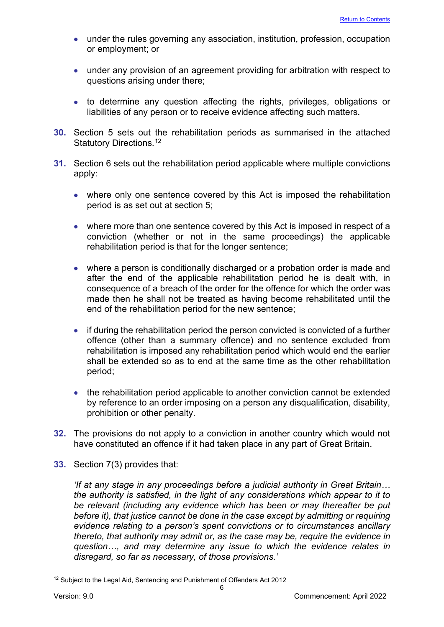- under the rules governing any association, institution, profession, occupation or employment; or
- under any provision of an agreement providing for arbitration with respect to questions arising under there;
- to determine any question affecting the rights, privileges, obligations or liabilities of any person or to receive evidence affecting such matters.
- **30.** Section 5 sets out the rehabilitation periods as summarised in the attached Statutory Directions.<sup>[12](#page-6-0)</sup>
- **31.** Section 6 sets out the rehabilitation period applicable where multiple convictions apply:
	- where only one sentence covered by this Act is imposed the rehabilitation period is as set out at section 5;
	- where more than one sentence covered by this Act is imposed in respect of a conviction (whether or not in the same proceedings) the applicable rehabilitation period is that for the longer sentence;
	- where a person is conditionally discharged or a probation order is made and after the end of the applicable rehabilitation period he is dealt with, in consequence of a breach of the order for the offence for which the order was made then he shall not be treated as having become rehabilitated until the end of the rehabilitation period for the new sentence;
	- if during the rehabilitation period the person convicted is convicted of a further offence (other than a summary offence) and no sentence excluded from rehabilitation is imposed any rehabilitation period which would end the earlier shall be extended so as to end at the same time as the other rehabilitation period;
	- the rehabilitation period applicable to another conviction cannot be extended by reference to an order imposing on a person any disqualification, disability, prohibition or other penalty.
- **32.** The provisions do not apply to a conviction in another country which would not have constituted an offence if it had taken place in any part of Great Britain.
- **33.** Section 7(3) provides that:

*'If at any stage in any proceedings before a judicial authority in Great Britain… the authority is satisfied, in the light of any considerations which appear to it to be relevant (including any evidence which has been or may thereafter be put before it), that justice cannot be done in the case except by admitting or requiring evidence relating to a person's spent convictions or to circumstances ancillary thereto, that authority may admit or, as the case may be, require the evidence in question…, and may determine any issue to which the evidence relates in disregard, so far as necessary, of those provisions.'* 

<span id="page-6-0"></span><sup>&</sup>lt;sup>12</sup> Subject to the Legal Aid, Sentencing and Punishment of Offenders Act 2012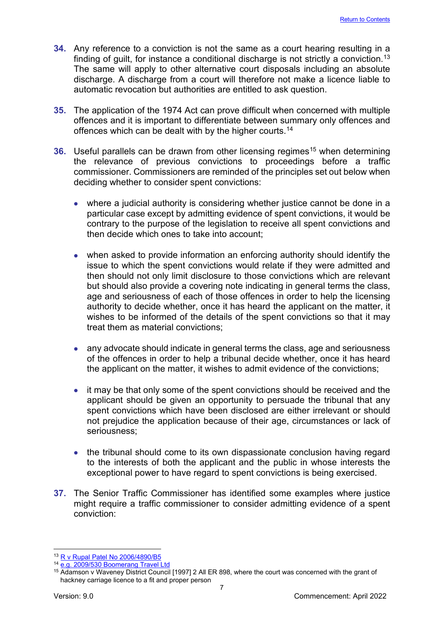- **34.** Any reference to a conviction is not the same as a court hearing resulting in a finding of guilt, for instance a conditional discharge is not strictly a conviction. [13](#page-7-0) The same will apply to other alternative court disposals including an absolute discharge. A discharge from a court will therefore not make a licence liable to automatic revocation but authorities are entitled to ask question.
- **35.** The application of the 1974 Act can prove difficult when concerned with multiple offences and it is important to differentiate between summary only offences and offences which can be dealt with by the higher courts. [14](#page-7-1)
- **36.** Useful parallels can be drawn from other licensing regimes<sup>15</sup> when determining the relevance of previous convictions to proceedings before a traffic commissioner. Commissioners are reminded of the principles set out below when deciding whether to consider spent convictions:
	- where a judicial authority is considering whether justice cannot be done in a particular case except by admitting evidence of spent convictions, it would be contrary to the purpose of the legislation to receive all spent convictions and then decide which ones to take into account;
	- when asked to provide information an enforcing authority should identify the issue to which the spent convictions would relate if they were admitted and then should not only limit disclosure to those convictions which are relevant but should also provide a covering note indicating in general terms the class, age and seriousness of each of those offences in order to help the licensing authority to decide whether, once it has heard the applicant on the matter, it wishes to be informed of the details of the spent convictions so that it may treat them as material convictions;
	- any advocate should indicate in general terms the class, age and seriousness of the offences in order to help a tribunal decide whether, once it has heard the applicant on the matter, it wishes to admit evidence of the convictions;
	- it may be that only some of the spent convictions should be received and the applicant should be given an opportunity to persuade the tribunal that any spent convictions which have been disclosed are either irrelevant or should not prejudice the application because of their age, circumstances or lack of seriousness;
	- the tribunal should come to its own dispassionate conclusion having regard to the interests of both the applicant and the public in whose interests the exceptional power to have regard to spent convictions is being exercised.
- **37.** The Senior Traffic Commissioner has identified some examples where justice might require a traffic commissioner to consider admitting evidence of a spent conviction:

<span id="page-7-0"></span><sup>13</sup> [R v Rupal Patel No 2006/4890/B5](https://www.bailii.org/ew/cases/EWCA/Crim/2006/2689.html)

<span id="page-7-1"></span><sup>&</sup>lt;sup>14</sup> [e.g. 2009/530 Boomerang Travel Ltd](http://transportappeals.decisions.tribunals.gov.uk/Aspx/view.aspx?id=1035)

<span id="page-7-2"></span><sup>&</sup>lt;sup>15</sup> Adamson v Waveney District Council [1997] 2 All ER 898, where the court was concerned with the grant of hackney carriage licence to a fit and proper person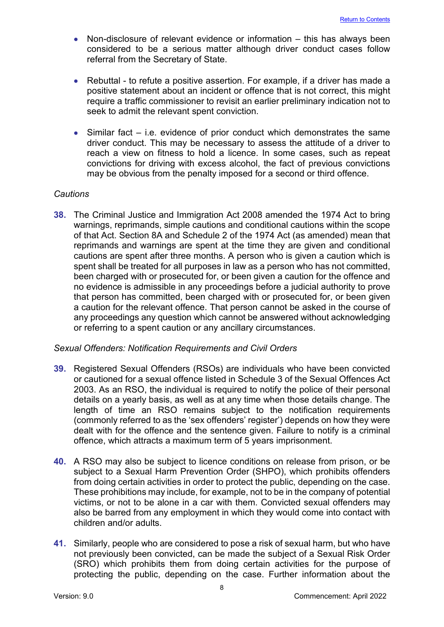- Non-disclosure of relevant evidence or information this has always been considered to be a serious matter although driver conduct cases follow referral from the Secretary of State.
- Rebuttal to refute a positive assertion. For example, if a driver has made a positive statement about an incident or offence that is not correct, this might require a traffic commissioner to revisit an earlier preliminary indication not to seek to admit the relevant spent conviction.
- Similar fact i.e. evidence of prior conduct which demonstrates the same driver conduct. This may be necessary to assess the attitude of a driver to reach a view on fitness to hold a licence. In some cases, such as repeat convictions for driving with excess alcohol, the fact of previous convictions may be obvious from the penalty imposed for a second or third offence.

# *Cautions*

**38.** The Criminal Justice and Immigration Act 2008 amended the 1974 Act to bring warnings, reprimands, simple cautions and conditional cautions within the scope of that Act. Section 8A and Schedule 2 of the 1974 Act (as amended) mean that reprimands and warnings are spent at the time they are given and conditional cautions are spent after three months. A person who is given a caution which is spent shall be treated for all purposes in law as a person who has not committed, been charged with or prosecuted for, or been given a caution for the offence and no evidence is admissible in any proceedings before a judicial authority to prove that person has committed, been charged with or prosecuted for, or been given a caution for the relevant offence. That person cannot be asked in the course of any proceedings any question which cannot be answered without acknowledging or referring to a spent caution or any ancillary circumstances.

#### *Sexual Offenders: Notification Requirements and Civil Orders*

- **39.** Registered Sexual Offenders (RSOs) are individuals who have been convicted or cautioned for a sexual offence listed in Schedule 3 of the Sexual Offences Act 2003. As an RSO, the individual is required to notify the police of their personal details on a yearly basis, as well as at any time when those details change. The length of time an RSO remains subject to the notification requirements (commonly referred to as the 'sex offenders' register') depends on how they were dealt with for the offence and the sentence given. Failure to notify is a criminal offence, which attracts a maximum term of 5 years imprisonment.
- **40.** A RSO may also be subject to licence conditions on release from prison, or be subject to a Sexual Harm Prevention Order (SHPO), which prohibits offenders from doing certain activities in order to protect the public, depending on the case. These prohibitions may include, for example, not to be in the company of potential victims, or not to be alone in a car with them. Convicted sexual offenders may also be barred from any employment in which they would come into contact with children and/or adults.
- **41.** Similarly, people who are considered to pose a risk of sexual harm, but who have not previously been convicted, can be made the subject of a Sexual Risk Order (SRO) which prohibits them from doing certain activities for the purpose of protecting the public, depending on the case. Further information about the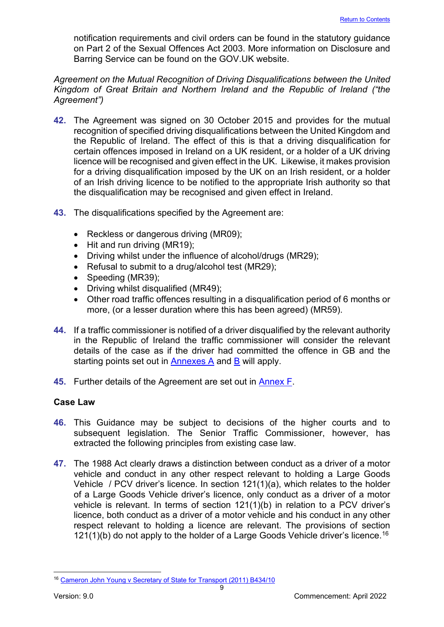notification requirements and civil orders can be found in the statutory guidance on Part 2 of the Sexual Offences Act 2003. More information on Disclosure and Barring Service can be found on the GOV.UK website.

# *Agreement on the Mutual Recognition of Driving Disqualifications between the United Kingdom of Great Britain and Northern Ireland and the Republic of Ireland ("the Agreement")*

- **42.** The Agreement was signed on 30 October 2015 and provides for the mutual recognition of specified driving disqualifications between the United Kingdom and the Republic of Ireland. The effect of this is that a driving disqualification for certain offences imposed in Ireland on a UK resident, or a holder of a UK driving licence will be recognised and given effect in the UK. Likewise, it makes provision for a driving disqualification imposed by the UK on an Irish resident, or a holder of an Irish driving licence to be notified to the appropriate Irish authority so that the disqualification may be recognised and given effect in Ireland.
- **43.** The disqualifications specified by the Agreement are:
	- Reckless or dangerous driving (MR09);
	- Hit and run driving (MR19);
	- Driving whilst under the influence of alcohol/drugs (MR29);
	- Refusal to submit to a drug/alcohol test (MR29);
	- Speeding (MR39);
	- Driving whilst disqualified (MR49);
	- Other road traffic offences resulting in a disqualification period of 6 months or more, (or a lesser duration where this has been agreed) (MR59).
- **44.** If a traffic commissioner is notified of a driver disqualified by the relevant authority in the Republic of Ireland the traffic commissioner will consider the relevant details of the case as if the driver had committed the offence in GB and the starting points set out in  $\frac{\text{Annexes A}}{\text{A}}$  and  $\frac{\text{B}}{\text{B}}$  will apply.
- **45.** Further details of the Agreement are set out in [Annex F.](#page-59-0)

# <span id="page-9-0"></span>**Case Law**

- **46.** This Guidance may be subject to decisions of the higher courts and to subsequent legislation. The Senior Traffic Commissioner, however, has extracted the following principles from existing case law.
- **47.** The 1988 Act clearly draws a distinction between conduct as a driver of a motor vehicle and conduct in any other respect relevant to holding a Large Goods Vehicle / PCV driver's licence. In section 121(1)(a), which relates to the holder of a Large Goods Vehicle driver's licence, only conduct as a driver of a motor vehicle is relevant. In terms of section 121(1)(b) in relation to a PCV driver's licence, both conduct as a driver of a motor vehicle and his conduct in any other respect relevant to holding a licence are relevant. The provisions of section  $121(1)$ (b) do not apply to the holder of a Large Goods Vehicle driver's licence.<sup>[16](#page-9-1)</sup>

<span id="page-9-1"></span><sup>16</sup> [Cameron John Young v Secretary of State for Transport \(2011\) B434/10](https://www.scotcourts.gov.uk/search-judgments/judgment?id=550287a6-8980-69d2-b500-ff0000d74aa7)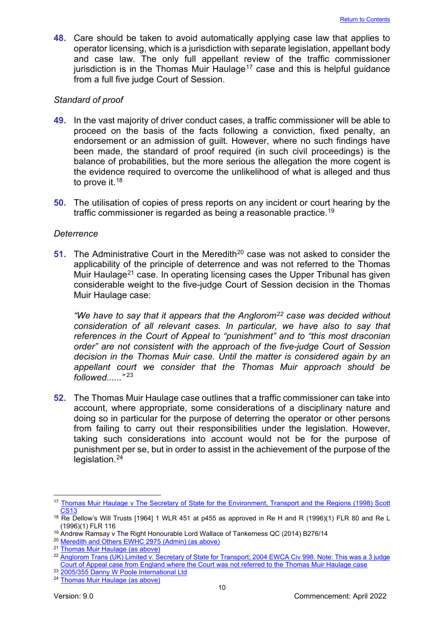**48.** Care should be taken to avoid automatically applying case law that applies to operator licensing, which is a jurisdiction with separate legislation, appellant body and case law. The only full appellant review of the traffic commissioner jurisdiction is in the Thomas Muir Haulage<sup>[17](#page-10-0)</sup> case and this is helpful guidance from a full five judge Court of Session.

#### *Standard of proof*

- **49.** In the vast majority of driver conduct cases, a traffic commissioner will be able to proceed on the basis of the facts following a conviction, fixed penalty, an endorsement or an admission of guilt. However, where no such findings have been made, the standard of proof required (in such civil proceedings) is the balance of probabilities, but the more serious the allegation the more cogent is the evidence required to overcome the unlikelihood of what is alleged and thus to prove it.<sup>[18](#page-10-1)</sup>
- **50.** The utilisation of copies of press reports on any incident or court hearing by the traffic commissioner is regarded as being a reasonable practice.[19](#page-10-2)

#### *Deterrence*

**51.** The Administrative Court in the Meredith<sup>[20](#page-10-3)</sup> case was not asked to consider the applicability of the principle of deterrence and was not referred to the Thomas Muir Haulage<sup>[21](#page-10-4)</sup> case. In operating licensing cases the Upper Tribunal has given considerable weight to the five-judge Court of Session decision in the Thomas Muir Haulage case:

*"We have to say that it appears that the Anglorom[22](#page-10-5) case was decided without consideration of all relevant cases. In particular, we have also to say that references in the Court of Appeal to "punishment" and to "this most draconian order" are not consistent with the approach of the five-judge Court of Session decision in the Thomas Muir case. Until the matter is considered again by an appellant court we consider that the Thomas Muir approach should be followed......"* [23](#page-10-6)

**52.** The Thomas Muir Haulage case outlines that a traffic commissioner can take into account, where appropriate, some considerations of a disciplinary nature and doing so in particular for the purpose of deterring the operator or other persons from failing to carry out their responsibilities under the legislation. However, taking such considerations into account would not be for the purpose of punishment per se, but in order to assist in the achievement of the purpose of the legislation.<sup>[24](#page-10-7)</sup>

<span id="page-10-0"></span><sup>17</sup> Thomas Muir Haulage v The Secretary of State for the Environment, Transport and the Regions (1998) Scott [CS13](https://www.scotcourts.gov.uk/search-judgments/judgment?id=674b87a6-8980-69d2-b500-ff0000d74aa7)

<span id="page-10-1"></span><sup>&</sup>lt;sup>18</sup> Re Dellow's Will Trusts [1964] 1 WLR 451 at p455 as approved in Re H and R (1996)(1) FLR 80 and Re L (1996)(1) FLR 116

<span id="page-10-2"></span><sup>19</sup> Andrew Ramsay v The Right Honourable Lord Wallace of Tankerness QC (2014) B276/14

<span id="page-10-3"></span><sup>20</sup> [Meredith and Others EWHC 2975 \(Admin\) \(as above\)](https://www.bailii.org/ew/cases/EWHC/Admin/2009/2975.html)

<span id="page-10-4"></span><sup>21</sup> [Thomas Muir Haulage \(as above\)](https://www.scotcourts.gov.uk/search-judgments/judgment?id=674b87a6-8980-69d2-b500-ff0000d74aa7)

<span id="page-10-5"></span><sup>&</sup>lt;sup>22</sup> Anglorom Trans (UK) Limited v. Secretary of State for Transport; 2004 EWCA Civ 998. Note: This was a 3 judge [Court of Appeal case from England where the Court was not referred to the Thomas Muir Haulage case](https://www.bailii.org/ew/cases/EWCA/Civ/2004/998.html)

<span id="page-10-6"></span><sup>&</sup>lt;sup>23</sup> [2005/355 Danny W Poole International](https://transportappeals.decisions.tribunals.gov.uk/Aspx/view.aspx?id=436) Ltd

<span id="page-10-7"></span><sup>24</sup> [Thomas Muir Haulage \(as above\)](https://www.scotcourts.gov.uk/search-judgments/judgment?id=674b87a6-8980-69d2-b500-ff0000d74aa7)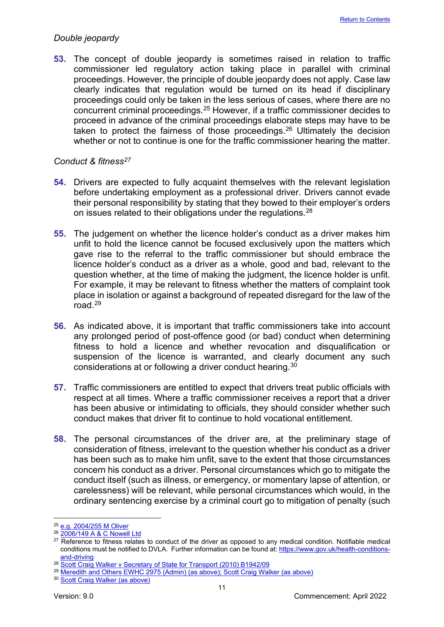#### *Double jeopardy*

**53.** The concept of double jeopardy is sometimes raised in relation to traffic commissioner led regulatory action taking place in parallel with criminal proceedings. However, the principle of double jeopardy does not apply. Case law clearly indicates that regulation would be turned on its head if disciplinary proceedings could only be taken in the less serious of cases, where there are no concurrent criminal proceedings.[25](#page-11-0) However, if a traffic commissioner decides to proceed in advance of the criminal proceedings elaborate steps may have to be taken to protect the fairness of those proceedings.<sup>26</sup> Ultimately the decision whether or not to continue is one for the traffic commissioner hearing the matter.

#### *Conduct & fitness[27](#page-11-2)*

- **54.** Drivers are expected to fully acquaint themselves with the relevant legislation before undertaking employment as a professional driver. Drivers cannot evade their personal responsibility by stating that they bowed to their employer's orders on issues related to their obligations under the regulations.<sup>[28](#page-11-3)</sup>
- **55.** The judgement on whether the licence holder's conduct as a driver makes him unfit to hold the licence cannot be focused exclusively upon the matters which gave rise to the referral to the traffic commissioner but should embrace the licence holder's conduct as a driver as a whole, good and bad, relevant to the question whether, at the time of making the judgment, the licence holder is unfit. For example, it may be relevant to fitness whether the matters of complaint took place in isolation or against a background of repeated disregard for the law of the road.[29](#page-11-4)
- **56.** As indicated above, it is important that traffic commissioners take into account any prolonged period of post-offence good (or bad) conduct when determining fitness to hold a licence and whether revocation and disqualification or suspension of the licence is warranted, and clearly document any such considerations at or following a driver conduct hearing.[30](#page-11-5)
- **57.** Traffic commissioners are entitled to expect that drivers treat public officials with respect at all times. Where a traffic commissioner receives a report that a driver has been abusive or intimidating to officials, they should consider whether such conduct makes that driver fit to continue to hold vocational entitlement.
- **58.** The personal circumstances of the driver are, at the preliminary stage of consideration of fitness, irrelevant to the question whether his conduct as a driver has been such as to make him unfit, save to the extent that those circumstances concern his conduct as a driver. Personal circumstances which go to mitigate the conduct itself (such as illness, or emergency, or momentary lapse of attention, or carelessness) will be relevant, while personal circumstances which would, in the ordinary sentencing exercise by a criminal court go to mitigation of penalty (such

<span id="page-11-0"></span><sup>25</sup> [e.g. 2004/255 M Oliver](http://transportappeals.decisions.tribunals.gov.uk/Aspx/view.aspx?id=371)

<span id="page-11-1"></span><sup>26</sup> [2006/149 A & C Nowell Ltd](http://transportappeals.decisions.tribunals.gov.uk/Aspx/view.aspx?id=567)

<span id="page-11-2"></span> $27$  Reference to fitness relates to conduct of the driver as opposed to any medical condition. Notifiable medical conditions must be notified to DVLA. Further information can be found at[: https://www.gov.uk/health-conditions](https://www.gov.uk/health-conditions-and-driving)[and-driving](https://www.gov.uk/health-conditions-and-driving)

<span id="page-11-3"></span><sup>&</sup>lt;sup>28</sup> [Scott Craig Walker v Secretary of State for Transport \(2010\) B1942/09](https://www.scotcourts.gov.uk/search-judgments/judgment?id=d8fd86a6-8980-69d2-b500-ff0000d74aa7)

<span id="page-11-4"></span><sup>29</sup> [Meredith and Others EWHC 2975 \(Admin\) \(as above\); Scott Craig Walker \(as above\)](https://www.bailii.org/ew/cases/EWHC/Admin/2009/2975.html)

<span id="page-11-5"></span><sup>30</sup> [Scott Craig Walker \(as above\)](https://www.scotcourts.gov.uk/search-judgments/judgment?id=d8fd86a6-8980-69d2-b500-ff0000d74aa7)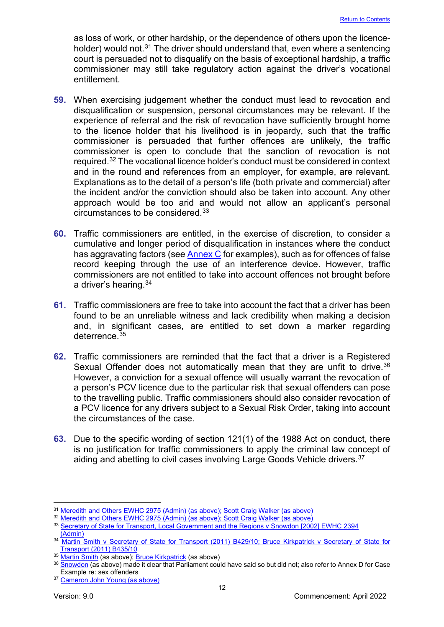as loss of work, or other hardship, or the dependence of others upon the licence-holder) would not.<sup>[31](#page-12-0)</sup> The driver should understand that, even where a sentencing court is persuaded not to disqualify on the basis of exceptional hardship, a traffic commissioner may still take regulatory action against the driver's vocational entitlement.

- **59.** When exercising judgement whether the conduct must lead to revocation and disqualification or suspension, personal circumstances may be relevant. If the experience of referral and the risk of revocation have sufficiently brought home to the licence holder that his livelihood is in jeopardy, such that the traffic commissioner is persuaded that further offences are unlikely, the traffic commissioner is open to conclude that the sanction of revocation is not required.[32](#page-12-1) The vocational licence holder's conduct must be considered in context and in the round and references from an employer, for example, are relevant. Explanations as to the detail of a person's life (both private and commercial) after the incident and/or the conviction should also be taken into account. Any other approach would be too arid and would not allow an applicant's personal circumstances to be considered.[33](#page-12-2)
- **60.** Traffic commissioners are entitled, in the exercise of discretion, to consider a cumulative and longer period of disqualification in instances where the conduct has aggravating factors (see **Annex C** for examples), such as for offences of false record keeping through the use of an interference device. However, traffic commissioners are not entitled to take into account offences not brought before a driver's hearing.[34](#page-12-3)
- **61.** Traffic commissioners are free to take into account the fact that a driver has been found to be an unreliable witness and lack credibility when making a decision and, in significant cases, are entitled to set down a marker regarding deterrence.[35](#page-12-4)
- **62.** Traffic commissioners are reminded that the fact that a driver is a Registered Sexual Offender does not automatically mean that they are unfit to drive.<sup>[36](#page-12-5)</sup> However, a conviction for a sexual offence will usually warrant the revocation of a person's PCV licence due to the particular risk that sexual offenders can pose to the travelling public. Traffic commissioners should also consider revocation of a PCV licence for any drivers subject to a Sexual Risk Order, taking into account the circumstances of the case.
- **63.** Due to the specific wording of section 121(1) of the 1988 Act on conduct, there is no justification for traffic commissioners to apply the criminal law concept of aiding and abetting to civil cases involving Large Goods Vehicle drivers. [37](#page-12-6)

<span id="page-12-0"></span><sup>31</sup> [Meredith and Others EWHC 2975 \(Admin\) \(as above\); Scott Craig Walker \(as above\)](https://www.bailii.org/ew/cases/EWHC/Admin/2009/2975.html)

<span id="page-12-1"></span><sup>&</sup>lt;sup>32</sup> [Meredith and Others EWHC 2975 \(Admin\) \(as above\); Scott Craig Walker \(as above\)](https://www.bailii.org/ew/cases/EWHC/Admin/2009/2975.html)

<span id="page-12-2"></span><sup>33</sup> [Secretary of State for Transport, Local Government and the Regions v Snowdon \[2002\] EWHC 2394](https://www.bailii.org/ew/cases/EWHC/Admin/2002/2394.html)  [\(Admin\)](https://www.bailii.org/ew/cases/EWHC/Admin/2002/2394.html)

<span id="page-12-3"></span><sup>&</sup>lt;sup>34</sup> Martin Smith v Secretary of State for Transport (2011) B429/10; Bruce Kirkpatrick v Secretary of State for [Transport \(2011\) B435/10](https://www.scotcourts.gov.uk/search-judgments/judgment?id=2b0287a6-8980-69d2-b500-ff0000d74aa7)

<span id="page-12-4"></span><sup>35</sup> [Martin Smith](https://www.scotcourts.gov.uk/search-judgments/judgment?id=2b0287a6-8980-69d2-b500-ff0000d74aa7) (as above)[; Bruce Kirkpatrick](https://www.scotcourts.gov.uk/search-judgments/judgment?id=630287a6-8980-69d2-b500-ff0000d74aa7) (as above)

<span id="page-12-5"></span><sup>&</sup>lt;sup>36</sup> [Snowdon](https://www.bailii.org/ew/cases/EWHC/Admin/2002/2394.html) (as above) made it clear that Parliament could have said so but did not; also refer to Annex D for Case Example re: sex offenders

<span id="page-12-6"></span><sup>&</sup>lt;sup>37</sup> [Cameron John Young \(as above\)](https://www.scotcourts.gov.uk/search-judgments/judgment?id=550287a6-8980-69d2-b500-ff0000d74aa7)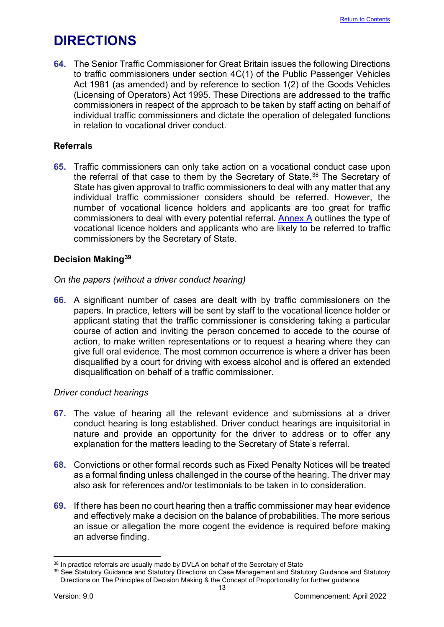# <span id="page-13-0"></span>**DIRECTIONS**

**64.** The Senior Traffic Commissioner for Great Britain issues the following Directions to traffic commissioners under section 4C(1) of the Public Passenger Vehicles Act 1981 (as amended) and by reference to section 1(2) of the Goods Vehicles (Licensing of Operators) Act 1995. These Directions are addressed to the traffic commissioners in respect of the approach to be taken by staff acting on behalf of individual traffic commissioners and dictate the operation of delegated functions in relation to vocational driver conduct.

# <span id="page-13-1"></span>**Referrals**

**65.** Traffic commissioners can only take action on a vocational conduct case upon the referral of that case to them by the Secretary of State.<sup>[38](#page-13-3)</sup> The Secretary of State has given approval to traffic commissioners to deal with any matter that any individual traffic commissioner considers should be referred. However, the number of vocational licence holders and applicants are too great for traffic commissioners to deal with every potential referral.  $\Delta$  nnex  $\Delta$  outlines the type of vocational licence holders and applicants who are likely to be referred to traffic commissioners by the Secretary of State.

# <span id="page-13-2"></span>**Decision Making[39](#page-13-4)**

# *On the papers (without a driver conduct hearing)*

**66.** A significant number of cases are dealt with by traffic commissioners on the papers. In practice, letters will be sent by staff to the vocational licence holder or applicant stating that the traffic commissioner is considering taking a particular course of action and inviting the person concerned to accede to the course of action, to make written representations or to request a hearing where they can give full oral evidence. The most common occurrence is where a driver has been disqualified by a court for driving with excess alcohol and is offered an extended disqualification on behalf of a traffic commissioner.

#### *Driver conduct hearings*

- **67.** The value of hearing all the relevant evidence and submissions at a driver conduct hearing is long established. Driver conduct hearings are inquisitorial in nature and provide an opportunity for the driver to address or to offer any explanation for the matters leading to the Secretary of State's referral.
- **68.** Convictions or other formal records such as Fixed Penalty Notices will be treated as a formal finding unless challenged in the course of the hearing. The driver may also ask for references and/or testimonials to be taken in to consideration.
- **69.** If there has been no court hearing then a traffic commissioner may hear evidence and effectively make a decision on the balance of probabilities. The more serious an issue or allegation the more cogent the evidence is required before making an adverse finding.

<span id="page-13-3"></span><sup>&</sup>lt;sup>38</sup> In practice referrals are usually made by DVLA on behalf of the Secretary of State

<span id="page-13-4"></span><sup>&</sup>lt;sup>39</sup> See Statutory Guidance and Statutory Directions on Case Management and Statutory Guidance and Statutory Directions on The Principles of Decision Making & the Concept of Proportionality for further guidance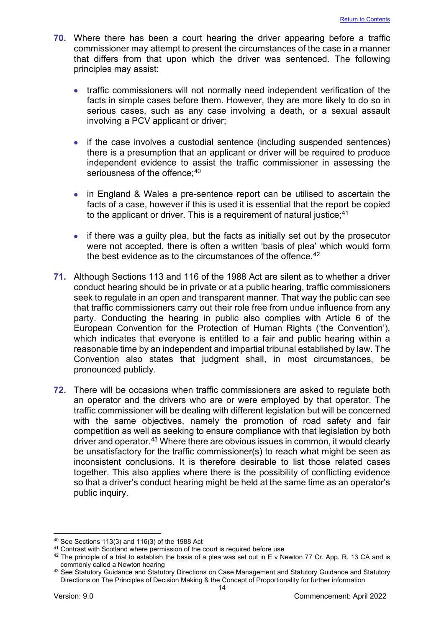- **70.** Where there has been a court hearing the driver appearing before a traffic commissioner may attempt to present the circumstances of the case in a manner that differs from that upon which the driver was sentenced. The following principles may assist:
	- traffic commissioners will not normally need independent verification of the facts in simple cases before them. However, they are more likely to do so in serious cases, such as any case involving a death, or a sexual assault involving a PCV applicant or driver;
	- if the case involves a custodial sentence (including suspended sentences) there is a presumption that an applicant or driver will be required to produce independent evidence to assist the traffic commissioner in assessing the seriousness of the offence; $^{\rm 40}$  $^{\rm 40}$  $^{\rm 40}$
	- in England & Wales a pre-sentence report can be utilised to ascertain the facts of a case, however if this is used it is essential that the report be copied to the applicant or driver. This is a requirement of natural justice; [41](#page-14-1)
	- if there was a guilty plea, but the facts as initially set out by the prosecutor were not accepted, there is often a written 'basis of plea' which would form the best evidence as to the circumstances of the offence. $42$
- **71.** Although Sections 113 and 116 of the 1988 Act are silent as to whether a driver conduct hearing should be in private or at a public hearing, traffic commissioners seek to regulate in an open and transparent manner. That way the public can see that traffic commissioners carry out their role free from undue influence from any party. Conducting the hearing in public also complies with Article 6 of the European Convention for the Protection of Human Rights ('the Convention'), which indicates that everyone is entitled to a fair and public hearing within a reasonable time by an independent and impartial tribunal established by law. The Convention also states that judgment shall, in most circumstances, be pronounced publicly.
- **72.** There will be occasions when traffic commissioners are asked to regulate both an operator and the drivers who are or were employed by that operator. The traffic commissioner will be dealing with different legislation but will be concerned with the same objectives, namely the promotion of road safety and fair competition as well as seeking to ensure compliance with that legislation by both driver and operator.<sup>[43](#page-14-3)</sup> Where there are obvious issues in common, it would clearly be unsatisfactory for the traffic commissioner(s) to reach what might be seen as inconsistent conclusions. It is therefore desirable to list those related cases together. This also applies where there is the possibility of conflicting evidence so that a driver's conduct hearing might be held at the same time as an operator's public inquiry.

<span id="page-14-0"></span><sup>40</sup> See Sections 113(3) and 116(3) of the 1988 Act

<span id="page-14-1"></span><sup>41</sup> Contrast with Scotland where permission of the court is required before use

<span id="page-14-2"></span> $42$  The principle of a trial to establish the basis of a plea was set out in E v Newton 77 Cr. App. R. 13 CA and is commonly called a Newton hearing

<span id="page-14-3"></span><sup>43</sup> See Statutory Guidance and Statutory Directions on Case Management and Statutory Guidance and Statutory Directions on The Principles of Decision Making & the Concept of Proportionality for further information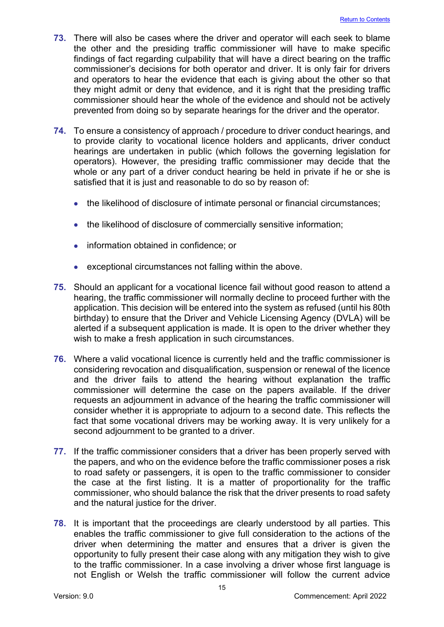- **73.** There will also be cases where the driver and operator will each seek to blame the other and the presiding traffic commissioner will have to make specific findings of fact regarding culpability that will have a direct bearing on the traffic commissioner's decisions for both operator and driver. It is only fair for drivers and operators to hear the evidence that each is giving about the other so that they might admit or deny that evidence, and it is right that the presiding traffic commissioner should hear the whole of the evidence and should not be actively prevented from doing so by separate hearings for the driver and the operator.
- **74.** To ensure a consistency of approach / procedure to driver conduct hearings, and to provide clarity to vocational licence holders and applicants, driver conduct hearings are undertaken in public (which follows the governing legislation for operators). However, the presiding traffic commissioner may decide that the whole or any part of a driver conduct hearing be held in private if he or she is satisfied that it is just and reasonable to do so by reason of:
	- the likelihood of disclosure of intimate personal or financial circumstances;
	- the likelihood of disclosure of commercially sensitive information;
	- information obtained in confidence; or
	- exceptional circumstances not falling within the above.
- **75.** Should an applicant for a vocational licence fail without good reason to attend a hearing, the traffic commissioner will normally decline to proceed further with the application. This decision will be entered into the system as refused (until his 80th birthday) to ensure that the Driver and Vehicle Licensing Agency (DVLA) will be alerted if a subsequent application is made. It is open to the driver whether they wish to make a fresh application in such circumstances.
- **76.** Where a valid vocational licence is currently held and the traffic commissioner is considering revocation and disqualification, suspension or renewal of the licence and the driver fails to attend the hearing without explanation the traffic commissioner will determine the case on the papers available. If the driver requests an adjournment in advance of the hearing the traffic commissioner will consider whether it is appropriate to adjourn to a second date. This reflects the fact that some vocational drivers may be working away. It is very unlikely for a second adjournment to be granted to a driver.
- **77.** If the traffic commissioner considers that a driver has been properly served with the papers, and who on the evidence before the traffic commissioner poses a risk to road safety or passengers, it is open to the traffic commissioner to consider the case at the first listing. It is a matter of proportionality for the traffic commissioner, who should balance the risk that the driver presents to road safety and the natural justice for the driver.
- **78.** It is important that the proceedings are clearly understood by all parties. This enables the traffic commissioner to give full consideration to the actions of the driver when determining the matter and ensures that a driver is given the opportunity to fully present their case along with any mitigation they wish to give to the traffic commissioner. In a case involving a driver whose first language is not English or Welsh the traffic commissioner will follow the current advice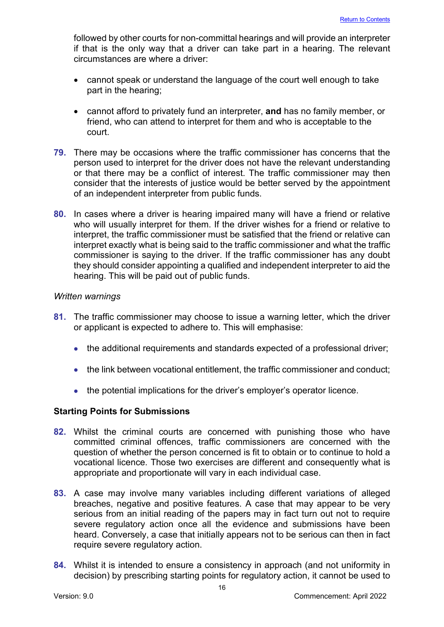followed by other courts for non-committal hearings and will provide an interpreter if that is the only way that a driver can take part in a hearing. The relevant circumstances are where a driver:

- cannot speak or understand the language of the court well enough to take part in the hearing;
- cannot afford to privately fund an interpreter, **and** has no family member, or friend, who can attend to interpret for them and who is acceptable to the court.
- **79.** There may be occasions where the traffic commissioner has concerns that the person used to interpret for the driver does not have the relevant understanding or that there may be a conflict of interest. The traffic commissioner may then consider that the interests of justice would be better served by the appointment of an independent interpreter from public funds.
- **80.** In cases where a driver is hearing impaired many will have a friend or relative who will usually interpret for them. If the driver wishes for a friend or relative to interpret, the traffic commissioner must be satisfied that the friend or relative can interpret exactly what is being said to the traffic commissioner and what the traffic commissioner is saying to the driver. If the traffic commissioner has any doubt they should consider appointing a qualified and independent interpreter to aid the hearing. This will be paid out of public funds.

#### *Written warnings*

- **81.** The traffic commissioner may choose to issue a warning letter, which the driver or applicant is expected to adhere to. This will emphasise:
	- the additional requirements and standards expected of a professional driver;
	- the link between vocational entitlement, the traffic commissioner and conduct;
	- the potential implications for the driver's employer's operator licence.

# <span id="page-16-0"></span>**Starting Points for Submissions**

- **82.** Whilst the criminal courts are concerned with punishing those who have committed criminal offences, traffic commissioners are concerned with the question of whether the person concerned is fit to obtain or to continue to hold a vocational licence. Those two exercises are different and consequently what is appropriate and proportionate will vary in each individual case.
- **83.** A case may involve many variables including different variations of alleged breaches, negative and positive features. A case that may appear to be very serious from an initial reading of the papers may in fact turn out not to require severe regulatory action once all the evidence and submissions have been heard. Conversely, a case that initially appears not to be serious can then in fact require severe regulatory action.
- **84.** Whilst it is intended to ensure a consistency in approach (and not uniformity in decision) by prescribing starting points for regulatory action, it cannot be used to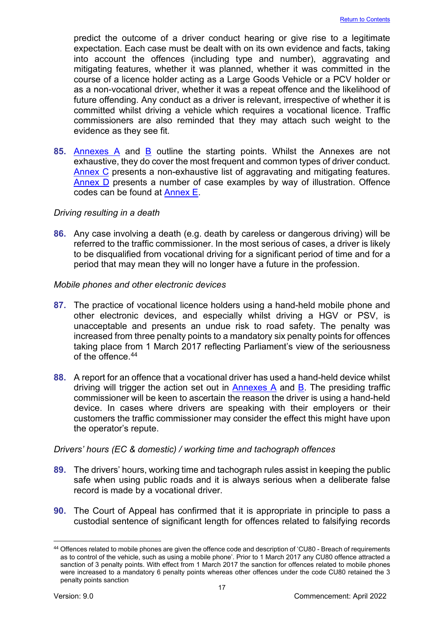predict the outcome of a driver conduct hearing or give rise to a legitimate expectation. Each case must be dealt with on its own evidence and facts, taking into account the offences (including type and number), aggravating and mitigating features, whether it was planned, whether it was committed in the course of a licence holder acting as a Large Goods Vehicle or a PCV holder or as a non-vocational driver, whether it was a repeat offence and the likelihood of future offending. Any conduct as a driver is relevant, irrespective of whether it is committed whilst driving a vehicle which requires a vocational licence. Traffic commissioners are also reminded that they may attach such weight to the evidence as they see fit.

**85.** [Annexes A](#page-24-0) and [B](#page-33-0) outline the starting points. Whilst the Annexes are not exhaustive, they do cover the most frequent and common types of driver conduct. [Annex C](#page-41-0) presents a non-exhaustive list of aggravating and mitigating features. [Annex D](#page-44-0) presents a number of case examples by way of illustration. Offence codes can be found at [Annex E.](#page-55-0)

#### *Driving resulting in a death*

**86.** Any case involving a death (e.g. death by careless or dangerous driving) will be referred to the traffic commissioner. In the most serious of cases, a driver is likely to be disqualified from vocational driving for a significant period of time and for a period that may mean they will no longer have a future in the profession.

#### *Mobile phones and other electronic devices*

- **87.** The practice of vocational licence holders using a hand-held mobile phone and other electronic devices, and especially whilst driving a HGV or PSV, is unacceptable and presents an undue risk to road safety. The penalty was increased from three penalty points to a mandatory six penalty points for offences taking place from 1 March 2017 reflecting Parliament's view of the seriousness of the offence.<sup>[44](#page-17-0)</sup>
- **88.** A report for an offence that a vocational driver has used a hand-held device whilst driving will trigger the action set out in [Annexes A](#page-24-0) and [B.](#page-33-0) The presiding traffic commissioner will be keen to ascertain the reason the driver is using a hand-held device. In cases where drivers are speaking with their employers or their customers the traffic commissioner may consider the effect this might have upon the operator's repute.

# *Drivers' hours (EC & domestic) / working time and tachograph offences*

- **89.** The drivers' hours, working time and tachograph rules assist in keeping the public safe when using public roads and it is always serious when a deliberate false record is made by a vocational driver.
- **90.** The Court of Appeal has confirmed that it is appropriate in principle to pass a custodial sentence of significant length for offences related to falsifying records

<span id="page-17-0"></span><sup>44</sup> Offences related to mobile phones are given the offence code and description of 'CU80 - Breach of requirements as to control of the vehicle, such as using a mobile phone'. Prior to 1 March 2017 any CU80 offence attracted a sanction of 3 penalty points. With effect from 1 March 2017 the sanction for offences related to mobile phones were increased to a mandatory 6 penalty points whereas other offences under the code CU80 retained the 3 penalty points sanction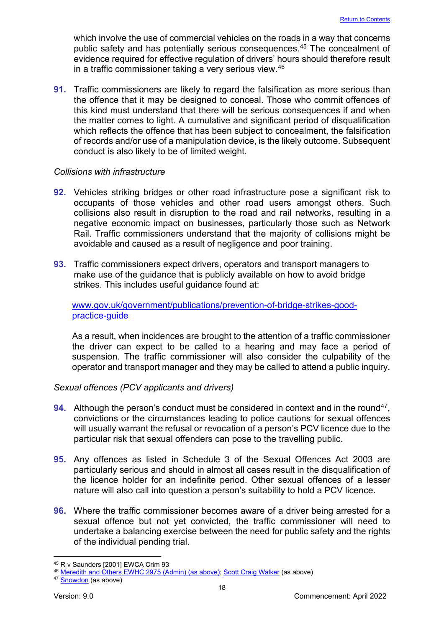which involve the use of commercial vehicles on the roads in a way that concerns public safety and has potentially serious consequences.<sup>45</sup> The concealment of evidence required for effective regulation of drivers' hours should therefore result in a traffic commissioner taking a very serious view. [46](#page-18-1)

**91.** Traffic commissioners are likely to regard the falsification as more serious than the offence that it may be designed to conceal. Those who commit offences of this kind must understand that there will be serious consequences if and when the matter comes to light. A cumulative and significant period of disqualification which reflects the offence that has been subject to concealment, the falsification of records and/or use of a manipulation device, is the likely outcome. Subsequent conduct is also likely to be of limited weight.

#### *Collisions with infrastructure*

- **92.** Vehicles striking bridges or other road infrastructure pose a significant risk to occupants of those vehicles and other road users amongst others. Such collisions also result in disruption to the road and rail networks, resulting in a negative economic impact on businesses, particularly those such as Network Rail. Traffic commissioners understand that the majority of collisions might be avoidable and caused as a result of negligence and poor training.
- **93.** Traffic commissioners expect drivers, operators and transport managers to make use of the guidance that is publicly available on how to avoid bridge strikes. This includes useful guidance found at:

#### [www.gov.uk/government/publications/prevention-of-bridge-strikes-good](http://www.gov.uk/government/publications/prevention-of-bridge-strikes-good-%20%20%20%20%20%20%20practice-guide)[practice-guide](http://www.gov.uk/government/publications/prevention-of-bridge-strikes-good-%20%20%20%20%20%20%20practice-guide)

As a result, when incidences are brought to the attention of a traffic commissioner the driver can expect to be called to a hearing and may face a period of suspension. The traffic commissioner will also consider the culpability of the operator and transport manager and they may be called to attend a public inquiry.

# *Sexual offences (PCV applicants and drivers)*

- **94.** Although the person's conduct must be considered in context and in the round<sup>47</sup>, convictions or the circumstances leading to police cautions for sexual offences will usually warrant the refusal or revocation of a person's PCV licence due to the particular risk that sexual offenders can pose to the travelling public.
- **95.** Any offences as listed in Schedule 3 of the Sexual Offences Act 2003 are particularly serious and should in almost all cases result in the disqualification of the licence holder for an indefinite period. Other sexual offences of a lesser nature will also call into question a person's suitability to hold a PCV licence.
- **96.** Where the traffic commissioner becomes aware of a driver being arrested for a sexual offence but not yet convicted, the traffic commissioner will need to undertake a balancing exercise between the need for public safety and the rights of the individual pending trial.

<span id="page-18-0"></span><sup>45</sup> R v Saunders [2001] EWCA Crim 93

<span id="page-18-1"></span><sup>46</sup> [Meredith and Others EWHC 2975 \(Admin\)](https://www.bailii.org/ew/cases/EWHC/Admin/2009/2975.html) (as above); [Scott Craig Walker](https://www.scotcourts.gov.uk/search-judgments/judgment?id=d8fd86a6-8980-69d2-b500-ff0000d74aa7) (as above)

<span id="page-18-2"></span><sup>47</sup> **[Snowdon](https://www.bailii.org/ew/cases/EWHC/Admin/2002/2394.html)** (as above)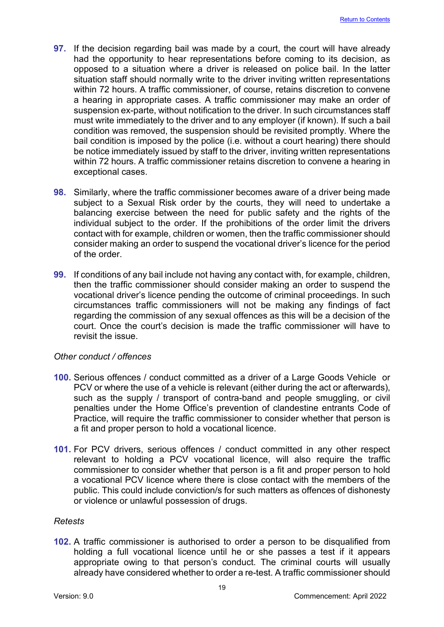- **97.** If the decision regarding bail was made by a court, the court will have already had the opportunity to hear representations before coming to its decision, as opposed to a situation where a driver is released on police bail. In the latter situation staff should normally write to the driver inviting written representations within 72 hours. A traffic commissioner, of course, retains discretion to convene a hearing in appropriate cases. A traffic commissioner may make an order of suspension ex-parte, without notification to the driver. In such circumstances staff must write immediately to the driver and to any employer (if known). If such a bail condition was removed, the suspension should be revisited promptly. Where the bail condition is imposed by the police (i.e. without a court hearing) there should be notice immediately issued by staff to the driver, inviting written representations within 72 hours. A traffic commissioner retains discretion to convene a hearing in exceptional cases.
- **98.** Similarly, where the traffic commissioner becomes aware of a driver being made subject to a Sexual Risk order by the courts, they will need to undertake a balancing exercise between the need for public safety and the rights of the individual subject to the order. If the prohibitions of the order limit the drivers contact with for example, children or women, then the traffic commissioner should consider making an order to suspend the vocational driver's licence for the period of the order.
- **99.** If conditions of any bail include not having any contact with, for example, children, then the traffic commissioner should consider making an order to suspend the vocational driver's licence pending the outcome of criminal proceedings. In such circumstances traffic commissioners will not be making any findings of fact regarding the commission of any sexual offences as this will be a decision of the court. Once the court's decision is made the traffic commissioner will have to revisit the issue.

#### *Other conduct / offences*

- **100.** Serious offences / conduct committed as a driver of a Large Goods Vehicle or PCV or where the use of a vehicle is relevant (either during the act or afterwards), such as the supply / transport of contra-band and people smuggling, or civil penalties under the Home Office's prevention of clandestine entrants Code of Practice, will require the traffic commissioner to consider whether that person is a fit and proper person to hold a vocational licence.
- **101.** For PCV drivers, serious offences / conduct committed in any other respect relevant to holding a PCV vocational licence, will also require the traffic commissioner to consider whether that person is a fit and proper person to hold a vocational PCV licence where there is close contact with the members of the public. This could include conviction/s for such matters as offences of dishonesty or violence or unlawful possession of drugs.

# *Retests*

**102.** A traffic commissioner is authorised to order a person to be disqualified from holding a full vocational licence until he or she passes a test if it appears appropriate owing to that person's conduct. The criminal courts will usually already have considered whether to order a re-test. A traffic commissioner should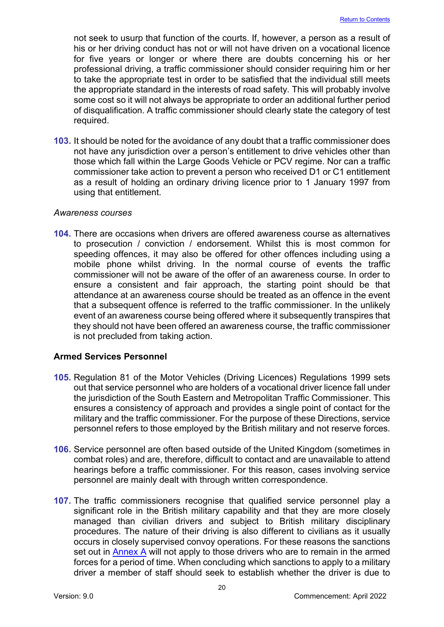not seek to usurp that function of the courts. If, however, a person as a result of his or her driving conduct has not or will not have driven on a vocational licence for five years or longer or where there are doubts concerning his or her professional driving, a traffic commissioner should consider requiring him or her to take the appropriate test in order to be satisfied that the individual still meets the appropriate standard in the interests of road safety. This will probably involve some cost so it will not always be appropriate to order an additional further period of disqualification. A traffic commissioner should clearly state the category of test required.

**103.** It should be noted for the avoidance of any doubt that a traffic commissioner does not have any jurisdiction over a person's entitlement to drive vehicles other than those which fall within the Large Goods Vehicle or PCV regime. Nor can a traffic commissioner take action to prevent a person who received D1 or C1 entitlement as a result of holding an ordinary driving licence prior to 1 January 1997 from using that entitlement.

#### *Awareness courses*

**104.** There are occasions when drivers are offered awareness course as alternatives to prosecution / conviction / endorsement. Whilst this is most common for speeding offences, it may also be offered for other offences including using a mobile phone whilst driving. In the normal course of events the traffic commissioner will not be aware of the offer of an awareness course. In order to ensure a consistent and fair approach, the starting point should be that attendance at an awareness course should be treated as an offence in the event that a subsequent offence is referred to the traffic commissioner. In the unlikely event of an awareness course being offered where it subsequently transpires that they should not have been offered an awareness course, the traffic commissioner is not precluded from taking action.

# <span id="page-20-0"></span>**Armed Services Personnel**

- **105.** Regulation 81 of the Motor Vehicles (Driving Licences) Regulations 1999 sets out that service personnel who are holders of a vocational driver licence fall under the jurisdiction of the South Eastern and Metropolitan Traffic Commissioner. This ensures a consistency of approach and provides a single point of contact for the military and the traffic commissioner. For the purpose of these Directions, service personnel refers to those employed by the British military and not reserve forces.
- **106.** Service personnel are often based outside of the United Kingdom (sometimes in combat roles) and are, therefore, difficult to contact and are unavailable to attend hearings before a traffic commissioner. For this reason, cases involving service personnel are mainly dealt with through written correspondence.
- **107.** The traffic commissioners recognise that qualified service personnel play a significant role in the British military capability and that they are more closely managed than civilian drivers and subject to British military disciplinary procedures. The nature of their driving is also different to civilians as it usually occurs in closely supervised convoy operations. For these reasons the sanctions set out in  $\frac{\text{Annex } A}{\text{will}}$  not apply to those drivers who are to remain in the armed forces for a period of time. When concluding which sanctions to apply to a military driver a member of staff should seek to establish whether the driver is due to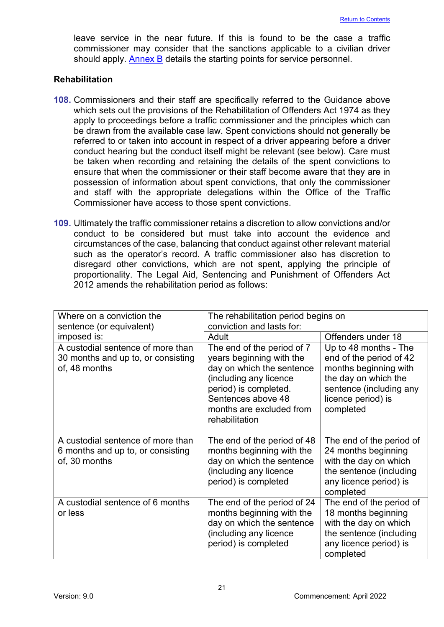leave service in the near future. If this is found to be the case a traffic commissioner may consider that the sanctions applicable to a civilian driver should apply. **Annex B** details the starting points for service personnel.

#### <span id="page-21-0"></span>**Rehabilitation**

- **108.** Commissioners and their staff are specifically referred to the Guidance above which sets out the provisions of the Rehabilitation of Offenders Act 1974 as they apply to proceedings before a traffic commissioner and the principles which can be drawn from the available case law. Spent convictions should not generally be referred to or taken into account in respect of a driver appearing before a driver conduct hearing but the conduct itself might be relevant (see below). Care must be taken when recording and retaining the details of the spent convictions to ensure that when the commissioner or their staff become aware that they are in possession of information about spent convictions, that only the commissioner and staff with the appropriate delegations within the Office of the Traffic Commissioner have access to those spent convictions.
- **109.** Ultimately the traffic commissioner retains a discretion to allow convictions and/or conduct to be considered but must take into account the evidence and circumstances of the case, balancing that conduct against other relevant material such as the operator's record. A traffic commissioner also has discretion to disregard other convictions, which are not spent, applying the principle of proportionality. The Legal Aid, Sentencing and Punishment of Offenders Act 2012 amends the rehabilitation period as follows:

| Where on a conviction the                                                                | The rehabilitation period begins on                                                                                                                                                                        |                                                                                                                                                                 |  |
|------------------------------------------------------------------------------------------|------------------------------------------------------------------------------------------------------------------------------------------------------------------------------------------------------------|-----------------------------------------------------------------------------------------------------------------------------------------------------------------|--|
| sentence (or equivalent)                                                                 | conviction and lasts for:                                                                                                                                                                                  |                                                                                                                                                                 |  |
| imposed is:                                                                              | Adult                                                                                                                                                                                                      | Offenders under 18                                                                                                                                              |  |
| A custodial sentence of more than<br>30 months and up to, or consisting<br>of, 48 months | The end of the period of 7<br>years beginning with the<br>day on which the sentence<br>(including any licence<br>period) is completed.<br>Sentences above 48<br>months are excluded from<br>rehabilitation | Up to 48 months - The<br>end of the period of 42<br>months beginning with<br>the day on which the<br>sentence (including any<br>licence period) is<br>completed |  |
| A custodial sentence of more than<br>6 months and up to, or consisting<br>of, 30 months  | The end of the period of 48<br>months beginning with the<br>day on which the sentence<br>(including any licence<br>period) is completed                                                                    | The end of the period of<br>24 months beginning<br>with the day on which<br>the sentence (including<br>any licence period) is<br>completed                      |  |
| A custodial sentence of 6 months<br>or less                                              | The end of the period of 24<br>months beginning with the<br>day on which the sentence<br>(including any licence<br>period) is completed                                                                    | The end of the period of<br>18 months beginning<br>with the day on which<br>the sentence (including<br>any licence period) is<br>completed                      |  |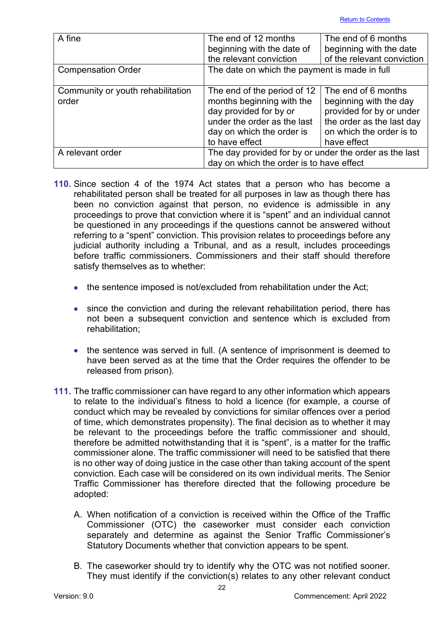| A fine                                     | The end of 12 months<br>beginning with the date of<br>the relevant conviction                                                                                    | The end of 6 months<br>beginning with the date<br>of the relevant conviction                                                                      |  |
|--------------------------------------------|------------------------------------------------------------------------------------------------------------------------------------------------------------------|---------------------------------------------------------------------------------------------------------------------------------------------------|--|
| <b>Compensation Order</b>                  | The date on which the payment is made in full                                                                                                                    |                                                                                                                                                   |  |
| Community or youth rehabilitation<br>order | The end of the period of 12<br>months beginning with the<br>day provided for by or<br>under the order as the last<br>day on which the order is<br>to have effect | The end of 6 months<br>beginning with the day<br>provided for by or under<br>the order as the last day<br>on which the order is to<br>have effect |  |
| A relevant order                           | The day provided for by or under the order as the last<br>day on which the order is to have effect                                                               |                                                                                                                                                   |  |

- **110.** Since section 4 of the 1974 Act states that a person who has become a rehabilitated person shall be treated for all purposes in law as though there has been no conviction against that person, no evidence is admissible in any proceedings to prove that conviction where it is "spent" and an individual cannot be questioned in any proceedings if the questions cannot be answered without referring to a "spent" conviction. This provision relates to proceedings before any judicial authority including a Tribunal, and as a result, includes proceedings before traffic commissioners. Commissioners and their staff should therefore satisfy themselves as to whether:
	- the sentence imposed is not/excluded from rehabilitation under the Act;
	- since the conviction and during the relevant rehabilitation period, there has not been a subsequent conviction and sentence which is excluded from rehabilitation;
	- the sentence was served in full. (A sentence of imprisonment is deemed to have been served as at the time that the Order requires the offender to be released from prison).
- **111.** The traffic commissioner can have regard to any other information which appears to relate to the individual's fitness to hold a licence (for example, a course of conduct which may be revealed by convictions for similar offences over a period of time, which demonstrates propensity). The final decision as to whether it may be relevant to the proceedings before the traffic commissioner and should, therefore be admitted notwithstanding that it is "spent", is a matter for the traffic commissioner alone. The traffic commissioner will need to be satisfied that there is no other way of doing justice in the case other than taking account of the spent conviction. Each case will be considered on its own individual merits. The Senior Traffic Commissioner has therefore directed that the following procedure be adopted:
	- A. When notification of a conviction is received within the Office of the Traffic Commissioner (OTC) the caseworker must consider each conviction separately and determine as against the Senior Traffic Commissioner's Statutory Documents whether that conviction appears to be spent.
	- B. The caseworker should try to identify why the OTC was not notified sooner. They must identify if the conviction(s) relates to any other relevant conduct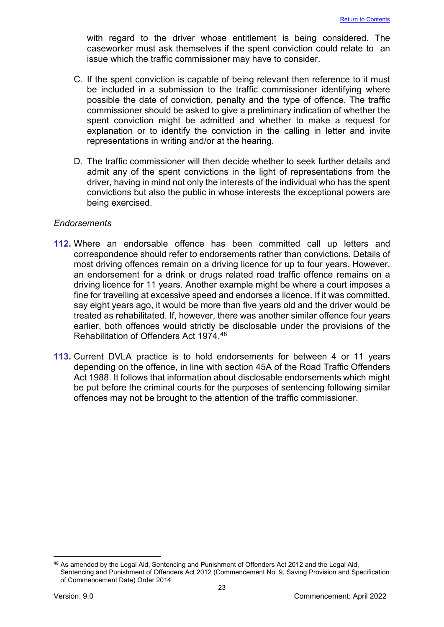with regard to the driver whose entitlement is being considered. The caseworker must ask themselves if the spent conviction could relate to an issue which the traffic commissioner may have to consider.

- C. If the spent conviction is capable of being relevant then reference to it must be included in a submission to the traffic commissioner identifying where possible the date of conviction, penalty and the type of offence. The traffic commissioner should be asked to give a preliminary indication of whether the spent conviction might be admitted and whether to make a request for explanation or to identify the conviction in the calling in letter and invite representations in writing and/or at the hearing.
- D. The traffic commissioner will then decide whether to seek further details and admit any of the spent convictions in the light of representations from the driver, having in mind not only the interests of the individual who has the spent convictions but also the public in whose interests the exceptional powers are being exercised.

#### *Endorsements*

- **112.** Where an endorsable offence has been committed call up letters and correspondence should refer to endorsements rather than convictions. Details of most driving offences remain on a driving licence for up to four years. However, an endorsement for a drink or drugs related road traffic offence remains on a driving licence for 11 years. Another example might be where a court imposes a fine for travelling at excessive speed and endorses a licence. If it was committed, say eight years ago, it would be more than five years old and the driver would be treated as rehabilitated. If, however, there was another similar offence four years earlier, both offences would strictly be disclosable under the provisions of the Rehabilitation of Offenders Act 1974. [48](#page-23-0)
- **113.** Current DVLA practice is to hold endorsements for between 4 or 11 years depending on the offence, in line with section 45A of the Road Traffic Offenders Act 1988. It follows that information about disclosable endorsements which might be put before the criminal courts for the purposes of sentencing following similar offences may not be brought to the attention of the traffic commissioner.

<span id="page-23-0"></span><sup>48</sup> As amended by the Legal Aid, Sentencing and Punishment of Offenders Act 2012 and the Legal Aid, Sentencing and Punishment of Offenders Act 2012 (Commencement No. 9, Saving Provision and Specification of Commencement Date) Order 2014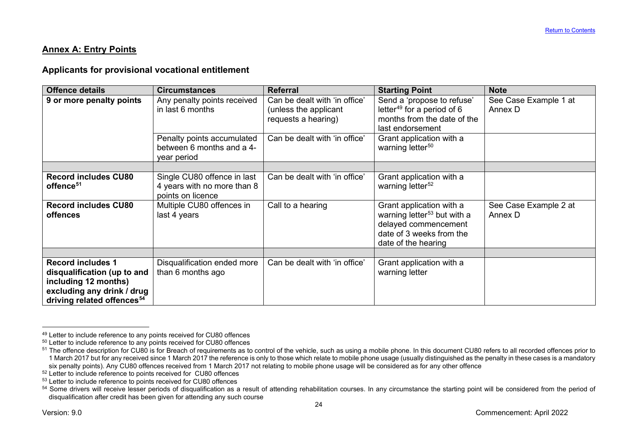#### <span id="page-24-6"></span><span id="page-24-5"></span><span id="page-24-4"></span><span id="page-24-3"></span><span id="page-24-2"></span><span id="page-24-1"></span>**Annex A: Entry Points**

#### **Applicants for provisional vocational entitlement**

| <b>Offence details</b>                                                                                                                                  | <b>Circumstances</b>                                                            | <b>Referral</b>                                                               | <b>Starting Point</b>                                                                                                                          | <b>Note</b>                      |
|---------------------------------------------------------------------------------------------------------------------------------------------------------|---------------------------------------------------------------------------------|-------------------------------------------------------------------------------|------------------------------------------------------------------------------------------------------------------------------------------------|----------------------------------|
| 9 or more penalty points                                                                                                                                | Any penalty points received<br>in last 6 months                                 | Can be dealt with 'in office'<br>(unless the applicant<br>requests a hearing) | Send a 'propose to refuse'<br>letter <sup>49</sup> for a period of $6$<br>months from the date of the<br>last endorsement                      | See Case Example 1 at<br>Annex D |
|                                                                                                                                                         | Penalty points accumulated<br>between 6 months and a 4-<br>year period          | Can be dealt with 'in office'                                                 | Grant application with a<br>warning letter <sup>50</sup>                                                                                       |                                  |
|                                                                                                                                                         |                                                                                 |                                                                               |                                                                                                                                                |                                  |
| <b>Record includes CU80</b><br>offence <sup>51</sup>                                                                                                    | Single CU80 offence in last<br>4 years with no more than 8<br>points on licence | Can be dealt with 'in office'                                                 | Grant application with a<br>warning letter <sup>52</sup>                                                                                       |                                  |
| <b>Record includes CU80</b><br><b>offences</b>                                                                                                          | Multiple CU80 offences in<br>last 4 years                                       | Call to a hearing                                                             | Grant application with a<br>warning letter <sup>53</sup> but with a<br>delayed commencement<br>date of 3 weeks from the<br>date of the hearing | See Case Example 2 at<br>Annex D |
|                                                                                                                                                         |                                                                                 |                                                                               |                                                                                                                                                |                                  |
| <b>Record includes 1</b><br>disqualification (up to and<br>including 12 months)<br>excluding any drink / drug<br>driving related offences <sup>54</sup> | Disqualification ended more<br>than 6 months ago                                | Can be dealt with 'in office'                                                 | Grant application with a<br>warning letter                                                                                                     |                                  |

<span id="page-24-0"></span><sup>&</sup>lt;sup>49</sup> Letter to include reference to any points received for CU80 offences

 $50$  Letter to include reference to any points received for CU80 offences

<sup>&</sup>lt;sup>51</sup> The offence description for CU80 is for Breach of requirements as to control of the vehicle, such as using a mobile phone. In this document CU80 refers to all recorded offences prior to 1 March 2017 but for any received since 1 March 2017 the reference is only to those which relate to mobile phone usage (usually distinguished as the penalty in these cases is a mandatory six penalty points). Any CU80 offences received from 1 March 2017 not relating to mobile phone usage will be considered as for any other offence

<sup>&</sup>lt;sup>52</sup> Letter to include reference to points received for CU80 offences

<sup>53</sup> Letter to include reference to points received for CU80 offences

<sup>&</sup>lt;sup>54</sup> Some drivers will receive lesser periods of disqualification as a result of attending rehabilitation courses. In any circumstance the starting point will be considered from the period of disqualification after credit has been given for attending any such course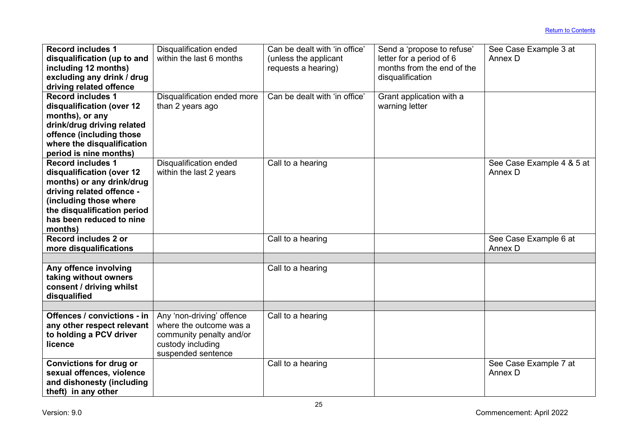| <b>Record includes 1</b><br><b>Disqualification ended</b><br>Can be dealt with 'in office'<br>Send a 'propose to refuse'<br>See Case Example 3 at |  |
|---------------------------------------------------------------------------------------------------------------------------------------------------|--|
| within the last 6 months<br>disqualification (up to and<br>letter for a period of 6<br>Annex D<br>(unless the applicant                           |  |
| months from the end of the<br>including 12 months)<br>requests a hearing)                                                                         |  |
| excluding any drink / drug<br>disqualification                                                                                                    |  |
| driving related offence                                                                                                                           |  |
| <b>Record includes 1</b><br>Disqualification ended more<br>Can be dealt with 'in office'<br>Grant application with a                              |  |
| warning letter<br>disqualification (over 12<br>than 2 years ago                                                                                   |  |
| months), or any                                                                                                                                   |  |
| drink/drug driving related                                                                                                                        |  |
| offence (including those                                                                                                                          |  |
| where the disqualification                                                                                                                        |  |
| period is nine months)                                                                                                                            |  |
| <b>Record includes 1</b><br><b>Disqualification ended</b><br>Call to a hearing<br>See Case Example 4 & 5 at                                       |  |
| Annex D<br>within the last 2 years<br>disqualification (over 12                                                                                   |  |
| months) or any drink/drug                                                                                                                         |  |
| driving related offence -                                                                                                                         |  |
| (including those where                                                                                                                            |  |
| the disqualification period                                                                                                                       |  |
| has been reduced to nine                                                                                                                          |  |
| months)                                                                                                                                           |  |
| Record includes 2 or<br>Call to a hearing<br>See Case Example 6 at                                                                                |  |
| Annex D<br>more disqualifications                                                                                                                 |  |
|                                                                                                                                                   |  |
| Any offence involving<br>Call to a hearing                                                                                                        |  |
| taking without owners                                                                                                                             |  |
| consent / driving whilst                                                                                                                          |  |
| disqualified                                                                                                                                      |  |
| Offences / convictions - in<br>Any 'non-driving' offence                                                                                          |  |
| Call to a hearing<br>where the outcome was a                                                                                                      |  |
| any other respect relevant<br>to holding a PCV driver                                                                                             |  |
| community penalty and/or<br>licence<br>custody including                                                                                          |  |
| suspended sentence                                                                                                                                |  |
| <b>Convictions for drug or</b><br>Call to a hearing<br>See Case Example 7 at                                                                      |  |
| sexual offences, violence<br>Annex D                                                                                                              |  |
| and dishonesty (including                                                                                                                         |  |
| theft) in any other                                                                                                                               |  |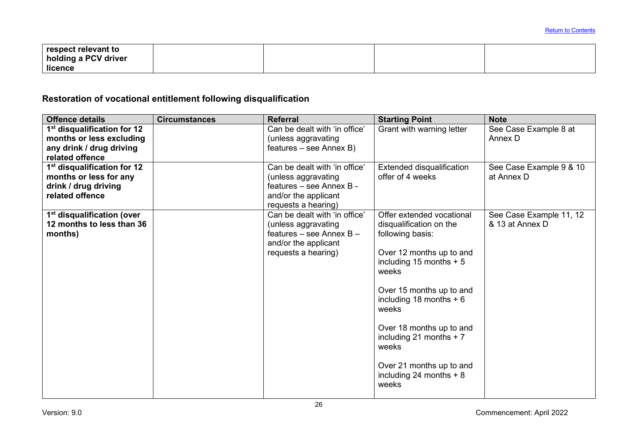| respect relevant to  |  |  |
|----------------------|--|--|
| holding a PCV driver |  |  |
| licence              |  |  |

# **Restoration of vocational entitlement following disqualification**

| <b>Offence details</b>                                                                                             | <b>Circumstances</b> | <b>Referral</b>                                                                                                                   | <b>Starting Point</b>                                                                                                                                                                                                                                                                                                                         | <b>Note</b>                                |
|--------------------------------------------------------------------------------------------------------------------|----------------------|-----------------------------------------------------------------------------------------------------------------------------------|-----------------------------------------------------------------------------------------------------------------------------------------------------------------------------------------------------------------------------------------------------------------------------------------------------------------------------------------------|--------------------------------------------|
| 1 <sup>st</sup> disqualification for 12<br>months or less excluding<br>any drink / drug driving<br>related offence |                      | Can be dealt with 'in office'<br>(unless aggravating<br>features - see Annex B)                                                   | Grant with warning letter                                                                                                                                                                                                                                                                                                                     | See Case Example 8 at<br>Annex D           |
| 1 <sup>st</sup> disqualification for 12<br>months or less for any<br>drink / drug driving<br>related offence       |                      | Can be dealt with 'in office'<br>(unless aggravating<br>features - see Annex B -<br>and/or the applicant<br>requests a hearing)   | Extended disqualification<br>offer of 4 weeks                                                                                                                                                                                                                                                                                                 | See Case Example 9 & 10<br>at Annex D      |
| 1 <sup>st</sup> disqualification (over<br>12 months to less than 36<br>months)                                     |                      | Can be dealt with 'in office'<br>(unless aggravating<br>features – see Annex $B -$<br>and/or the applicant<br>requests a hearing) | Offer extended vocational<br>disqualification on the<br>following basis:<br>Over 12 months up to and<br>including 15 months $+5$<br>weeks<br>Over 15 months up to and<br>including 18 months $+6$<br>weeks<br>Over 18 months up to and<br>including 21 months $+ 7$<br>weeks<br>Over 21 months up to and<br>including 24 months $+8$<br>weeks | See Case Example 11, 12<br>& 13 at Annex D |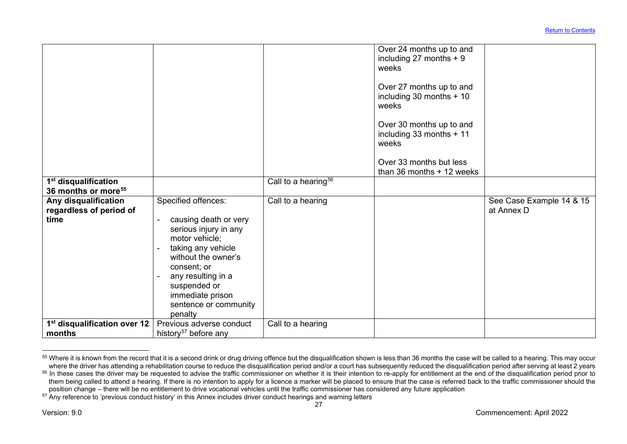<span id="page-27-2"></span><span id="page-27-1"></span><span id="page-27-0"></span>

| 1 <sup>st</sup> disqualification                        |                                                                                                                                                                                                                                                                                            | Call to a hearing <sup>56</sup> | Over 24 months up to and<br>including 27 months $+9$<br>weeks<br>Over 27 months up to and<br>including 30 months + 10<br>weeks<br>Over 30 months up to and<br>including 33 months + 11<br>weeks<br>Over 33 months but less<br>than $36$ months $+12$ weeks |                          |
|---------------------------------------------------------|--------------------------------------------------------------------------------------------------------------------------------------------------------------------------------------------------------------------------------------------------------------------------------------------|---------------------------------|------------------------------------------------------------------------------------------------------------------------------------------------------------------------------------------------------------------------------------------------------------|--------------------------|
| 36 months or more <sup>55</sup><br>Any disqualification | Specified offences:                                                                                                                                                                                                                                                                        | Call to a hearing               |                                                                                                                                                                                                                                                            | See Case Example 14 & 15 |
| regardless of period of                                 |                                                                                                                                                                                                                                                                                            |                                 |                                                                                                                                                                                                                                                            | at Annex D               |
| time                                                    | causing death or very<br>$\overline{a}$<br>serious injury in any<br>motor vehicle;<br>taking any vehicle<br>$\overline{\phantom{a}}$<br>without the owner's<br>consent; or<br>any resulting in a<br>$\blacksquare$<br>suspended or<br>immediate prison<br>sentence or community<br>penalty |                                 |                                                                                                                                                                                                                                                            |                          |
| 1 <sup>st</sup> disqualification over 12<br>months      | Previous adverse conduct<br>history <sup>57</sup> before any                                                                                                                                                                                                                               | Call to a hearing               |                                                                                                                                                                                                                                                            |                          |
|                                                         |                                                                                                                                                                                                                                                                                            |                                 |                                                                                                                                                                                                                                                            |                          |

<sup>55</sup> Where it is known from the record that it is a second drink or drug driving offence but the disqualification shown is less than 36 months the case will be called to a hearing. This may occur where the driver has attending a rehabilitation course to reduce the disqualification period and/or a court has subsequently reduced the disqualification period after serving at least 2 years

<sup>&</sup>lt;sup>56</sup> In these cases the driver may be requested to advise the traffic commissioner on whether it is their intention to re-apply for entitlement at the end of the disqualification period prior to them being called to attend a hearing. If there is no intention to apply for a licence a marker will be placed to ensure that the case is referred back to the traffic commissioner should the position change – there will be no entitlement to drive vocational vehicles until the traffic commissioner has considered any future application

<sup>57</sup> Any reference to 'previous conduct history' in this Annex includes driver conduct hearings and warning letters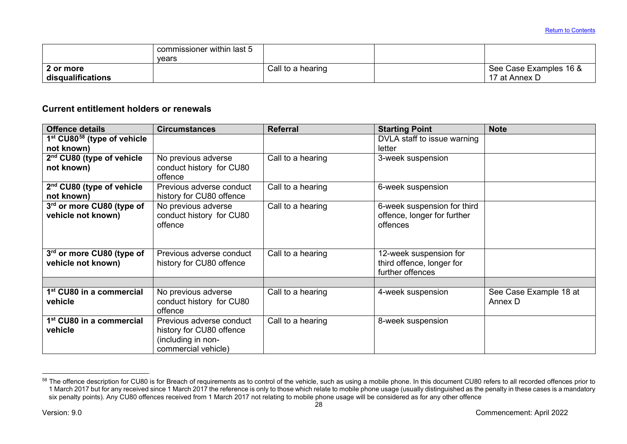<span id="page-28-0"></span>

|                   | commissioner within last 5 |                   |                        |
|-------------------|----------------------------|-------------------|------------------------|
|                   | vears                      |                   |                        |
| 2 or more         |                            | Call to a hearing | See Case Examples 16 & |
| disqualifications |                            |                   | 17 at Annex D          |

# **Current entitlement holders or renewals**

| <b>Offence details</b>                  | <b>Circumstances</b>     | <b>Referral</b>   | <b>Starting Point</b>       | <b>Note</b>            |
|-----------------------------------------|--------------------------|-------------------|-----------------------------|------------------------|
| 1st CU80 <sup>58</sup> (type of vehicle |                          |                   | DVLA staff to issue warning |                        |
| not known)                              |                          |                   | letter                      |                        |
| 2 <sup>nd</sup> CU80 (type of vehicle   | No previous adverse      | Call to a hearing | 3-week suspension           |                        |
| not known)                              | conduct history for CU80 |                   |                             |                        |
|                                         | offence                  |                   |                             |                        |
| 2 <sup>nd</sup> CU80 (type of vehicle   | Previous adverse conduct | Call to a hearing | 6-week suspension           |                        |
| not known)                              | history for CU80 offence |                   |                             |                        |
| 3rd or more CU80 (type of               | No previous adverse      | Call to a hearing | 6-week suspension for third |                        |
| vehicle not known)                      | conduct history for CU80 |                   | offence, longer for further |                        |
|                                         | offence                  |                   | offences                    |                        |
|                                         |                          |                   |                             |                        |
|                                         |                          |                   |                             |                        |
| 3rd or more CU80 (type of               | Previous adverse conduct | Call to a hearing | 12-week suspension for      |                        |
| vehicle not known)                      | history for CU80 offence |                   | third offence, longer for   |                        |
|                                         |                          |                   | further offences            |                        |
|                                         |                          |                   |                             |                        |
| 1 <sup>st</sup> CU80 in a commercial    | No previous adverse      | Call to a hearing | 4-week suspension           | See Case Example 18 at |
| vehicle                                 | conduct history for CU80 |                   |                             | Annex D                |
|                                         | offence                  |                   |                             |                        |
| 1 <sup>st</sup> CU80 in a commercial    | Previous adverse conduct | Call to a hearing | 8-week suspension           |                        |
| vehicle                                 | history for CU80 offence |                   |                             |                        |
|                                         | (including in non-       |                   |                             |                        |
|                                         | commercial vehicle)      |                   |                             |                        |

 $^{58}$  The offence description for CU80 is for Breach of requirements as to control of the vehicle, such as using a mobile phone. In this document CU80 refers to all recorded offences prior to 1 March 2017 but for any received since 1 March 2017 the reference is only to those which relate to mobile phone usage (usually distinguished as the penalty in these cases is a mandatory six penalty points). Any CU80 offences received from 1 March 2017 not relating to mobile phone usage will be considered as for any other offence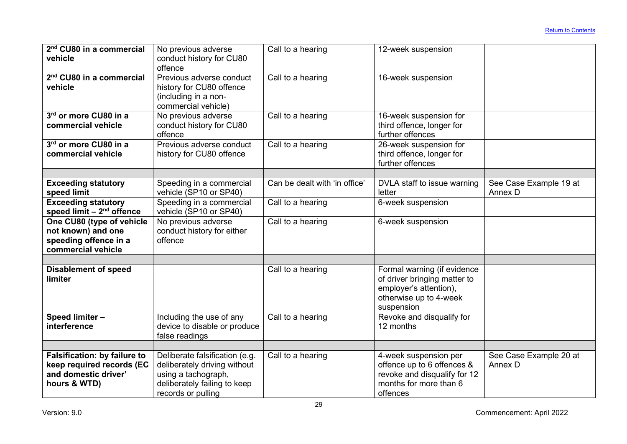| 2 <sup>nd</sup> CU80 in a commercial<br>vehicle                                                          | No previous adverse<br>conduct history for CU80<br>offence                                                                                  | Call to a hearing             | 12-week suspension                                                                                                            |                                   |
|----------------------------------------------------------------------------------------------------------|---------------------------------------------------------------------------------------------------------------------------------------------|-------------------------------|-------------------------------------------------------------------------------------------------------------------------------|-----------------------------------|
| 2 <sup>nd</sup> CU80 in a commercial<br>vehicle                                                          | Previous adverse conduct<br>history for CU80 offence<br>(including in a non-<br>commercial vehicle)                                         | Call to a hearing             | 16-week suspension                                                                                                            |                                   |
| 3rd or more CU80 in a<br>commercial vehicle                                                              | No previous adverse<br>conduct history for CU80<br>offence                                                                                  | Call to a hearing             | 16-week suspension for<br>third offence, longer for<br>further offences                                                       |                                   |
| 3rd or more CU80 in a<br>commercial vehicle                                                              | Previous adverse conduct<br>history for CU80 offence                                                                                        | Call to a hearing             | 26-week suspension for<br>third offence, longer for<br>further offences                                                       |                                   |
| <b>Exceeding statutory</b><br>speed limit                                                                | Speeding in a commercial<br>vehicle (SP10 or SP40)                                                                                          | Can be dealt with 'in office' | DVLA staff to issue warning<br>letter                                                                                         | See Case Example 19 at<br>Annex D |
| <b>Exceeding statutory</b><br>speed limit $-2nd$ offence                                                 | Speeding in a commercial<br>vehicle (SP10 or SP40)                                                                                          | Call to a hearing             | 6-week suspension                                                                                                             |                                   |
| One CU80 (type of vehicle<br>not known) and one<br>speeding offence in a<br>commercial vehicle           | No previous adverse<br>conduct history for either<br>offence                                                                                | Call to a hearing             | 6-week suspension                                                                                                             |                                   |
| <b>Disablement of speed</b><br>limiter                                                                   |                                                                                                                                             | Call to a hearing             | Formal warning (if evidence<br>of driver bringing matter to<br>employer's attention),<br>otherwise up to 4-week<br>suspension |                                   |
| Speed limiter -<br>interference                                                                          | Including the use of any<br>device to disable or produce<br>false readings                                                                  | Call to a hearing             | Revoke and disqualify for<br>12 months                                                                                        |                                   |
|                                                                                                          |                                                                                                                                             |                               |                                                                                                                               |                                   |
| <b>Falsification: by failure to</b><br>keep required records (EC<br>and domestic driver'<br>hours & WTD) | Deliberate falsification (e.g.<br>deliberately driving without<br>using a tachograph,<br>deliberately failing to keep<br>records or pulling | Call to a hearing             | 4-week suspension per<br>offence up to 6 offences &<br>revoke and disqualify for 12<br>months for more than 6<br>offences     | See Case Example 20 at<br>Annex D |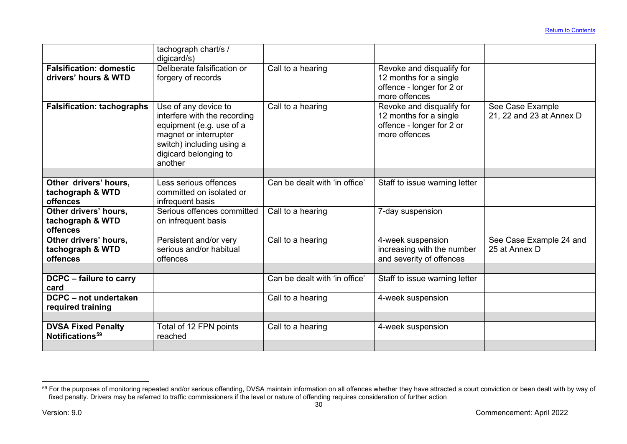<span id="page-30-0"></span>

|                                                          | tachograph chart/s /<br>digicard/s)                                                                                                                                        |                               |                                                                                                   |                                              |
|----------------------------------------------------------|----------------------------------------------------------------------------------------------------------------------------------------------------------------------------|-------------------------------|---------------------------------------------------------------------------------------------------|----------------------------------------------|
| <b>Falsification: domestic</b><br>drivers' hours & WTD   | Deliberate falsification or<br>forgery of records                                                                                                                          | Call to a hearing             | Revoke and disqualify for<br>12 months for a single<br>offence - longer for 2 or<br>more offences |                                              |
| <b>Falsification: tachographs</b>                        | Use of any device to<br>interfere with the recording<br>equipment (e.g. use of a<br>magnet or interrupter<br>switch) including using a<br>digicard belonging to<br>another | Call to a hearing             | Revoke and disqualify for<br>12 months for a single<br>offence - longer for 2 or<br>more offences | See Case Example<br>21, 22 and 23 at Annex D |
|                                                          |                                                                                                                                                                            |                               |                                                                                                   |                                              |
| Other drivers' hours,<br>tachograph & WTD<br>offences    | Less serious offences<br>committed on isolated or<br>infrequent basis                                                                                                      | Can be dealt with 'in office' | Staff to issue warning letter                                                                     |                                              |
| Other drivers' hours,<br>tachograph & WTD<br>offences    | Serious offences committed<br>on infrequent basis                                                                                                                          | Call to a hearing             | 7-day suspension                                                                                  |                                              |
| Other drivers' hours,<br>tachograph & WTD<br>offences    | Persistent and/or very<br>serious and/or habitual<br>offences                                                                                                              | Call to a hearing             | 4-week suspension<br>increasing with the number<br>and severity of offences                       | See Case Example 24 and<br>25 at Annex D     |
| DCPC - failure to carry                                  |                                                                                                                                                                            | Can be dealt with 'in office' | Staff to issue warning letter                                                                     |                                              |
| card                                                     |                                                                                                                                                                            |                               |                                                                                                   |                                              |
| DCPC - not undertaken<br>required training               |                                                                                                                                                                            | Call to a hearing             | 4-week suspension                                                                                 |                                              |
|                                                          |                                                                                                                                                                            |                               |                                                                                                   |                                              |
| <b>DVSA Fixed Penalty</b><br>Notifications <sup>59</sup> | Total of 12 FPN points<br>reached                                                                                                                                          | Call to a hearing             | 4-week suspension                                                                                 |                                              |
|                                                          |                                                                                                                                                                            |                               |                                                                                                   |                                              |

 $^{59}$  For the purposes of monitoring repeated and/or serious offending, DVSA maintain information on all offences whether they have attracted a court conviction or been dealt with by way of fixed penalty. Drivers may be referred to traffic commissioners if the level or nature of offending requires consideration of further action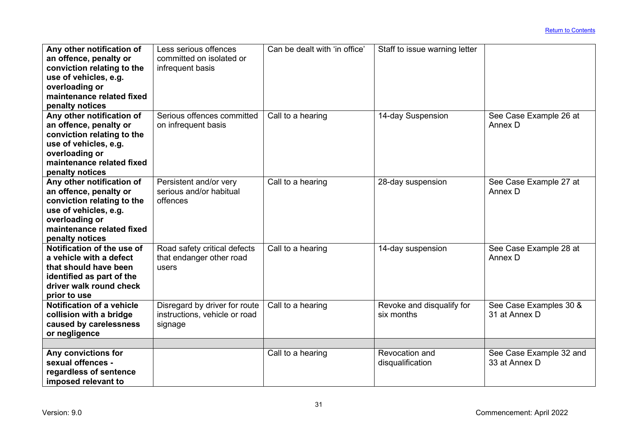| Any other notification of  | Less serious offences         | Can be dealt with 'in office' | Staff to issue warning letter |                         |
|----------------------------|-------------------------------|-------------------------------|-------------------------------|-------------------------|
| an offence, penalty or     | committed on isolated or      |                               |                               |                         |
| conviction relating to the | infrequent basis              |                               |                               |                         |
| use of vehicles, e.g.      |                               |                               |                               |                         |
| overloading or             |                               |                               |                               |                         |
| maintenance related fixed  |                               |                               |                               |                         |
| penalty notices            |                               |                               |                               |                         |
| Any other notification of  | Serious offences committed    | Call to a hearing             | 14-day Suspension             | See Case Example 26 at  |
| an offence, penalty or     | on infrequent basis           |                               |                               | Annex D                 |
| conviction relating to the |                               |                               |                               |                         |
| use of vehicles, e.g.      |                               |                               |                               |                         |
| overloading or             |                               |                               |                               |                         |
| maintenance related fixed  |                               |                               |                               |                         |
| penalty notices            |                               |                               |                               |                         |
| Any other notification of  | Persistent and/or very        | Call to a hearing             | 28-day suspension             | See Case Example 27 at  |
| an offence, penalty or     | serious and/or habitual       |                               |                               | Annex D                 |
| conviction relating to the | offences                      |                               |                               |                         |
| use of vehicles, e.g.      |                               |                               |                               |                         |
| overloading or             |                               |                               |                               |                         |
| maintenance related fixed  |                               |                               |                               |                         |
| penalty notices            |                               |                               |                               |                         |
| Notification of the use of | Road safety critical defects  | Call to a hearing             | 14-day suspension             | See Case Example 28 at  |
| a vehicle with a defect    | that endanger other road      |                               |                               | Annex D                 |
| that should have been      | users                         |                               |                               |                         |
| identified as part of the  |                               |                               |                               |                         |
| driver walk round check    |                               |                               |                               |                         |
| prior to use               |                               |                               |                               |                         |
| Notification of a vehicle  | Disregard by driver for route | Call to a hearing             | Revoke and disqualify for     | See Case Examples 30 &  |
| collision with a bridge    | instructions, vehicle or road |                               | six months                    | 31 at Annex D           |
| caused by carelessness     | signage                       |                               |                               |                         |
| or negligence              |                               |                               |                               |                         |
|                            |                               |                               |                               |                         |
| Any convictions for        |                               | Call to a hearing             | Revocation and                | See Case Example 32 and |
| sexual offences -          |                               |                               | disqualification              | 33 at Annex D           |
| regardless of sentence     |                               |                               |                               |                         |
| imposed relevant to        |                               |                               |                               |                         |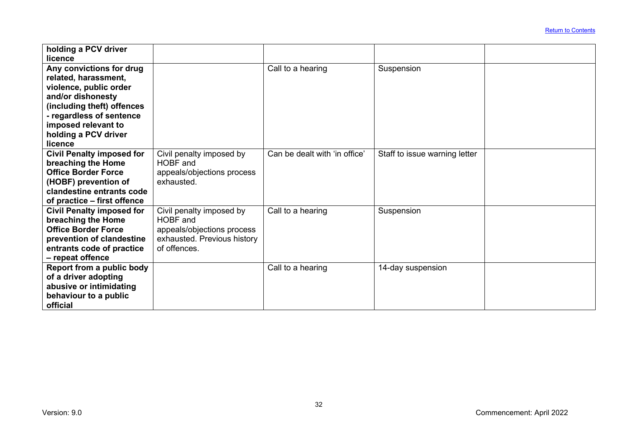| holding a PCV driver<br>licence                                 |                                          |                               |                               |  |
|-----------------------------------------------------------------|------------------------------------------|-------------------------------|-------------------------------|--|
| Any convictions for drug<br>related, harassment,                |                                          | Call to a hearing             | Suspension                    |  |
| violence, public order                                          |                                          |                               |                               |  |
| and/or dishonesty<br>(including theft) offences                 |                                          |                               |                               |  |
| - regardless of sentence<br>imposed relevant to                 |                                          |                               |                               |  |
| holding a PCV driver<br>licence                                 |                                          |                               |                               |  |
| <b>Civil Penalty imposed for</b><br>breaching the Home          | Civil penalty imposed by<br>HOBF and     | Can be dealt with 'in office' | Staff to issue warning letter |  |
| <b>Office Border Force</b><br>(HOBF) prevention of              | appeals/objections process<br>exhausted. |                               |                               |  |
| clandestine entrants code                                       |                                          |                               |                               |  |
| of practice – first offence<br><b>Civil Penalty imposed for</b> | Civil penalty imposed by                 | Call to a hearing             | Suspension                    |  |
| breaching the Home<br><b>Office Border Force</b>                | HOBF and<br>appeals/objections process   |                               |                               |  |
| prevention of clandestine                                       | exhausted. Previous history              |                               |                               |  |
| entrants code of practice<br>- repeat offence                   | of offences.                             |                               |                               |  |
| Report from a public body<br>of a driver adopting               |                                          | Call to a hearing             | 14-day suspension             |  |
| abusive or intimidating<br>behaviour to a public                |                                          |                               |                               |  |
| official                                                        |                                          |                               |                               |  |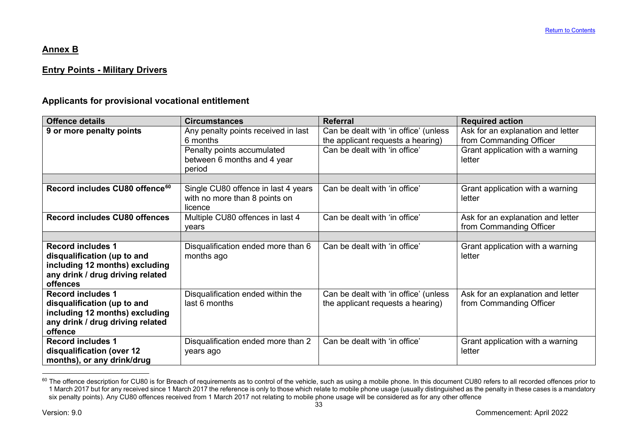# <span id="page-33-1"></span>**Annex B**

# **Entry Points - Military Drivers**

# **Applicants for provisional vocational entitlement**

<span id="page-33-0"></span>

| <b>Offence details</b>                       | <b>Circumstances</b>                                                            | <b>Referral</b>                                                            | <b>Required action</b>                                       |
|----------------------------------------------|---------------------------------------------------------------------------------|----------------------------------------------------------------------------|--------------------------------------------------------------|
| 9 or more penalty points                     | Any penalty points received in last<br>6 months                                 | Can be dealt with 'in office' (unless<br>the applicant requests a hearing) | Ask for an explanation and letter<br>from Commanding Officer |
|                                              | Penalty points accumulated<br>between 6 months and 4 year<br>period             | Can be dealt with 'in office'                                              | Grant application with a warning<br>letter                   |
|                                              |                                                                                 |                                                                            |                                                              |
| Record includes CU80 offence <sup>60</sup>   | Single CU80 offence in last 4 years<br>with no more than 8 points on<br>licence | Can be dealt with 'in office'                                              | Grant application with a warning<br>letter                   |
| <b>Record includes CU80 offences</b>         | Multiple CU80 offences in last 4<br>years                                       | Can be dealt with 'in office'                                              | Ask for an explanation and letter<br>from Commanding Officer |
|                                              |                                                                                 |                                                                            |                                                              |
| <b>Record includes 1</b>                     | Disqualification ended more than 6                                              | Can be dealt with 'in office'                                              | Grant application with a warning                             |
| disqualification (up to and                  | months ago                                                                      |                                                                            | letter                                                       |
| including 12 months) excluding               |                                                                                 |                                                                            |                                                              |
| any drink / drug driving related<br>offences |                                                                                 |                                                                            |                                                              |
| <b>Record includes 1</b>                     | Disqualification ended within the                                               | Can be dealt with 'in office' (unless                                      | Ask for an explanation and letter                            |
| disqualification (up to and                  | last 6 months                                                                   | the applicant requests a hearing)                                          | from Commanding Officer                                      |
| including 12 months) excluding               |                                                                                 |                                                                            |                                                              |
| any drink / drug driving related             |                                                                                 |                                                                            |                                                              |
| offence                                      |                                                                                 |                                                                            |                                                              |
| <b>Record includes 1</b>                     | Disqualification ended more than 2                                              | Can be dealt with 'in office'                                              | Grant application with a warning                             |
| disqualification (over 12                    | years ago                                                                       |                                                                            | letter                                                       |
| months), or any drink/drug                   |                                                                                 |                                                                            |                                                              |

<sup>&</sup>lt;sup>60</sup> The offence description for CU80 is for Breach of requirements as to control of the vehicle, such as using a mobile phone. In this document CU80 refers to all recorded offences prior to 1 March 2017 but for any received since 1 March 2017 the reference is only to those which relate to mobile phone usage (usually distinguished as the penalty in these cases is a mandatory six penalty points). Any CU80 offences received from 1 March 2017 not relating to mobile phone usage will be considered as for any other offence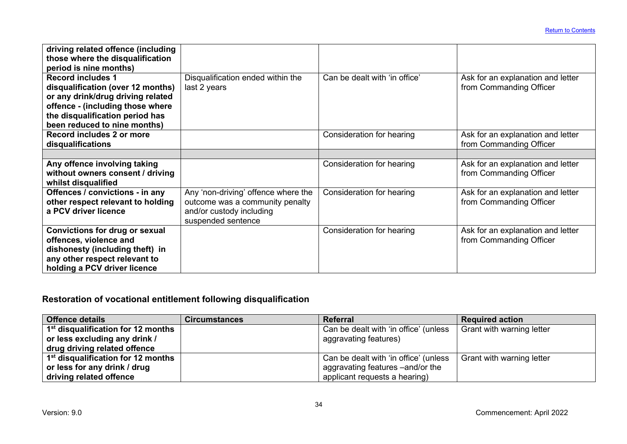| driving related offence (including<br>those where the disqualification<br>period is nine months)<br><b>Record includes 1</b><br>disqualification (over 12 months)<br>or any drink/drug driving related<br>offence - (including those where | Disqualification ended within the<br>last 2 years                                                                        | Can be dealt with 'in office' | Ask for an explanation and letter<br>from Commanding Officer |
|--------------------------------------------------------------------------------------------------------------------------------------------------------------------------------------------------------------------------------------------|--------------------------------------------------------------------------------------------------------------------------|-------------------------------|--------------------------------------------------------------|
| the disqualification period has<br>been reduced to nine months)                                                                                                                                                                            |                                                                                                                          |                               |                                                              |
| Record includes 2 or more<br>disqualifications                                                                                                                                                                                             |                                                                                                                          | Consideration for hearing     | Ask for an explanation and letter<br>from Commanding Officer |
|                                                                                                                                                                                                                                            |                                                                                                                          |                               |                                                              |
| Any offence involving taking<br>without owners consent / driving<br>whilst disqualified                                                                                                                                                    |                                                                                                                          | Consideration for hearing     | Ask for an explanation and letter<br>from Commanding Officer |
| Offences / convictions - in any<br>other respect relevant to holding<br>a PCV driver licence                                                                                                                                               | Any 'non-driving' offence where the<br>outcome was a community penalty<br>and/or custody including<br>suspended sentence | Consideration for hearing     | Ask for an explanation and letter<br>from Commanding Officer |
| <b>Convictions for drug or sexual</b><br>offences, violence and<br>dishonesty (including theft) in<br>any other respect relevant to<br>holding a PCV driver licence                                                                        |                                                                                                                          | Consideration for hearing     | Ask for an explanation and letter<br>from Commanding Officer |

# **Restoration of vocational entitlement following disqualification**

| <b>Offence details</b>                         | <b>Circumstances</b> | Referral                              | <b>Required action</b>    |
|------------------------------------------------|----------------------|---------------------------------------|---------------------------|
| 1 <sup>st</sup> disqualification for 12 months |                      | Can be dealt with 'in office' (unless | Grant with warning letter |
| or less excluding any drink /                  |                      | aggravating features)                 |                           |
| drug driving related offence                   |                      |                                       |                           |
| 1 <sup>st</sup> disqualification for 12 months |                      | Can be dealt with 'in office' (unless | Grant with warning letter |
| or less for any drink / drug                   |                      | aggravating features -and/or the      |                           |
| driving related offence                        |                      | applicant requests a hearing)         |                           |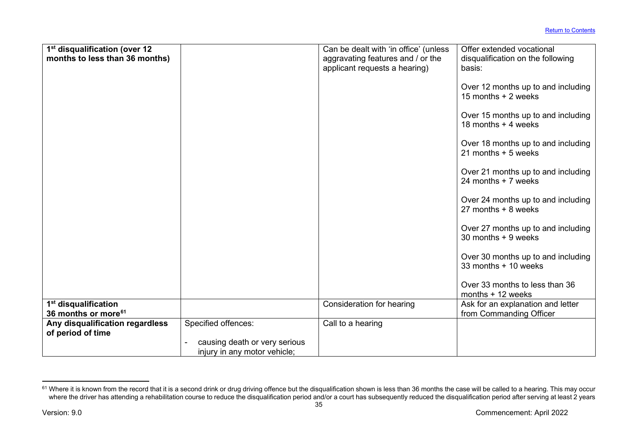<span id="page-35-0"></span>

| 1 <sup>st</sup> disqualification (over 12 |                               | Can be dealt with 'in office' (unless | Offer extended vocational          |
|-------------------------------------------|-------------------------------|---------------------------------------|------------------------------------|
| months to less than 36 months)            |                               | aggravating features and / or the     | disqualification on the following  |
|                                           |                               | applicant requests a hearing)         | basis:                             |
|                                           |                               |                                       |                                    |
|                                           |                               |                                       | Over 12 months up to and including |
|                                           |                               |                                       | 15 months + 2 weeks                |
|                                           |                               |                                       |                                    |
|                                           |                               |                                       | Over 15 months up to and including |
|                                           |                               |                                       | 18 months + 4 weeks                |
|                                           |                               |                                       |                                    |
|                                           |                               |                                       | Over 18 months up to and including |
|                                           |                               |                                       | 21 months $+5$ weeks               |
|                                           |                               |                                       |                                    |
|                                           |                               |                                       | Over 21 months up to and including |
|                                           |                               |                                       | 24 months + 7 weeks                |
|                                           |                               |                                       |                                    |
|                                           |                               |                                       | Over 24 months up to and including |
|                                           |                               |                                       | 27 months + 8 weeks                |
|                                           |                               |                                       |                                    |
|                                           |                               |                                       | Over 27 months up to and including |
|                                           |                               |                                       | $30$ months $+9$ weeks             |
|                                           |                               |                                       |                                    |
|                                           |                               |                                       | Over 30 months up to and including |
|                                           |                               |                                       | 33 months + 10 weeks               |
|                                           |                               |                                       |                                    |
|                                           |                               |                                       | Over 33 months to less than 36     |
|                                           |                               |                                       | months $+12$ weeks                 |
| 1 <sup>st</sup> disqualification          |                               | Consideration for hearing             | Ask for an explanation and letter  |
| 36 months or more <sup>61</sup>           |                               |                                       | from Commanding Officer            |
| Any disqualification regardless           | Specified offences:           | Call to a hearing                     |                                    |
| of period of time                         |                               |                                       |                                    |
|                                           | causing death or very serious |                                       |                                    |
|                                           |                               |                                       |                                    |

 $^{61}$  Where it is known from the record that it is a second drink or drug driving offence but the disqualification shown is less than 36 months the case will be called to a hearing. This may occur where the driver has attending a rehabilitation course to reduce the disqualification period and/or a court has subsequently reduced the disqualification period after serving at least 2 years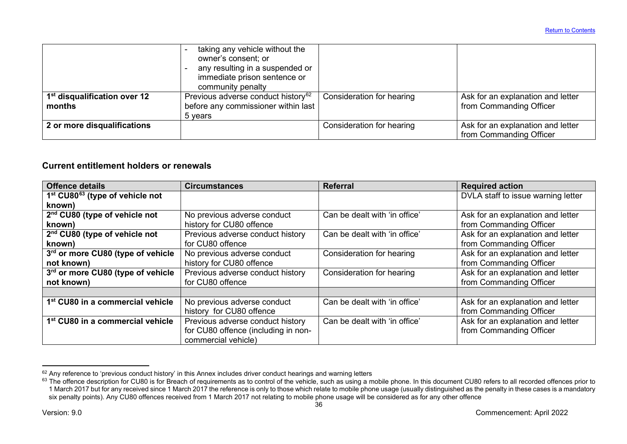<span id="page-36-1"></span><span id="page-36-0"></span>

|                                                    | taking any vehicle without the<br>owner's consent; or<br>any resulting in a suspended or<br>immediate prison sentence or<br>community penalty |                           |                                                              |
|----------------------------------------------------|-----------------------------------------------------------------------------------------------------------------------------------------------|---------------------------|--------------------------------------------------------------|
| 1 <sup>st</sup> disqualification over 12<br>months | Previous adverse conduct history <sup>62</sup><br>before any commissioner within last<br>5 years                                              | Consideration for hearing | Ask for an explanation and letter<br>from Commanding Officer |
| 2 or more disqualifications                        |                                                                                                                                               | Consideration for hearing | Ask for an explanation and letter<br>from Commanding Officer |

# **Current entitlement holders or renewals**

| <b>Offence details</b>                                  | <b>Circumstances</b>                | Referral                      | <b>Required action</b>             |
|---------------------------------------------------------|-------------------------------------|-------------------------------|------------------------------------|
| 1 <sup>st</sup> CU80 <sup>63</sup> (type of vehicle not |                                     |                               | DVLA staff to issue warning letter |
| known)                                                  |                                     |                               |                                    |
| 2 <sup>nd</sup> CU80 (type of vehicle not               | No previous adverse conduct         | Can be dealt with 'in office' | Ask for an explanation and letter  |
| known)                                                  | history for CU80 offence            |                               | from Commanding Officer            |
| 2 <sup>nd</sup> CU80 (type of vehicle not               | Previous adverse conduct history    | Can be dealt with 'in office' | Ask for an explanation and letter  |
| known)                                                  | for CU80 offence                    |                               | from Commanding Officer            |
| 3rd or more CU80 (type of vehicle                       | No previous adverse conduct         | Consideration for hearing     | Ask for an explanation and letter  |
| not known)                                              | history for CU80 offence            |                               | from Commanding Officer            |
| 3rd or more CU80 (type of vehicle                       | Previous adverse conduct history    | Consideration for hearing     | Ask for an explanation and letter  |
| not known)                                              | for CU80 offence                    |                               | from Commanding Officer            |
|                                                         |                                     |                               |                                    |
| 1 <sup>st</sup> CU80 in a commercial vehicle            | No previous adverse conduct         | Can be dealt with 'in office' | Ask for an explanation and letter  |
|                                                         | history for CU80 offence            |                               | from Commanding Officer            |
| 1 <sup>st</sup> CU80 in a commercial vehicle            | Previous adverse conduct history    | Can be dealt with 'in office' | Ask for an explanation and letter  |
|                                                         | for CU80 offence (including in non- |                               | from Commanding Officer            |
|                                                         | commercial vehicle)                 |                               |                                    |

 $^{62}$  Any reference to 'previous conduct history' in this Annex includes driver conduct hearings and warning letters

 $^{63}$  The offence description for CU80 is for Breach of requirements as to control of the vehicle, such as using a mobile phone. In this document CU80 refers to all recorded offences prior to 1 March 2017 but for any received since 1 March 2017 the reference is only to those which relate to mobile phone usage (usually distinguished as the penalty in these cases is a mandatory six penalty points). Any CU80 offences received from 1 March 2017 not relating to mobile phone usage will be considered as for any other offence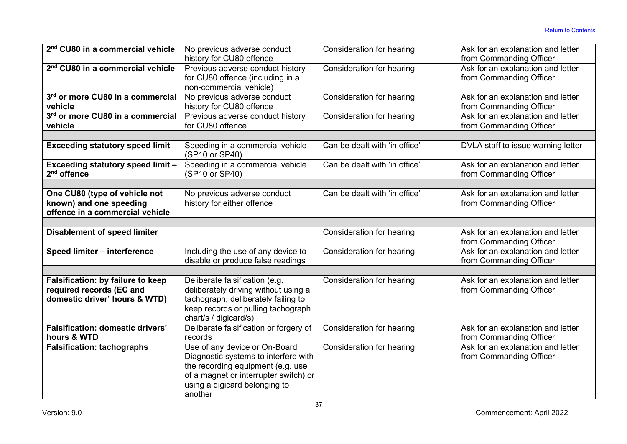| 2 <sup>nd</sup> CU80 in a commercial vehicle       | No previous adverse conduct                        | Consideration for hearing     | Ask for an explanation and letter                            |
|----------------------------------------------------|----------------------------------------------------|-------------------------------|--------------------------------------------------------------|
|                                                    | history for CU80 offence                           |                               | from Commanding Officer                                      |
| 2 <sup>nd</sup> CU80 in a commercial vehicle       | Previous adverse conduct history                   | Consideration for hearing     | Ask for an explanation and letter                            |
|                                                    | for CU80 offence (including in a                   |                               | from Commanding Officer                                      |
|                                                    | non-commercial vehicle)                            |                               |                                                              |
| 3rd or more CU80 in a commercial                   | No previous adverse conduct                        | Consideration for hearing     | Ask for an explanation and letter                            |
| vehicle                                            | history for CU80 offence                           |                               | from Commanding Officer                                      |
| 3rd or more CU80 in a commercial                   | Previous adverse conduct history                   | Consideration for hearing     | Ask for an explanation and letter                            |
| vehicle                                            | for CU80 offence                                   |                               | from Commanding Officer                                      |
|                                                    |                                                    |                               |                                                              |
| <b>Exceeding statutory speed limit</b>             | Speeding in a commercial vehicle<br>(SP10 or SP40) | Can be dealt with 'in office' | DVLA staff to issue warning letter                           |
| Exceeding statutory speed limit -<br>$2nd$ offence | Speeding in a commercial vehicle<br>(SP10 or SP40) | Can be dealt with 'in office' | Ask for an explanation and letter<br>from Commanding Officer |
|                                                    |                                                    |                               |                                                              |
| One CU80 (type of vehicle not                      | No previous adverse conduct                        | Can be dealt with 'in office' | Ask for an explanation and letter                            |
| known) and one speeding                            | history for either offence                         |                               | from Commanding Officer                                      |
| offence in a commercial vehicle                    |                                                    |                               |                                                              |
|                                                    |                                                    |                               |                                                              |
| <b>Disablement of speed limiter</b>                |                                                    | Consideration for hearing     | Ask for an explanation and letter<br>from Commanding Officer |
| Speed limiter - interference                       | Including the use of any device to                 | Consideration for hearing     | Ask for an explanation and letter                            |
|                                                    | disable or produce false readings                  |                               | from Commanding Officer                                      |
|                                                    |                                                    |                               |                                                              |
| Falsification: by failure to keep                  | Deliberate falsification (e.g.                     | Consideration for hearing     | Ask for an explanation and letter                            |
| required records (EC and                           | deliberately driving without using a               |                               | from Commanding Officer                                      |
| domestic driver' hours & WTD)                      | tachograph, deliberately failing to                |                               |                                                              |
|                                                    | keep records or pulling tachograph                 |                               |                                                              |
|                                                    | chart/s / digicard/s)                              |                               |                                                              |
| <b>Falsification: domestic drivers'</b>            | Deliberate falsification or forgery of             | Consideration for hearing     | Ask for an explanation and letter                            |
| hours & WTD                                        | records                                            |                               | from Commanding Officer                                      |
| <b>Falsification: tachographs</b>                  | Use of any device or On-Board                      | Consideration for hearing     | Ask for an explanation and letter                            |
|                                                    | Diagnostic systems to interfere with               |                               | from Commanding Officer                                      |
|                                                    | the recording equipment (e.g. use                  |                               |                                                              |
|                                                    | of a magnet or interrupter switch) or              |                               |                                                              |
|                                                    | using a digicard belonging to                      |                               |                                                              |
|                                                    | another                                            |                               |                                                              |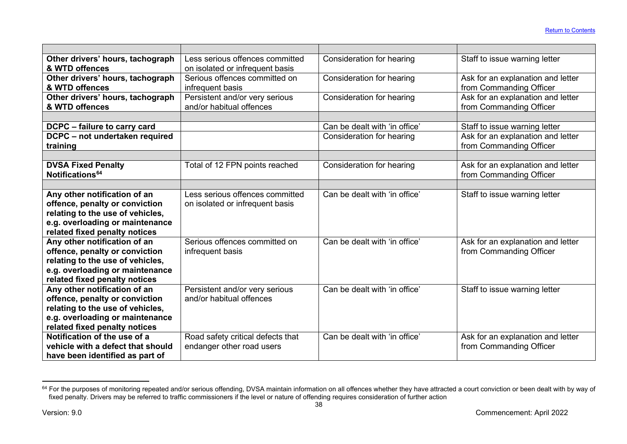<span id="page-38-0"></span>

| Other drivers' hours, tachograph<br>& WTD offences                                                                                                                     | Less serious offences committed<br>on isolated or infrequent basis | Consideration for hearing     | Staff to issue warning letter                                |
|------------------------------------------------------------------------------------------------------------------------------------------------------------------------|--------------------------------------------------------------------|-------------------------------|--------------------------------------------------------------|
| Other drivers' hours, tachograph<br>& WTD offences                                                                                                                     | Serious offences committed on<br>infrequent basis                  | Consideration for hearing     | Ask for an explanation and letter<br>from Commanding Officer |
| Other drivers' hours, tachograph<br>& WTD offences                                                                                                                     | Persistent and/or very serious<br>and/or habitual offences         | Consideration for hearing     | Ask for an explanation and letter<br>from Commanding Officer |
|                                                                                                                                                                        |                                                                    |                               |                                                              |
| DCPC - failure to carry card                                                                                                                                           |                                                                    | Can be dealt with 'in office' | Staff to issue warning letter                                |
| DCPC - not undertaken required<br>training                                                                                                                             |                                                                    | Consideration for hearing     | Ask for an explanation and letter<br>from Commanding Officer |
|                                                                                                                                                                        |                                                                    |                               |                                                              |
| <b>DVSA Fixed Penalty</b><br>Notifications <sup>64</sup>                                                                                                               | Total of 12 FPN points reached                                     | Consideration for hearing     | Ask for an explanation and letter<br>from Commanding Officer |
|                                                                                                                                                                        |                                                                    |                               |                                                              |
| Any other notification of an<br>offence, penalty or conviction<br>relating to the use of vehicles,<br>e.g. overloading or maintenance<br>related fixed penalty notices | Less serious offences committed<br>on isolated or infrequent basis | Can be dealt with 'in office' | Staff to issue warning letter                                |
| Any other notification of an<br>offence, penalty or conviction<br>relating to the use of vehicles,<br>e.g. overloading or maintenance<br>related fixed penalty notices | Serious offences committed on<br>infrequent basis                  | Can be dealt with 'in office' | Ask for an explanation and letter<br>from Commanding Officer |
| Any other notification of an<br>offence, penalty or conviction<br>relating to the use of vehicles,<br>e.g. overloading or maintenance<br>related fixed penalty notices | Persistent and/or very serious<br>and/or habitual offences         | Can be dealt with 'in office' | Staff to issue warning letter                                |
| Notification of the use of a<br>vehicle with a defect that should<br>have been identified as part of                                                                   | Road safety critical defects that<br>endanger other road users     | Can be dealt with 'in office' | Ask for an explanation and letter<br>from Commanding Officer |

 $^{64}$  For the purposes of monitoring repeated and/or serious offending, DVSA maintain information on all offences whether they have attracted a court conviction or been dealt with by way of fixed penalty. Drivers may be referred to traffic commissioners if the level or nature of offending requires consideration of further action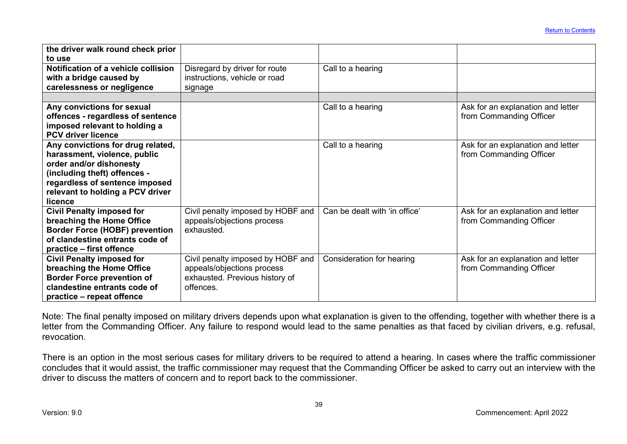| the driver walk round check prior<br>to use                                                                                                                                                                   |                                                                                                                |                               |                                                              |
|---------------------------------------------------------------------------------------------------------------------------------------------------------------------------------------------------------------|----------------------------------------------------------------------------------------------------------------|-------------------------------|--------------------------------------------------------------|
| Notification of a vehicle collision<br>with a bridge caused by<br>carelessness or negligence                                                                                                                  | Disregard by driver for route<br>instructions, vehicle or road<br>signage                                      | Call to a hearing             |                                                              |
| Any convictions for sexual<br>offences - regardless of sentence<br>imposed relevant to holding a<br><b>PCV driver licence</b>                                                                                 |                                                                                                                | Call to a hearing             | Ask for an explanation and letter<br>from Commanding Officer |
| Any convictions for drug related,<br>harassment, violence, public<br>order and/or dishonesty<br>(including theft) offences -<br>regardless of sentence imposed<br>relevant to holding a PCV driver<br>licence |                                                                                                                | Call to a hearing             | Ask for an explanation and letter<br>from Commanding Officer |
| <b>Civil Penalty imposed for</b><br>breaching the Home Office<br><b>Border Force (HOBF) prevention</b><br>of clandestine entrants code of<br>practice – first offence                                         | Civil penalty imposed by HOBF and<br>appeals/objections process<br>exhausted.                                  | Can be dealt with 'in office' | Ask for an explanation and letter<br>from Commanding Officer |
| <b>Civil Penalty imposed for</b><br>breaching the Home Office<br><b>Border Force prevention of</b><br>clandestine entrants code of<br>practice - repeat offence                                               | Civil penalty imposed by HOBF and<br>appeals/objections process<br>exhausted. Previous history of<br>offences. | Consideration for hearing     | Ask for an explanation and letter<br>from Commanding Officer |

Note: The final penalty imposed on military drivers depends upon what explanation is given to the offending, together with whether there is a letter from the Commanding Officer. Any failure to respond would lead to the same penalties as that faced by civilian drivers, e.g. refusal, revocation.

There is an option in the most serious cases for military drivers to be required to attend a hearing. In cases where the traffic commissioner concludes that it would assist, the traffic commissioner may request that the Commanding Officer be asked to carry out an interview with the driver to discuss the matters of concern and to report back to the commissioner.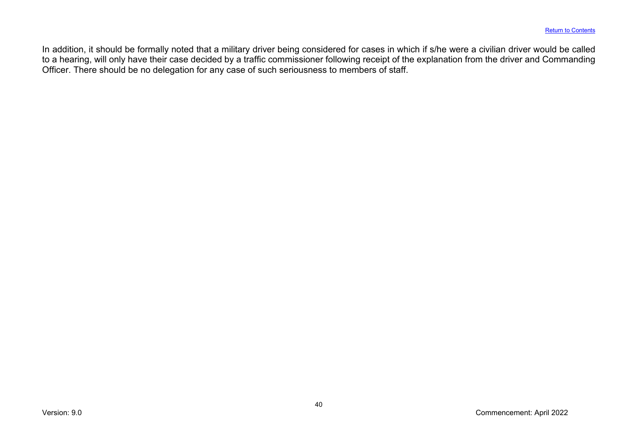In addition, it should be formally noted that a military driver being considered for cases in which if s/he were a civilian driver would be called to a hearing, will only have their case decided by a traffic commissioner following receipt of the explanation from the driver and Commanding Officer. There should be no delegation for any case of such seriousness to members of staff.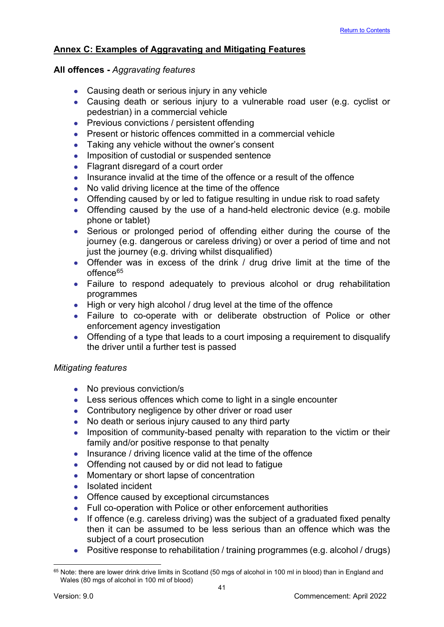# <span id="page-41-0"></span>**Annex C: Examples of Aggravating and Mitigating Features**

# **All offences -** *Aggravating features*

- Causing death or serious injury in any vehicle
- Causing death or serious injury to a vulnerable road user (e.g. cyclist or pedestrian) in a commercial vehicle
- Previous convictions / persistent offending
- Present or historic offences committed in a commercial vehicle
- Taking any vehicle without the owner's consent
- Imposition of custodial or suspended sentence
- Flagrant disregard of a court order
- Insurance invalid at the time of the offence or a result of the offence
- No valid driving licence at the time of the offence
- Offending caused by or led to fatigue resulting in undue risk to road safety
- Offending caused by the use of a hand-held electronic device (e.g. mobile phone or tablet)
- Serious or prolonged period of offending either during the course of the journey (e.g. dangerous or careless driving) or over a period of time and not just the journey (e.g. driving whilst disqualified)
- Offender was in excess of the drink / drug drive limit at the time of the offence<sup>[65](#page-41-1)</sup>
- Failure to respond adequately to previous alcohol or drug rehabilitation programmes
- High or very high alcohol / drug level at the time of the offence
- Failure to co-operate with or deliberate obstruction of Police or other enforcement agency investigation
- Offending of a type that leads to a court imposing a requirement to disqualify the driver until a further test is passed

# *Mitigating features*

- No previous conviction/s
- Less serious offences which come to light in a single encounter
- Contributory negligence by other driver or road user
- No death or serious injury caused to any third party
- Imposition of community-based penalty with reparation to the victim or their family and/or positive response to that penalty
- Insurance / driving licence valid at the time of the offence
- Offending not caused by or did not lead to fatigue
- Momentary or short lapse of concentration
- Isolated incident
- Offence caused by exceptional circumstances
- Full co-operation with Police or other enforcement authorities
- If offence (e.g. careless driving) was the subject of a graduated fixed penalty then it can be assumed to be less serious than an offence which was the subject of a court prosecution
- Positive response to rehabilitation / training programmes (e.g. alcohol / drugs)

<span id="page-41-1"></span><sup>&</sup>lt;sup>65</sup> Note: there are lower drink drive limits in Scotland (50 mgs of alcohol in 100 ml in blood) than in England and Wales (80 mgs of alcohol in 100 ml of blood)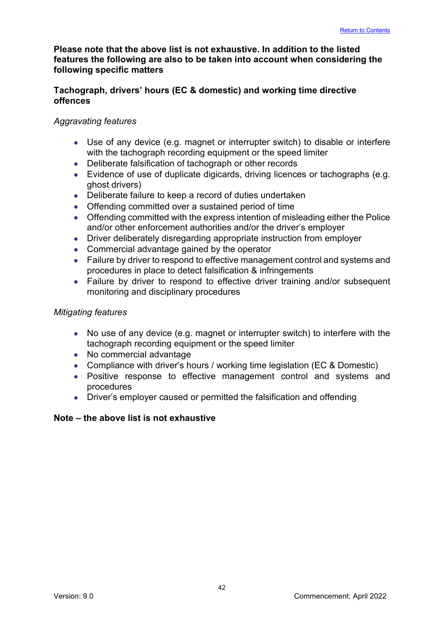# **Please note that the above list is not exhaustive. In addition to the listed features the following are also to be taken into account when considering the following specific matters**

# **Tachograph, drivers' hours (EC & domestic) and working time directive offences**

# *Aggravating features*

- Use of any device (e.g. magnet or interrupter switch) to disable or interfere with the tachograph recording equipment or the speed limiter
- Deliberate falsification of tachograph or other records
- Evidence of use of duplicate digicards, driving licences or tachographs (e.g. ghost drivers)
- Deliberate failure to keep a record of duties undertaken
- Offending committed over a sustained period of time
- Offending committed with the express intention of misleading either the Police and/or other enforcement authorities and/or the driver's employer
- Driver deliberately disregarding appropriate instruction from employer
- Commercial advantage gained by the operator
- Failure by driver to respond to effective management control and systems and procedures in place to detect falsification & infringements
- Failure by driver to respond to effective driver training and/or subsequent monitoring and disciplinary procedures

# *Mitigating features*

- No use of any device (e.g. magnet or interrupter switch) to interfere with the tachograph recording equipment or the speed limiter
- No commercial advantage
- Compliance with driver's hours / working time legislation (EC & Domestic)
- Positive response to effective management control and systems and procedures
- Driver's employer caused or permitted the falsification and offending

# **Note – the above list is not exhaustive**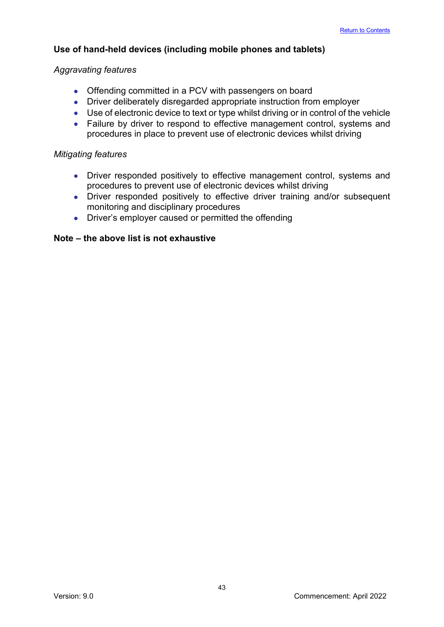# **Use of hand-held devices (including mobile phones and tablets)**

# *Aggravating features*

- Offending committed in a PCV with passengers on board
- Driver deliberately disregarded appropriate instruction from employer
- Use of electronic device to text or type whilst driving or in control of the vehicle
- Failure by driver to respond to effective management control, systems and procedures in place to prevent use of electronic devices whilst driving

# *Mitigating features*

- Driver responded positively to effective management control, systems and procedures to prevent use of electronic devices whilst driving
- Driver responded positively to effective driver training and/or subsequent monitoring and disciplinary procedures
- Driver's employer caused or permitted the offending

#### **Note – the above list is not exhaustive**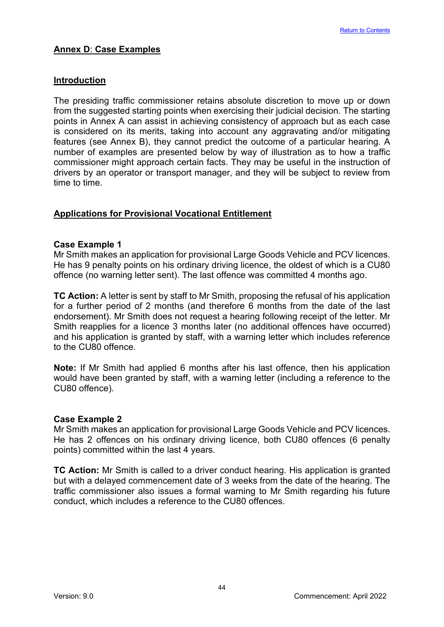# <span id="page-44-0"></span>**Introduction**

The presiding traffic commissioner retains absolute discretion to move up or down from the suggested starting points when exercising their judicial decision. The starting points in Annex A can assist in achieving consistency of approach but as each case is considered on its merits, taking into account any aggravating and/or mitigating features (see Annex B), they cannot predict the outcome of a particular hearing. A number of examples are presented below by way of illustration as to how a traffic commissioner might approach certain facts. They may be useful in the instruction of drivers by an operator or transport manager, and they will be subject to review from time to time.

# **Applications for Provisional Vocational Entitlement**

# **Case Example 1**

Mr Smith makes an application for provisional Large Goods Vehicle and PCV licences. He has 9 penalty points on his ordinary driving licence, the oldest of which is a CU80 offence (no warning letter sent). The last offence was committed 4 months ago.

**TC Action:** A letter is sent by staff to Mr Smith, proposing the refusal of his application for a further period of 2 months (and therefore 6 months from the date of the last endorsement). Mr Smith does not request a hearing following receipt of the letter. Mr Smith reapplies for a licence 3 months later (no additional offences have occurred) and his application is granted by staff, with a warning letter which includes reference to the CU80 offence.

**Note:** If Mr Smith had applied 6 months after his last offence, then his application would have been granted by staff, with a warning letter (including a reference to the CU80 offence).

#### **Case Example 2**

Mr Smith makes an application for provisional Large Goods Vehicle and PCV licences. He has 2 offences on his ordinary driving licence, both CU80 offences (6 penalty points) committed within the last 4 years.

**TC Action:** Mr Smith is called to a driver conduct hearing. His application is granted but with a delayed commencement date of 3 weeks from the date of the hearing. The traffic commissioner also issues a formal warning to Mr Smith regarding his future conduct, which includes a reference to the CU80 offences.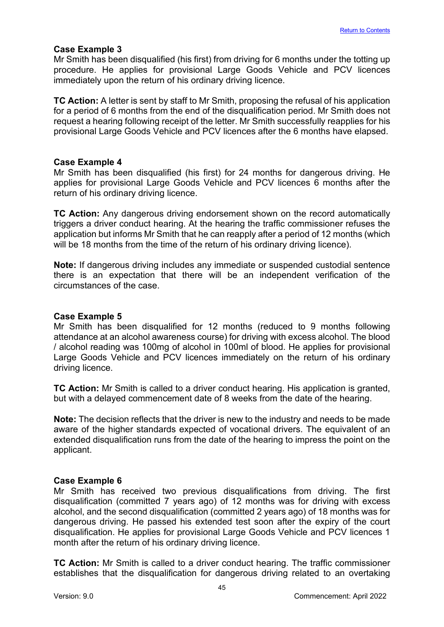#### **Case Example 3**

Mr Smith has been disqualified (his first) from driving for 6 months under the totting up procedure. He applies for provisional Large Goods Vehicle and PCV licences immediately upon the return of his ordinary driving licence.

**TC Action:** A letter is sent by staff to Mr Smith, proposing the refusal of his application for a period of 6 months from the end of the disqualification period. Mr Smith does not request a hearing following receipt of the letter. Mr Smith successfully reapplies for his provisional Large Goods Vehicle and PCV licences after the 6 months have elapsed.

#### **Case Example 4**

Mr Smith has been disqualified (his first) for 24 months for dangerous driving. He applies for provisional Large Goods Vehicle and PCV licences 6 months after the return of his ordinary driving licence.

**TC Action:** Any dangerous driving endorsement shown on the record automatically triggers a driver conduct hearing. At the hearing the traffic commissioner refuses the application but informs Mr Smith that he can reapply after a period of 12 months (which will be 18 months from the time of the return of his ordinary driving licence).

**Note:** If dangerous driving includes any immediate or suspended custodial sentence there is an expectation that there will be an independent verification of the circumstances of the case.

#### **Case Example 5**

Mr Smith has been disqualified for 12 months (reduced to 9 months following attendance at an alcohol awareness course) for driving with excess alcohol. The blood / alcohol reading was 100mg of alcohol in 100ml of blood. He applies for provisional Large Goods Vehicle and PCV licences immediately on the return of his ordinary driving licence.

**TC Action:** Mr Smith is called to a driver conduct hearing. His application is granted, but with a delayed commencement date of 8 weeks from the date of the hearing.

**Note:** The decision reflects that the driver is new to the industry and needs to be made aware of the higher standards expected of vocational drivers. The equivalent of an extended disqualification runs from the date of the hearing to impress the point on the applicant.

# **Case Example 6**

Mr Smith has received two previous disqualifications from driving. The first disqualification (committed 7 years ago) of 12 months was for driving with excess alcohol, and the second disqualification (committed 2 years ago) of 18 months was for dangerous driving. He passed his extended test soon after the expiry of the court disqualification. He applies for provisional Large Goods Vehicle and PCV licences 1 month after the return of his ordinary driving licence.

**TC Action:** Mr Smith is called to a driver conduct hearing. The traffic commissioner establishes that the disqualification for dangerous driving related to an overtaking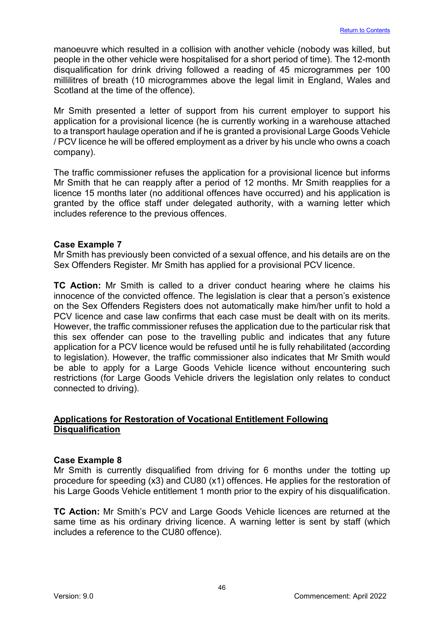manoeuvre which resulted in a collision with another vehicle (nobody was killed, but people in the other vehicle were hospitalised for a short period of time). The 12-month disqualification for drink driving followed a reading of 45 microgrammes per 100 millilitres of breath (10 microgrammes above the legal limit in England, Wales and Scotland at the time of the offence).

Mr Smith presented a letter of support from his current employer to support his application for a provisional licence (he is currently working in a warehouse attached to a transport haulage operation and if he is granted a provisional Large Goods Vehicle / PCV licence he will be offered employment as a driver by his uncle who owns a coach company).

The traffic commissioner refuses the application for a provisional licence but informs Mr Smith that he can reapply after a period of 12 months. Mr Smith reapplies for a licence 15 months later (no additional offences have occurred) and his application is granted by the office staff under delegated authority, with a warning letter which includes reference to the previous offences.

#### **Case Example 7**

Mr Smith has previously been convicted of a sexual offence, and his details are on the Sex Offenders Register. Mr Smith has applied for a provisional PCV licence.

**TC Action:** Mr Smith is called to a driver conduct hearing where he claims his innocence of the convicted offence. The legislation is clear that a person's existence on the Sex Offenders Registers does not automatically make him/her unfit to hold a PCV licence and case law confirms that each case must be dealt with on its merits. However, the traffic commissioner refuses the application due to the particular risk that this sex offender can pose to the travelling public and indicates that any future application for a PCV licence would be refused until he is fully rehabilitated (according to legislation). However, the traffic commissioner also indicates that Mr Smith would be able to apply for a Large Goods Vehicle licence without encountering such restrictions (for Large Goods Vehicle drivers the legislation only relates to conduct connected to driving).

# **Applications for Restoration of Vocational Entitlement Following Disqualification**

#### **Case Example 8**

Mr Smith is currently disqualified from driving for 6 months under the totting up procedure for speeding (x3) and CU80 (x1) offences. He applies for the restoration of his Large Goods Vehicle entitlement 1 month prior to the expiry of his disqualification.

**TC Action:** Mr Smith's PCV and Large Goods Vehicle licences are returned at the same time as his ordinary driving licence. A warning letter is sent by staff (which includes a reference to the CU80 offence).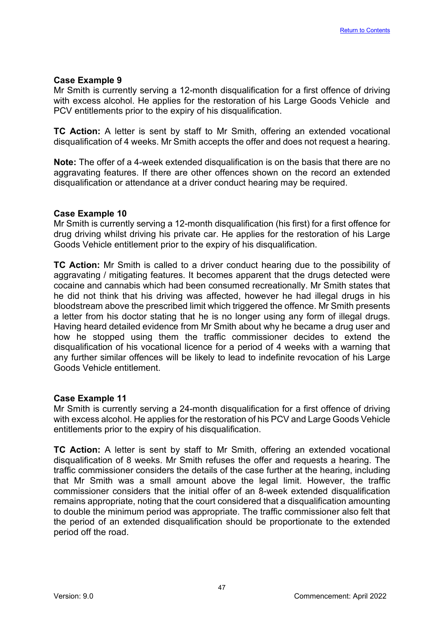#### **Case Example 9**

Mr Smith is currently serving a 12-month disqualification for a first offence of driving with excess alcohol. He applies for the restoration of his Large Goods Vehicle and PCV entitlements prior to the expiry of his disqualification.

**TC Action:** A letter is sent by staff to Mr Smith, offering an extended vocational disqualification of 4 weeks. Mr Smith accepts the offer and does not request a hearing.

**Note:** The offer of a 4-week extended disqualification is on the basis that there are no aggravating features. If there are other offences shown on the record an extended disqualification or attendance at a driver conduct hearing may be required.

#### **Case Example 10**

Mr Smith is currently serving a 12-month disqualification (his first) for a first offence for drug driving whilst driving his private car. He applies for the restoration of his Large Goods Vehicle entitlement prior to the expiry of his disqualification.

**TC Action:** Mr Smith is called to a driver conduct hearing due to the possibility of aggravating / mitigating features. It becomes apparent that the drugs detected were cocaine and cannabis which had been consumed recreationally. Mr Smith states that he did not think that his driving was affected, however he had illegal drugs in his bloodstream above the prescribed limit which triggered the offence. Mr Smith presents a letter from his doctor stating that he is no longer using any form of illegal drugs. Having heard detailed evidence from Mr Smith about why he became a drug user and how he stopped using them the traffic commissioner decides to extend the disqualification of his vocational licence for a period of 4 weeks with a warning that any further similar offences will be likely to lead to indefinite revocation of his Large Goods Vehicle entitlement.

# **Case Example 11**

Mr Smith is currently serving a 24-month disqualification for a first offence of driving with excess alcohol. He applies for the restoration of his PCV and Large Goods Vehicle entitlements prior to the expiry of his disqualification.

**TC Action:** A letter is sent by staff to Mr Smith, offering an extended vocational disqualification of 8 weeks. Mr Smith refuses the offer and requests a hearing. The traffic commissioner considers the details of the case further at the hearing, including that Mr Smith was a small amount above the legal limit. However, the traffic commissioner considers that the initial offer of an 8-week extended disqualification remains appropriate, noting that the court considered that a disqualification amounting to double the minimum period was appropriate. The traffic commissioner also felt that the period of an extended disqualification should be proportionate to the extended period off the road.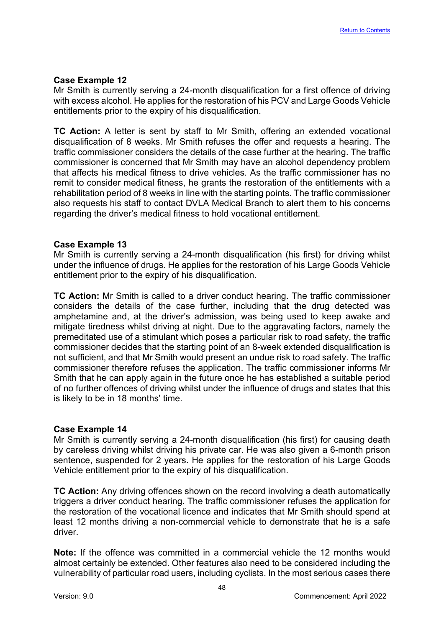# **Case Example 12**

Mr Smith is currently serving a 24-month disqualification for a first offence of driving with excess alcohol. He applies for the restoration of his PCV and Large Goods Vehicle entitlements prior to the expiry of his disqualification.

**TC Action:** A letter is sent by staff to Mr Smith, offering an extended vocational disqualification of 8 weeks. Mr Smith refuses the offer and requests a hearing. The traffic commissioner considers the details of the case further at the hearing. The traffic commissioner is concerned that Mr Smith may have an alcohol dependency problem that affects his medical fitness to drive vehicles. As the traffic commissioner has no remit to consider medical fitness, he grants the restoration of the entitlements with a rehabilitation period of 8 weeks in line with the starting points. The traffic commissioner also requests his staff to contact DVLA Medical Branch to alert them to his concerns regarding the driver's medical fitness to hold vocational entitlement.

#### **Case Example 13**

Mr Smith is currently serving a 24-month disqualification (his first) for driving whilst under the influence of drugs. He applies for the restoration of his Large Goods Vehicle entitlement prior to the expiry of his disqualification.

**TC Action:** Mr Smith is called to a driver conduct hearing. The traffic commissioner considers the details of the case further, including that the drug detected was amphetamine and, at the driver's admission, was being used to keep awake and mitigate tiredness whilst driving at night. Due to the aggravating factors, namely the premeditated use of a stimulant which poses a particular risk to road safety, the traffic commissioner decides that the starting point of an 8-week extended disqualification is not sufficient, and that Mr Smith would present an undue risk to road safety. The traffic commissioner therefore refuses the application. The traffic commissioner informs Mr Smith that he can apply again in the future once he has established a suitable period of no further offences of driving whilst under the influence of drugs and states that this is likely to be in 18 months' time.

#### **Case Example 14**

Mr Smith is currently serving a 24-month disqualification (his first) for causing death by careless driving whilst driving his private car. He was also given a 6-month prison sentence, suspended for 2 years. He applies for the restoration of his Large Goods Vehicle entitlement prior to the expiry of his disqualification.

**TC Action:** Any driving offences shown on the record involving a death automatically triggers a driver conduct hearing. The traffic commissioner refuses the application for the restoration of the vocational licence and indicates that Mr Smith should spend at least 12 months driving a non-commercial vehicle to demonstrate that he is a safe driver.

**Note:** If the offence was committed in a commercial vehicle the 12 months would almost certainly be extended. Other features also need to be considered including the vulnerability of particular road users, including cyclists. In the most serious cases there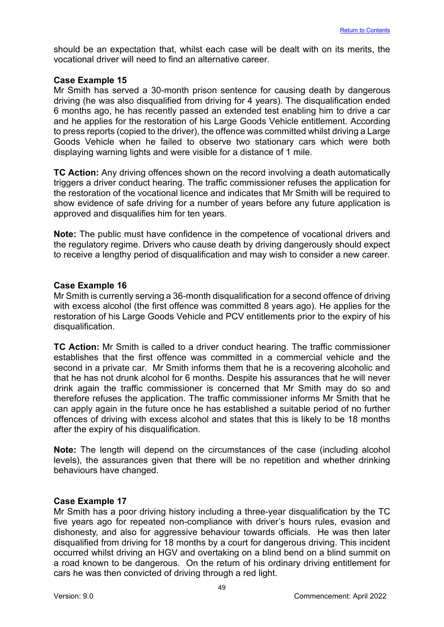should be an expectation that, whilst each case will be dealt with on its merits, the vocational driver will need to find an alternative career.

#### **Case Example 15**

Mr Smith has served a 30-month prison sentence for causing death by dangerous driving (he was also disqualified from driving for 4 years). The disqualification ended 6 months ago, he has recently passed an extended test enabling him to drive a car and he applies for the restoration of his Large Goods Vehicle entitlement. According to press reports (copied to the driver), the offence was committed whilst driving a Large Goods Vehicle when he failed to observe two stationary cars which were both displaying warning lights and were visible for a distance of 1 mile.

**TC Action:** Any driving offences shown on the record involving a death automatically triggers a driver conduct hearing. The traffic commissioner refuses the application for the restoration of the vocational licence and indicates that Mr Smith will be required to show evidence of safe driving for a number of years before any future application is approved and disqualifies him for ten years.

**Note:** The public must have confidence in the competence of vocational drivers and the regulatory regime. Drivers who cause death by driving dangerously should expect to receive a lengthy period of disqualification and may wish to consider a new career.

#### **Case Example 16**

Mr Smith is currently serving a 36-month disqualification for a second offence of driving with excess alcohol (the first offence was committed 8 years ago). He applies for the restoration of his Large Goods Vehicle and PCV entitlements prior to the expiry of his disqualification.

**TC Action:** Mr Smith is called to a driver conduct hearing. The traffic commissioner establishes that the first offence was committed in a commercial vehicle and the second in a private car. Mr Smith informs them that he is a recovering alcoholic and that he has not drunk alcohol for 6 months. Despite his assurances that he will never drink again the traffic commissioner is concerned that Mr Smith may do so and therefore refuses the application. The traffic commissioner informs Mr Smith that he can apply again in the future once he has established a suitable period of no further offences of driving with excess alcohol and states that this is likely to be 18 months after the expiry of his disqualification.

**Note:** The length will depend on the circumstances of the case (including alcohol levels), the assurances given that there will be no repetition and whether drinking behaviours have changed.

# **Case Example 17**

Mr Smith has a poor driving history including a three-year disqualification by the TC five years ago for repeated non-compliance with driver's hours rules, evasion and dishonesty, and also for aggressive behaviour towards officials. He was then later disqualified from driving for 18 months by a court for dangerous driving. This incident occurred whilst driving an HGV and overtaking on a blind bend on a blind summit on a road known to be dangerous. On the return of his ordinary driving entitlement for cars he was then convicted of driving through a red light.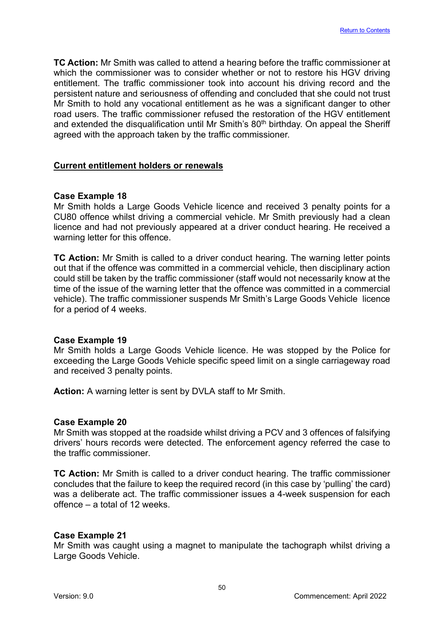**TC Action:** Mr Smith was called to attend a hearing before the traffic commissioner at which the commissioner was to consider whether or not to restore his HGV driving entitlement. The traffic commissioner took into account his driving record and the persistent nature and seriousness of offending and concluded that she could not trust Mr Smith to hold any vocational entitlement as he was a significant danger to other road users. The traffic commissioner refused the restoration of the HGV entitlement and extended the disqualification until Mr Smith's 80<sup>th</sup> birthday. On appeal the Sheriff agreed with the approach taken by the traffic commissioner.

# **Current entitlement holders or renewals**

# **Case Example 18**

Mr Smith holds a Large Goods Vehicle licence and received 3 penalty points for a CU80 offence whilst driving a commercial vehicle. Mr Smith previously had a clean licence and had not previously appeared at a driver conduct hearing. He received a warning letter for this offence.

**TC Action:** Mr Smith is called to a driver conduct hearing. The warning letter points out that if the offence was committed in a commercial vehicle, then disciplinary action could still be taken by the traffic commissioner (staff would not necessarily know at the time of the issue of the warning letter that the offence was committed in a commercial vehicle). The traffic commissioner suspends Mr Smith's Large Goods Vehicle licence for a period of 4 weeks.

#### **Case Example 19**

Mr Smith holds a Large Goods Vehicle licence. He was stopped by the Police for exceeding the Large Goods Vehicle specific speed limit on a single carriageway road and received 3 penalty points.

**Action:** A warning letter is sent by DVLA staff to Mr Smith.

#### **Case Example 20**

Mr Smith was stopped at the roadside whilst driving a PCV and 3 offences of falsifying drivers' hours records were detected. The enforcement agency referred the case to the traffic commissioner.

**TC Action:** Mr Smith is called to a driver conduct hearing. The traffic commissioner concludes that the failure to keep the required record (in this case by 'pulling' the card) was a deliberate act. The traffic commissioner issues a 4-week suspension for each offence – a total of 12 weeks.

#### **Case Example 21**

Mr Smith was caught using a magnet to manipulate the tachograph whilst driving a Large Goods Vehicle.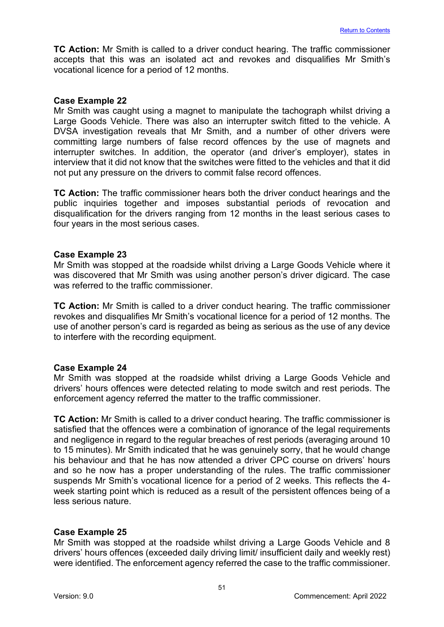**TC Action:** Mr Smith is called to a driver conduct hearing. The traffic commissioner accepts that this was an isolated act and revokes and disqualifies Mr Smith's vocational licence for a period of 12 months.

#### **Case Example 22**

Mr Smith was caught using a magnet to manipulate the tachograph whilst driving a Large Goods Vehicle. There was also an interrupter switch fitted to the vehicle. A DVSA investigation reveals that Mr Smith, and a number of other drivers were committing large numbers of false record offences by the use of magnets and interrupter switches. In addition, the operator (and driver's employer), states in interview that it did not know that the switches were fitted to the vehicles and that it did not put any pressure on the drivers to commit false record offences.

**TC Action:** The traffic commissioner hears both the driver conduct hearings and the public inquiries together and imposes substantial periods of revocation and disqualification for the drivers ranging from 12 months in the least serious cases to four years in the most serious cases.

#### **Case Example 23**

Mr Smith was stopped at the roadside whilst driving a Large Goods Vehicle where it was discovered that Mr Smith was using another person's driver digicard. The case was referred to the traffic commissioner.

**TC Action:** Mr Smith is called to a driver conduct hearing. The traffic commissioner revokes and disqualifies Mr Smith's vocational licence for a period of 12 months. The use of another person's card is regarded as being as serious as the use of any device to interfere with the recording equipment.

# **Case Example 24**

Mr Smith was stopped at the roadside whilst driving a Large Goods Vehicle and drivers' hours offences were detected relating to mode switch and rest periods. The enforcement agency referred the matter to the traffic commissioner.

**TC Action:** Mr Smith is called to a driver conduct hearing. The traffic commissioner is satisfied that the offences were a combination of ignorance of the legal requirements and negligence in regard to the regular breaches of rest periods (averaging around 10 to 15 minutes). Mr Smith indicated that he was genuinely sorry, that he would change his behaviour and that he has now attended a driver CPC course on drivers' hours and so he now has a proper understanding of the rules. The traffic commissioner suspends Mr Smith's vocational licence for a period of 2 weeks. This reflects the 4 week starting point which is reduced as a result of the persistent offences being of a less serious nature.

# **Case Example 25**

Mr Smith was stopped at the roadside whilst driving a Large Goods Vehicle and 8 drivers' hours offences (exceeded daily driving limit/ insufficient daily and weekly rest) were identified. The enforcement agency referred the case to the traffic commissioner.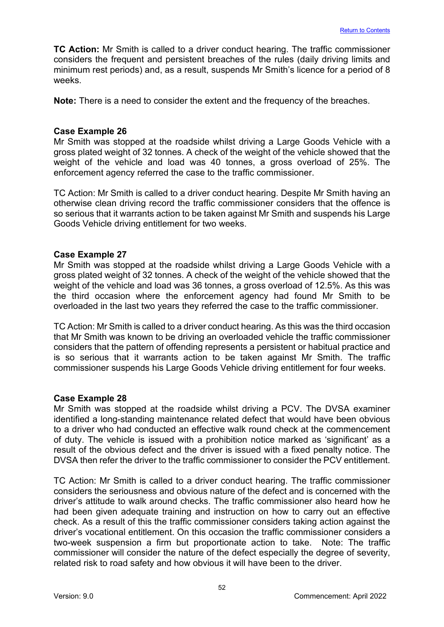**TC Action:** Mr Smith is called to a driver conduct hearing. The traffic commissioner considers the frequent and persistent breaches of the rules (daily driving limits and minimum rest periods) and, as a result, suspends Mr Smith's licence for a period of 8 weeks.

**Note:** There is a need to consider the extent and the frequency of the breaches.

#### **Case Example 26**

Mr Smith was stopped at the roadside whilst driving a Large Goods Vehicle with a gross plated weight of 32 tonnes. A check of the weight of the vehicle showed that the weight of the vehicle and load was 40 tonnes, a gross overload of 25%. The enforcement agency referred the case to the traffic commissioner.

TC Action: Mr Smith is called to a driver conduct hearing. Despite Mr Smith having an otherwise clean driving record the traffic commissioner considers that the offence is so serious that it warrants action to be taken against Mr Smith and suspends his Large Goods Vehicle driving entitlement for two weeks.

#### **Case Example 27**

Mr Smith was stopped at the roadside whilst driving a Large Goods Vehicle with a gross plated weight of 32 tonnes. A check of the weight of the vehicle showed that the weight of the vehicle and load was 36 tonnes, a gross overload of 12.5%. As this was the third occasion where the enforcement agency had found Mr Smith to be overloaded in the last two years they referred the case to the traffic commissioner.

TC Action: Mr Smith is called to a driver conduct hearing. As this was the third occasion that Mr Smith was known to be driving an overloaded vehicle the traffic commissioner considers that the pattern of offending represents a persistent or habitual practice and is so serious that it warrants action to be taken against Mr Smith. The traffic commissioner suspends his Large Goods Vehicle driving entitlement for four weeks.

# **Case Example 28**

Mr Smith was stopped at the roadside whilst driving a PCV. The DVSA examiner identified a long-standing maintenance related defect that would have been obvious to a driver who had conducted an effective walk round check at the commencement of duty. The vehicle is issued with a prohibition notice marked as 'significant' as a result of the obvious defect and the driver is issued with a fixed penalty notice. The DVSA then refer the driver to the traffic commissioner to consider the PCV entitlement.

TC Action: Mr Smith is called to a driver conduct hearing. The traffic commissioner considers the seriousness and obvious nature of the defect and is concerned with the driver's attitude to walk around checks. The traffic commissioner also heard how he had been given adequate training and instruction on how to carry out an effective check. As a result of this the traffic commissioner considers taking action against the driver's vocational entitlement. On this occasion the traffic commissioner considers a two-week suspension a firm but proportionate action to take. Note: The traffic commissioner will consider the nature of the defect especially the degree of severity, related risk to road safety and how obvious it will have been to the driver.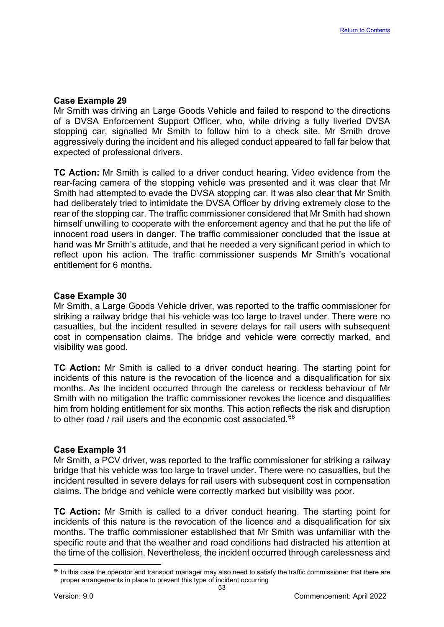# **Case Example 29**

Mr Smith was driving an Large Goods Vehicle and failed to respond to the directions of a DVSA Enforcement Support Officer, who, while driving a fully liveried DVSA stopping car, signalled Mr Smith to follow him to a check site. Mr Smith drove aggressively during the incident and his alleged conduct appeared to fall far below that expected of professional drivers.

**TC Action:** Mr Smith is called to a driver conduct hearing. Video evidence from the rear-facing camera of the stopping vehicle was presented and it was clear that Mr Smith had attempted to evade the DVSA stopping car. It was also clear that Mr Smith had deliberately tried to intimidate the DVSA Officer by driving extremely close to the rear of the stopping car. The traffic commissioner considered that Mr Smith had shown himself unwilling to cooperate with the enforcement agency and that he put the life of innocent road users in danger. The traffic commissioner concluded that the issue at hand was Mr Smith's attitude, and that he needed a very significant period in which to reflect upon his action. The traffic commissioner suspends Mr Smith's vocational entitlement for 6 months.

#### **Case Example 30**

Mr Smith, a Large Goods Vehicle driver, was reported to the traffic commissioner for striking a railway bridge that his vehicle was too large to travel under. There were no casualties, but the incident resulted in severe delays for rail users with subsequent cost in compensation claims. The bridge and vehicle were correctly marked, and visibility was good.

**TC Action:** Mr Smith is called to a driver conduct hearing. The starting point for incidents of this nature is the revocation of the licence and a disqualification for six months. As the incident occurred through the careless or reckless behaviour of Mr Smith with no mitigation the traffic commissioner revokes the licence and disqualifies him from holding entitlement for six months. This action reflects the risk and disruption to other road / rail users and the economic cost associated. [66](#page-53-0) 

#### **Case Example 31**

Mr Smith, a PCV driver, was reported to the traffic commissioner for striking a railway bridge that his vehicle was too large to travel under. There were no casualties, but the incident resulted in severe delays for rail users with subsequent cost in compensation claims. The bridge and vehicle were correctly marked but visibility was poor.

**TC Action:** Mr Smith is called to a driver conduct hearing. The starting point for incidents of this nature is the revocation of the licence and a disqualification for six months. The traffic commissioner established that Mr Smith was unfamiliar with the specific route and that the weather and road conditions had distracted his attention at the time of the collision. Nevertheless, the incident occurred through carelessness and

<span id="page-53-0"></span><sup>&</sup>lt;sup>66</sup> In this case the operator and transport manager may also need to satisfy the traffic commissioner that there are proper arrangements in place to prevent this type of incident occurring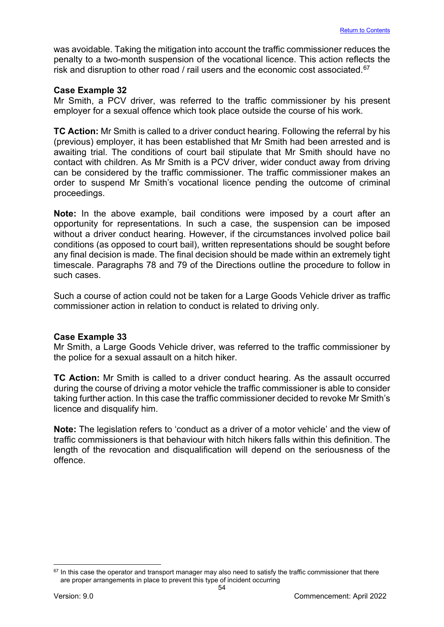was avoidable. Taking the mitigation into account the traffic commissioner reduces the penalty to a two-month suspension of the vocational licence. This action reflects the risk and disruption to other road / rail users and the economic cost associated. [67](#page-54-0)

#### **Case Example 32**

Mr Smith, a PCV driver, was referred to the traffic commissioner by his present employer for a sexual offence which took place outside the course of his work.

**TC Action:** Mr Smith is called to a driver conduct hearing. Following the referral by his (previous) employer, it has been established that Mr Smith had been arrested and is awaiting trial. The conditions of court bail stipulate that Mr Smith should have no contact with children. As Mr Smith is a PCV driver, wider conduct away from driving can be considered by the traffic commissioner. The traffic commissioner makes an order to suspend Mr Smith's vocational licence pending the outcome of criminal proceedings.

**Note:** In the above example, bail conditions were imposed by a court after an opportunity for representations. In such a case, the suspension can be imposed without a driver conduct hearing. However, if the circumstances involved police bail conditions (as opposed to court bail), written representations should be sought before any final decision is made. The final decision should be made within an extremely tight timescale. Paragraphs 78 and 79 of the Directions outline the procedure to follow in such cases.

Such a course of action could not be taken for a Large Goods Vehicle driver as traffic commissioner action in relation to conduct is related to driving only.

#### **Case Example 33**

Mr Smith, a Large Goods Vehicle driver, was referred to the traffic commissioner by the police for a sexual assault on a hitch hiker.

**TC Action:** Mr Smith is called to a driver conduct hearing. As the assault occurred during the course of driving a motor vehicle the traffic commissioner is able to consider taking further action. In this case the traffic commissioner decided to revoke Mr Smith's licence and disqualify him.

**Note:** The legislation refers to 'conduct as a driver of a motor vehicle' and the view of traffic commissioners is that behaviour with hitch hikers falls within this definition. The length of the revocation and disqualification will depend on the seriousness of the offence.

<span id="page-54-0"></span><sup>&</sup>lt;sup>67</sup> In this case the operator and transport manager may also need to satisfy the traffic commissioner that there are proper arrangements in place to prevent this type of incident occurring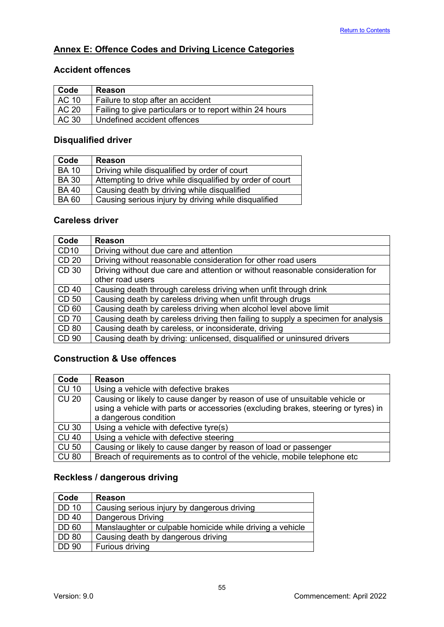# <span id="page-55-0"></span>**Annex E: Offence Codes and Driving Licence Categories**

# **Accident offences**

| Code  | <b>Reason</b>                                            |
|-------|----------------------------------------------------------|
| AC 10 | Failure to stop after an accident                        |
| AC 20 | Failing to give particulars or to report within 24 hours |
| AC 30 | Undefined accident offences                              |

# **Disqualified driver**

| Code         | Reason                                                   |
|--------------|----------------------------------------------------------|
| <b>BA 10</b> | Driving while disqualified by order of court             |
| <b>BA30</b>  | Attempting to drive while disqualified by order of court |
| <b>BA40</b>  | Causing death by driving while disqualified              |
| <b>BA60</b>  | Causing serious injury by driving while disqualified     |

# **Careless driver**

| Code         | Reason                                                                           |
|--------------|----------------------------------------------------------------------------------|
| <b>CD10</b>  | Driving without due care and attention                                           |
| <b>CD 20</b> | Driving without reasonable consideration for other road users                    |
| CD 30        | Driving without due care and attention or without reasonable consideration for   |
|              | other road users                                                                 |
| <b>CD 40</b> | Causing death through careless driving when unfit through drink                  |
| CD 50        | Causing death by careless driving when unfit through drugs                       |
| CD 60        | Causing death by careless driving when alcohol level above limit                 |
| <b>CD 70</b> | Causing death by careless driving then failing to supply a specimen for analysis |
| <b>CD 80</b> | Causing death by careless, or inconsiderate, driving                             |
| CD 90        | Causing death by driving: unlicensed, disqualified or uninsured drivers          |

# **Construction & Use offences**

| Code         | <b>Reason</b>                                                                      |
|--------------|------------------------------------------------------------------------------------|
| <b>CU 10</b> | Using a vehicle with defective brakes                                              |
| <b>CU 20</b> | Causing or likely to cause danger by reason of use of unsuitable vehicle or        |
|              | using a vehicle with parts or accessories (excluding brakes, steering or tyres) in |
|              | a dangerous condition                                                              |
| <b>CU 30</b> | Using a vehicle with defective tyre(s)                                             |
| <b>CU 40</b> | Using a vehicle with defective steering                                            |
| <b>CU 50</b> | Causing or likely to cause danger by reason of load or passenger                   |
| <b>CU 80</b> | Breach of requirements as to control of the vehicle, mobile telephone etc          |

# **Reckless / dangerous driving**

| Code         | <b>Reason</b>                                             |
|--------------|-----------------------------------------------------------|
| <b>DD 10</b> | Causing serious injury by dangerous driving               |
| <b>DD 40</b> | Dangerous Driving                                         |
| <b>DD 60</b> | Manslaughter or culpable homicide while driving a vehicle |
| <b>DD 80</b> | Causing death by dangerous driving                        |
| <b>DD 90</b> | Furious driving                                           |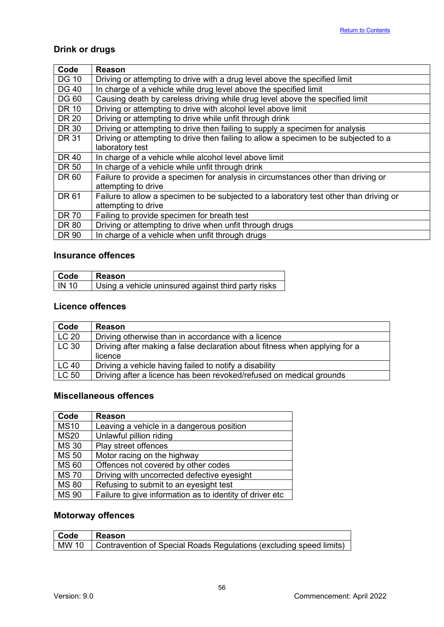# **Drink or drugs**

| Code         | Reason                                                                                 |
|--------------|----------------------------------------------------------------------------------------|
| <b>DG 10</b> | Driving or attempting to drive with a drug level above the specified limit             |
| <b>DG 40</b> | In charge of a vehicle while drug level above the specified limit                      |
| <b>DG 60</b> | Causing death by careless driving while drug level above the specified limit           |
| <b>DR 10</b> | Driving or attempting to drive with alcohol level above limit                          |
| <b>DR 20</b> | Driving or attempting to drive while unfit through drink                               |
| <b>DR 30</b> | Driving or attempting to drive then failing to supply a specimen for analysis          |
| <b>DR 31</b> | Driving or attempting to drive then failing to allow a specimen to be subjected to a   |
|              | laboratory test                                                                        |
| <b>DR 40</b> | In charge of a vehicle while alcohol level above limit                                 |
| <b>DR 50</b> | In charge of a vehicle while unfit through drink                                       |
| DR 60        | Failure to provide a specimen for analysis in circumstances other than driving or      |
|              | attempting to drive                                                                    |
| DR 61        | Failure to allow a specimen to be subjected to a laboratory test other than driving or |
|              | attempting to drive                                                                    |
| <b>DR 70</b> | Failing to provide specimen for breath test                                            |
| <b>DR 80</b> | Driving or attempting to drive when unfit through drugs                                |
| DR 90        | In charge of a vehicle when unfit through drugs                                        |

# **Insurance offences**

| Code         | l Reason                                            |
|--------------|-----------------------------------------------------|
| <b>IN 10</b> | Using a vehicle uninsured against third party risks |

# **Licence offences**

| Code                 | <b>Reason</b>                                                              |
|----------------------|----------------------------------------------------------------------------|
| LC <sub>20</sub>     | Driving otherwise than in accordance with a licence                        |
| $\overline{C}$ LC 30 | Driving after making a false declaration about fitness when applying for a |
|                      | licence                                                                    |
| <b>LC 40</b>         | Driving a vehicle having failed to notify a disability                     |
| LC 50                | Driving after a licence has been revoked/refused on medical grounds        |

# **Miscellaneous offences**

| Code         | <b>Reason</b>                                            |
|--------------|----------------------------------------------------------|
| <b>MS10</b>  | Leaving a vehicle in a dangerous position                |
| <b>MS20</b>  | Unlawful pillion riding                                  |
| <b>MS 30</b> | Play street offences                                     |
| <b>MS 50</b> | Motor racing on the highway                              |
| <b>MS 60</b> | Offences not covered by other codes                      |
| <b>MS70</b>  | Driving with uncorrected defective eyesight              |
| <b>MS 80</b> | Refusing to submit to an eyesight test                   |
| <b>MS 90</b> | Failure to give information as to identity of driver etc |

# **Motorway offences**

| <b>Code</b> | Reason |
|-------------|--------|
|             |        |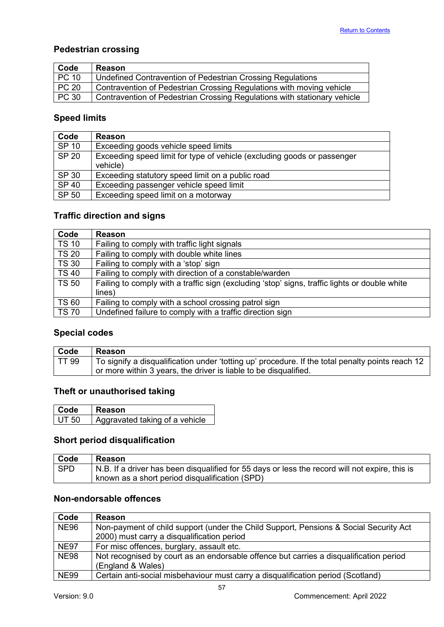# **Pedestrian crossing**

| Code  | <b>Reason</b>                                                            |
|-------|--------------------------------------------------------------------------|
| PC 10 | Undefined Contravention of Pedestrian Crossing Regulations               |
| PC 20 | Contravention of Pedestrian Crossing Regulations with moving vehicle     |
| PC30  | Contravention of Pedestrian Crossing Regulations with stationary vehicle |

# **Speed limits**

| Code         | <b>Reason</b>                                                                       |
|--------------|-------------------------------------------------------------------------------------|
| SP 10        | Exceeding goods vehicle speed limits                                                |
| <b>SP 20</b> | Exceeding speed limit for type of vehicle (excluding goods or passenger<br>vehicle) |
| SP 30        | Exceeding statutory speed limit on a public road                                    |
| <b>SP 40</b> | Exceeding passenger vehicle speed limit                                             |
| SP 50        | Exceeding speed limit on a motorway                                                 |

# **Traffic direction and signs**

| Code         | <b>Reason</b>                                                                                 |
|--------------|-----------------------------------------------------------------------------------------------|
| <b>TS 10</b> | Failing to comply with traffic light signals                                                  |
| <b>TS 20</b> | Failing to comply with double white lines                                                     |
| <b>TS 30</b> | Failing to comply with a 'stop' sign                                                          |
| <b>TS40</b>  | Failing to comply with direction of a constable/warden                                        |
| <b>TS 50</b> | Failing to comply with a traffic sign (excluding 'stop' signs, traffic lights or double white |
|              | lines)                                                                                        |
| <b>TS 60</b> | Failing to comply with a school crossing patrol sign                                          |
| <b>TS 70</b> | Undefined failure to comply with a traffic direction sign                                     |

# **Special codes**

| Code         | <b>Reason</b>                                                                                    |
|--------------|--------------------------------------------------------------------------------------------------|
| <b>TT 99</b> | To signify a disqualification under 'totting up' procedure. If the total penalty points reach 12 |
|              | or more within 3 years, the driver is liable to be disqualified.                                 |

# **Theft or unauthorised taking**

| Code         | Reason                         |
|--------------|--------------------------------|
| <b>UT 50</b> | Aggravated taking of a vehicle |

# **Short period disqualification**

| <b>Code</b> | Reason                                                                                                |
|-------------|-------------------------------------------------------------------------------------------------------|
| l SPD       | $\mid$ N.B. If a driver has been disqualified for 55 days or less the record will not expire, this is |
|             | known as a short period disqualification (SPD)                                                        |

# **Non-endorsable offences**

| Code        | <b>Reason</b>                                                                          |
|-------------|----------------------------------------------------------------------------------------|
| <b>NE96</b> | Non-payment of child support (under the Child Support, Pensions & Social Security Act  |
|             | 2000) must carry a disqualification period                                             |
| <b>NE97</b> | For misc offences, burglary, assault etc.                                              |
| <b>NE98</b> | Not recognised by court as an endorsable offence but carries a disqualification period |
|             | (England & Wales)                                                                      |
| <b>NE99</b> | Certain anti-social misbehaviour must carry a disqualification period (Scotland)       |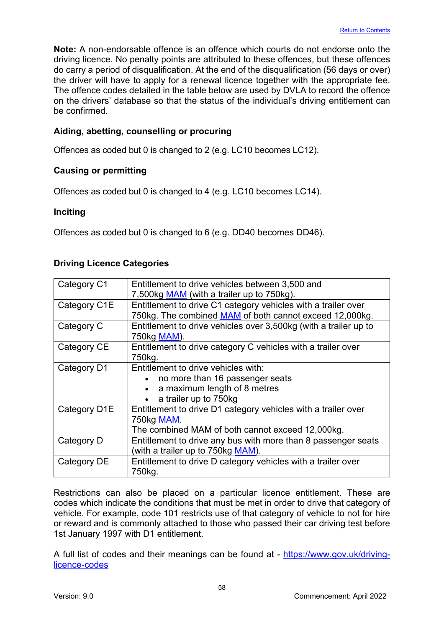**Note:** A non-endorsable offence is an offence which courts do not endorse onto the driving licence. No penalty points are attributed to these offences, but these offences do carry a period of disqualification. At the end of the disqualification (56 days or over) the driver will have to apply for a renewal licence together with the appropriate fee. The offence codes detailed in the table below are used by DVLA to record the offence on the drivers' database so that the status of the individual's driving entitlement can be confirmed.

# **Aiding, abetting, counselling or procuring**

Offences as coded but 0 is changed to 2 (e.g. LC10 becomes LC12).

# **Causing or permitting**

Offences as coded but 0 is changed to 4 (e.g. LC10 becomes LC14).

# **Inciting**

Offences as coded but 0 is changed to 6 (e.g. DD40 becomes DD46).

# **Driving Licence Categories**

| Category C1  | Entitlement to drive vehicles between 3,500 and                  |
|--------------|------------------------------------------------------------------|
|              | 7,500kg MAM (with a trailer up to 750kg).                        |
| Category C1E | Entitlement to drive C1 category vehicles with a trailer over    |
|              | 750kg. The combined MAM of both cannot exceed 12,000kg.          |
| Category C   | Entitlement to drive vehicles over 3,500kg (with a trailer up to |
|              | 750kg MAM).                                                      |
| Category CE  | Entitlement to drive category C vehicles with a trailer over     |
|              | 750kg.                                                           |
| Category D1  | Entitlement to drive vehicles with:                              |
|              | no more than 16 passenger seats                                  |
|              | a maximum length of 8 metres                                     |
|              | a trailer up to 750kg                                            |
| Category D1E | Entitlement to drive D1 category vehicles with a trailer over    |
|              | 750kg MAM.                                                       |
|              | The combined MAM of both cannot exceed 12,000kg.                 |
| Category D   | Entitlement to drive any bus with more than 8 passenger seats    |
|              | (with a trailer up to 750kg MAM).                                |
| Category DE  | Entitlement to drive D category vehicles with a trailer over     |
|              | 750kg.                                                           |

Restrictions can also be placed on a particular licence entitlement. These are codes which indicate the conditions that must be met in order to drive that category of vehicle. For example, code 101 restricts use of that category of vehicle to not for hire or reward and is commonly attached to those who passed their car driving test before 1st January 1997 with D1 entitlement.

A full list of codes and their meanings can be found at - [https://www.gov.uk/driving](https://www.gov.uk/driving-licence-codes)[licence-codes](https://www.gov.uk/driving-licence-codes)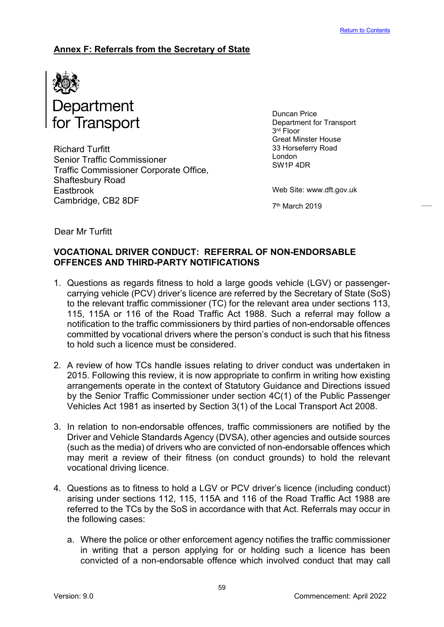# <span id="page-59-0"></span>**Annex F: Referrals from the Secretary of State**



Richard Turfitt Senior Traffic Commissioner Traffic Commissioner Corporate Office, Shaftesbury Road Eastbrook Cambridge, CB2 8DF

Duncan Price Department for Transport 3<sup>rd</sup> Floor Great Minster House 33 Horseferry Road London SW1P 4DR

Web Site: www.dft.gov.uk

7th March 2019

Dear Mr Turfitt

# **VOCATIONAL DRIVER CONDUCT: REFERRAL OF NON-ENDORSABLE OFFENCES AND THIRD-PARTY NOTIFICATIONS**

- 1. Questions as regards fitness to hold a large goods vehicle (LGV) or passengercarrying vehicle (PCV) driver's licence are referred by the Secretary of State (SoS) to the relevant traffic commissioner (TC) for the relevant area under sections 113, 115, 115A or 116 of the Road Traffic Act 1988. Such a referral may follow a notification to the traffic commissioners by third parties of non-endorsable offences committed by vocational drivers where the person's conduct is such that his fitness to hold such a licence must be considered.
- 2. A review of how TCs handle issues relating to driver conduct was undertaken in 2015. Following this review, it is now appropriate to confirm in writing how existing arrangements operate in the context of Statutory Guidance and Directions issued by the Senior Traffic Commissioner under section 4C(1) of the Public Passenger Vehicles Act 1981 as inserted by Section 3(1) of the Local Transport Act 2008.
- 3. In relation to non-endorsable offences, traffic commissioners are notified by the Driver and Vehicle Standards Agency (DVSA), other agencies and outside sources (such as the media) of drivers who are convicted of non-endorsable offences which may merit a review of their fitness (on conduct grounds) to hold the relevant vocational driving licence.
- 4. Questions as to fitness to hold a LGV or PCV driver's licence (including conduct) arising under sections 112, 115, 115A and 116 of the Road Traffic Act 1988 are referred to the TCs by the SoS in accordance with that Act. Referrals may occur in the following cases:
	- a. Where the police or other enforcement agency notifies the traffic commissioner in writing that a person applying for or holding such a licence has been convicted of a non-endorsable offence which involved conduct that may call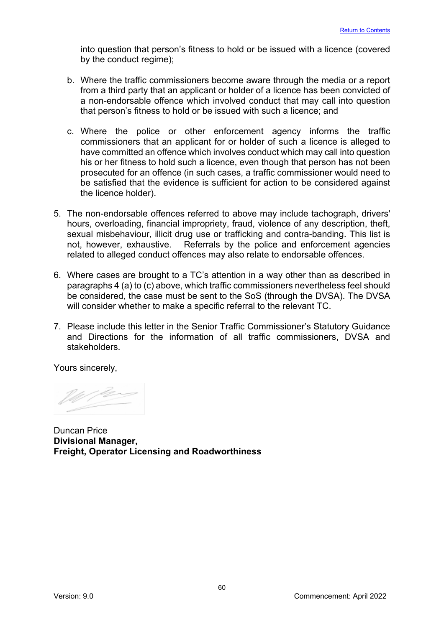into question that person's fitness to hold or be issued with a licence (covered by the conduct regime);

- b. Where the traffic commissioners become aware through the media or a report from a third party that an applicant or holder of a licence has been convicted of a non-endorsable offence which involved conduct that may call into question that person's fitness to hold or be issued with such a licence; and
- c. Where the police or other enforcement agency informs the traffic commissioners that an applicant for or holder of such a licence is alleged to have committed an offence which involves conduct which may call into question his or her fitness to hold such a licence, even though that person has not been prosecuted for an offence (in such cases, a traffic commissioner would need to be satisfied that the evidence is sufficient for action to be considered against the licence holder).
- 5. The non-endorsable offences referred to above may include tachograph, drivers' hours, overloading, financial impropriety, fraud, violence of any description, theft, sexual misbehaviour, illicit drug use or trafficking and contra-banding. This list is not, however, exhaustive. Referrals by the police and enforcement agencies related to alleged conduct offences may also relate to endorsable offences.
- 6. Where cases are brought to a TC's attention in a way other than as described in paragraphs 4 (a) to (c) above, which traffic commissioners nevertheless feel should be considered, the case must be sent to the SoS (through the DVSA). The DVSA will consider whether to make a specific referral to the relevant TC.
- 7. Please include this letter in the Senior Traffic Commissioner's Statutory Guidance and Directions for the information of all traffic commissioners, DVSA and stakeholders.

Yours sincerely,

Duncan Price **Divisional Manager, Freight, Operator Licensing and Roadworthiness**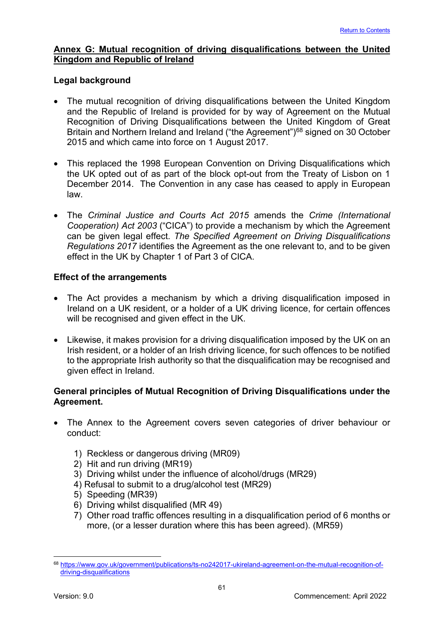# <span id="page-61-0"></span>**Annex G: Mutual recognition of driving disqualifications between the United Kingdom and Republic of Ireland**

# **Legal background**

- The mutual recognition of driving disqualifications between the United Kingdom and the Republic of Ireland is provided for by way of Agreement on the Mutual Recognition of Driving Disqualifications between the United Kingdom of Great Britain and Northern Ireland and Ireland ("the Agreement")<sup>[68](#page-61-1)</sup> signed on 30 October 2015 and which came into force on 1 August 2017.
- This replaced the 1998 European Convention on Driving Disqualifications which the UK opted out of as part of the block opt-out from the Treaty of Lisbon on 1 December 2014. The Convention in any case has ceased to apply in European law.
- The *Criminal Justice and Courts Act 2015* amends the *Crime (International Cooperation) Act 2003* ("CICA") to provide a mechanism by which the Agreement can be given legal effect. *The Specified Agreement on Driving Disqualifications Regulations 2017* identifies the Agreement as the one relevant to, and to be given effect in the UK by Chapter 1 of Part 3 of CICA.

# **Effect of the arrangements**

- The Act provides a mechanism by which a driving disqualification imposed in Ireland on a UK resident, or a holder of a UK driving licence, for certain offences will be recognised and given effect in the UK.
- Likewise, it makes provision for a driving disqualification imposed by the UK on an Irish resident, or a holder of an Irish driving licence, for such offences to be notified to the appropriate Irish authority so that the disqualification may be recognised and given effect in Ireland.

# **General principles of Mutual Recognition of Driving Disqualifications under the Agreement.**

- The Annex to the Agreement covers seven categories of driver behaviour or conduct:
	- 1) Reckless or dangerous driving (MR09)
	- 2) Hit and run driving (MR19)
	- 3) Driving whilst under the influence of alcohol/drugs (MR29)
	- 4) Refusal to submit to a drug/alcohol test (MR29)
	- 5) Speeding (MR39)
	- 6) Driving whilst disqualified (MR 49)
	- 7) Other road traffic offences resulting in a disqualification period of 6 months or more, (or a lesser duration where this has been agreed). (MR59)

<span id="page-61-1"></span><sup>68</sup> [https://www.gov.uk/government/publications/ts-no242017-ukireland-agreement-on-the-mutual-recognition-of](https://www.gov.uk/government/publications/ts-no242017-ukireland-agreement-on-the-mutual-recognition-of-driving-disqualifications)[driving-disqualifications](https://www.gov.uk/government/publications/ts-no242017-ukireland-agreement-on-the-mutual-recognition-of-driving-disqualifications)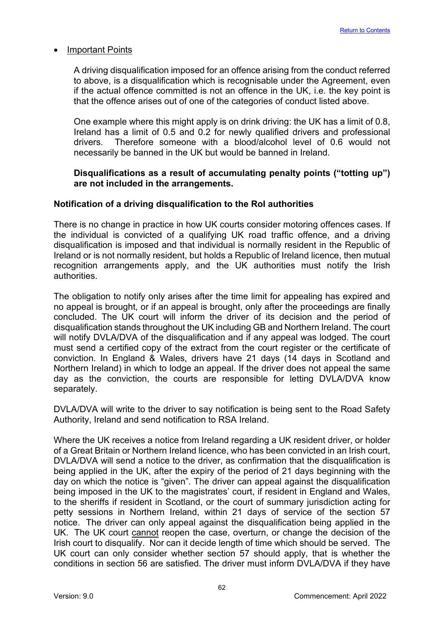#### • Important Points

A driving disqualification imposed for an offence arising from the conduct referred to above, is a disqualification which is recognisable under the Agreement, even if the actual offence committed is not an offence in the UK, i.e. the key point is that the offence arises out of one of the categories of conduct listed above.

One example where this might apply is on drink driving: the UK has a limit of 0.8, Ireland has a limit of 0.5 and 0.2 for newly qualified drivers and professional drivers. Therefore someone with a blood/alcohol level of 0.6 would not necessarily be banned in the UK but would be banned in Ireland.

#### **Disqualifications as a result of accumulating penalty points ("totting up") are not included in the arrangements.**

# **Notification of a driving disqualification to the RoI authorities**

There is no change in practice in how UK courts consider motoring offences cases. If the individual is convicted of a qualifying UK road traffic offence, and a driving disqualification is imposed and that individual is normally resident in the Republic of Ireland or is not normally resident, but holds a Republic of Ireland licence, then mutual recognition arrangements apply, and the UK authorities must notify the Irish authorities.

The obligation to notify only arises after the time limit for appealing has expired and no appeal is brought, or if an appeal is brought, only after the proceedings are finally concluded. The UK court will inform the driver of its decision and the period of disqualification stands throughout the UK including GB and Northern Ireland. The court will notify DVLA/DVA of the disqualification and if any appeal was lodged. The court must send a certified copy of the extract from the court register or the certificate of conviction. In England & Wales, drivers have 21 days (14 days in Scotland and Northern Ireland) in which to lodge an appeal. If the driver does not appeal the same day as the conviction, the courts are responsible for letting DVLA/DVA know separately.

DVLA/DVA will write to the driver to say notification is being sent to the Road Safety Authority, Ireland and send notification to RSA Ireland.

Where the UK receives a notice from Ireland regarding a UK resident driver, or holder of a Great Britain or Northern Ireland licence, who has been convicted in an Irish court, DVLA/DVA will send a notice to the driver, as confirmation that the disqualification is being applied in the UK, after the expiry of the period of 21 days beginning with the day on which the notice is "given". The driver can appeal against the disqualification being imposed in the UK to the magistrates' court, if resident in England and Wales, to the sheriffs if resident in Scotland, or the court of summary jurisdiction acting for petty sessions in Northern Ireland, within 21 days of service of the section 57 notice. The driver can only appeal against the disqualification being applied in the UK. The UK court cannot reopen the case, overturn, or change the decision of the Irish court to disqualify. Nor can it decide length of time which should be served. The UK court can only consider whether section 57 should apply, that is whether the conditions in section 56 are satisfied. The driver must inform DVLA/DVA if they have